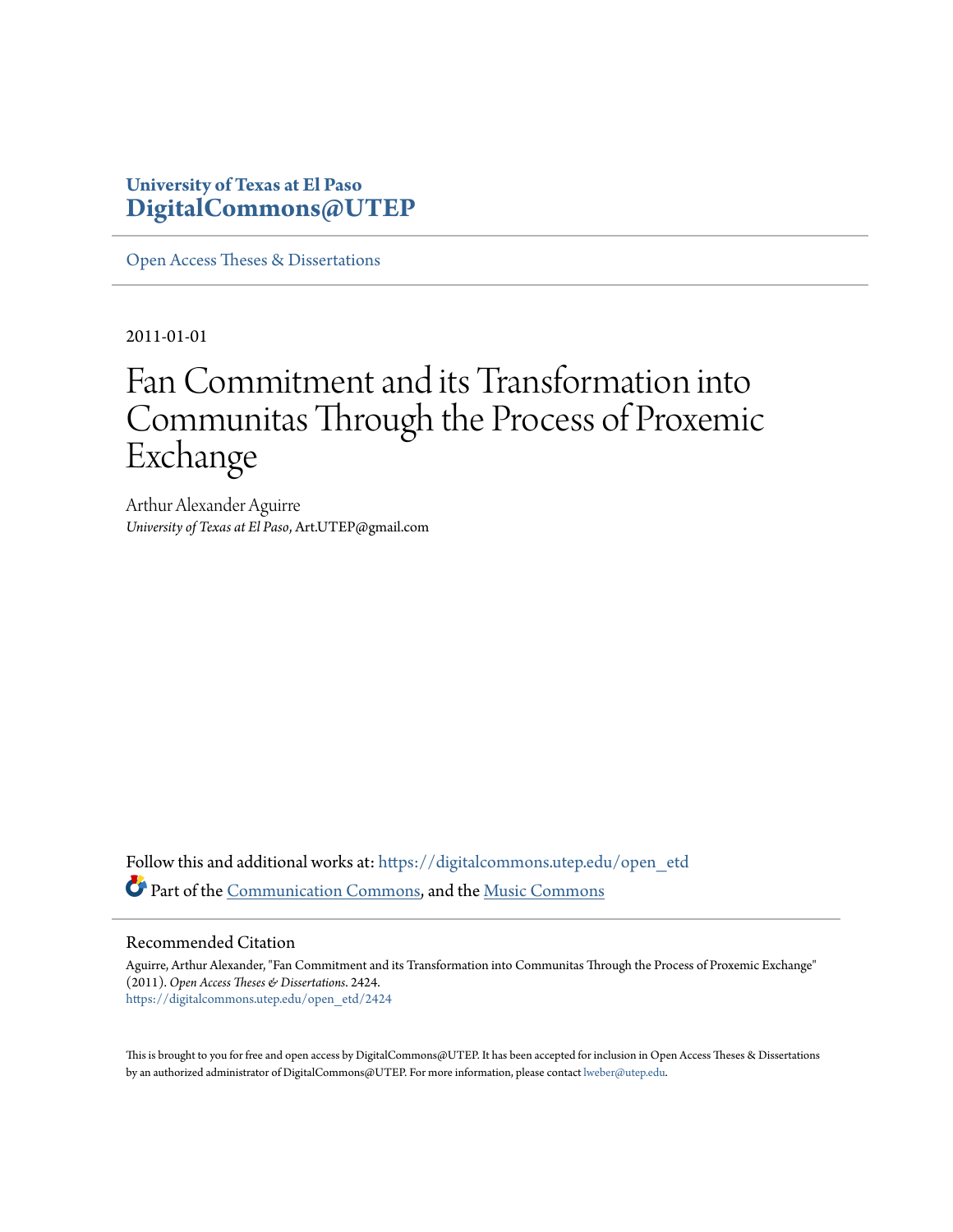## **University of Texas at El Paso [DigitalCommons@UTEP](https://digitalcommons.utep.edu/?utm_source=digitalcommons.utep.edu%2Fopen_etd%2F2424&utm_medium=PDF&utm_campaign=PDFCoverPages)**

[Open Access Theses & Dissertations](https://digitalcommons.utep.edu/open_etd?utm_source=digitalcommons.utep.edu%2Fopen_etd%2F2424&utm_medium=PDF&utm_campaign=PDFCoverPages)

2011-01-01

# Fan Commitment and its Transformation into Communitas Through the Process of Proxemic Exchange

Arthur Alexander Aguirre *University of Texas at El Paso*, Art.UTEP@gmail.com

Follow this and additional works at: [https://digitalcommons.utep.edu/open\\_etd](https://digitalcommons.utep.edu/open_etd?utm_source=digitalcommons.utep.edu%2Fopen_etd%2F2424&utm_medium=PDF&utm_campaign=PDFCoverPages) Part of the [Communication Commons](http://network.bepress.com/hgg/discipline/325?utm_source=digitalcommons.utep.edu%2Fopen_etd%2F2424&utm_medium=PDF&utm_campaign=PDFCoverPages), and the [Music Commons](http://network.bepress.com/hgg/discipline/518?utm_source=digitalcommons.utep.edu%2Fopen_etd%2F2424&utm_medium=PDF&utm_campaign=PDFCoverPages)

#### Recommended Citation

Aguirre, Arthur Alexander, "Fan Commitment and its Transformation into Communitas Through the Process of Proxemic Exchange" (2011). *Open Access Theses & Dissertations*. 2424. [https://digitalcommons.utep.edu/open\\_etd/2424](https://digitalcommons.utep.edu/open_etd/2424?utm_source=digitalcommons.utep.edu%2Fopen_etd%2F2424&utm_medium=PDF&utm_campaign=PDFCoverPages)

This is brought to you for free and open access by DigitalCommons@UTEP. It has been accepted for inclusion in Open Access Theses & Dissertations by an authorized administrator of DigitalCommons@UTEP. For more information, please contact [lweber@utep.edu.](mailto:lweber@utep.edu)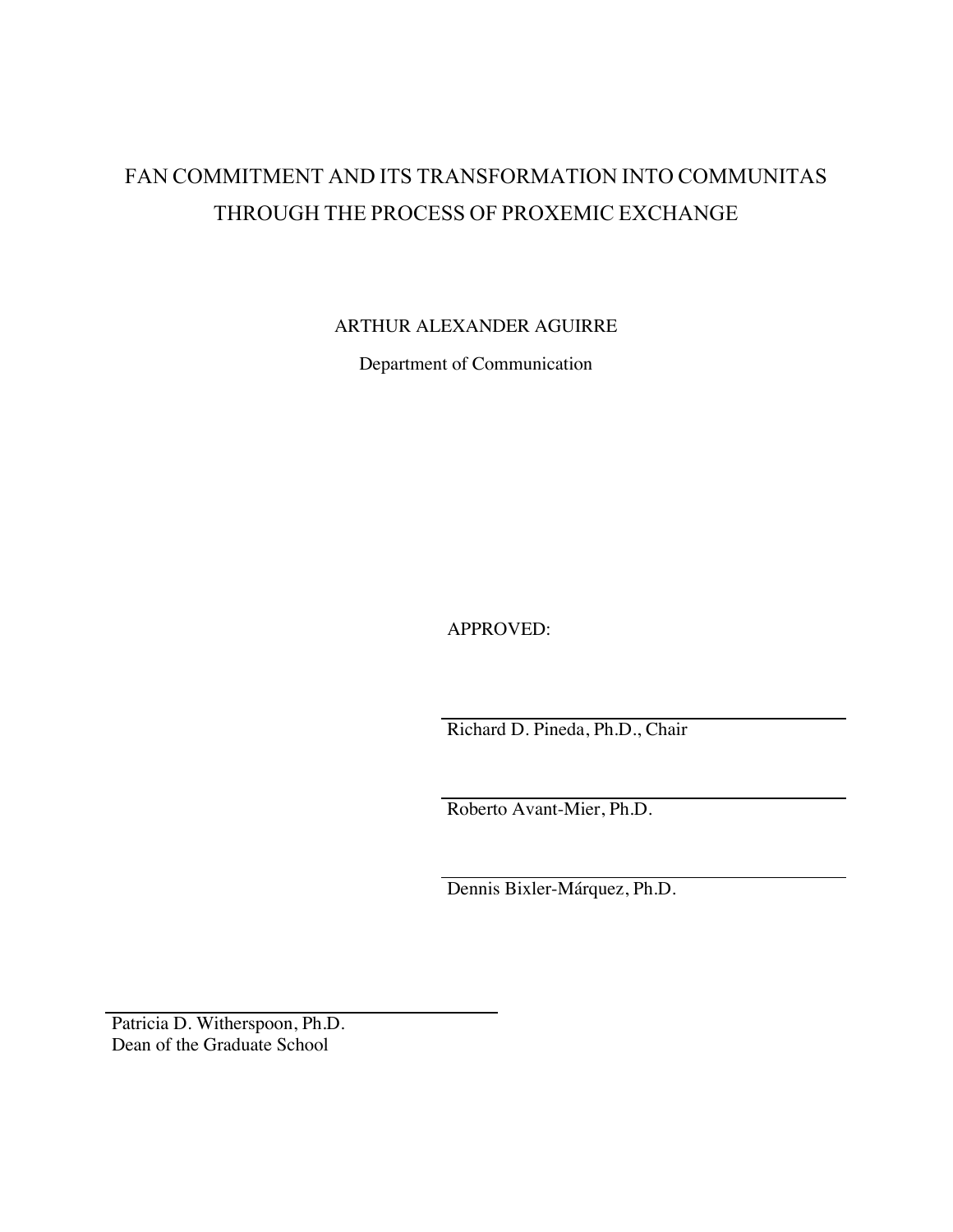## FAN COMMITMENT AND ITS TRANSFORMATION INTO COMMUNITAS THROUGH THE PROCESS OF PROXEMIC EXCHANGE

ARTHUR ALEXANDER AGUIRRE

Department of Communication

APPROVED:

Richard D. Pineda, Ph.D., Chair

Roberto Avant-Mier, Ph.D.

Dennis Bixler-Márquez, Ph.D.

Patricia D. Witherspoon, Ph.D. Dean of the Graduate School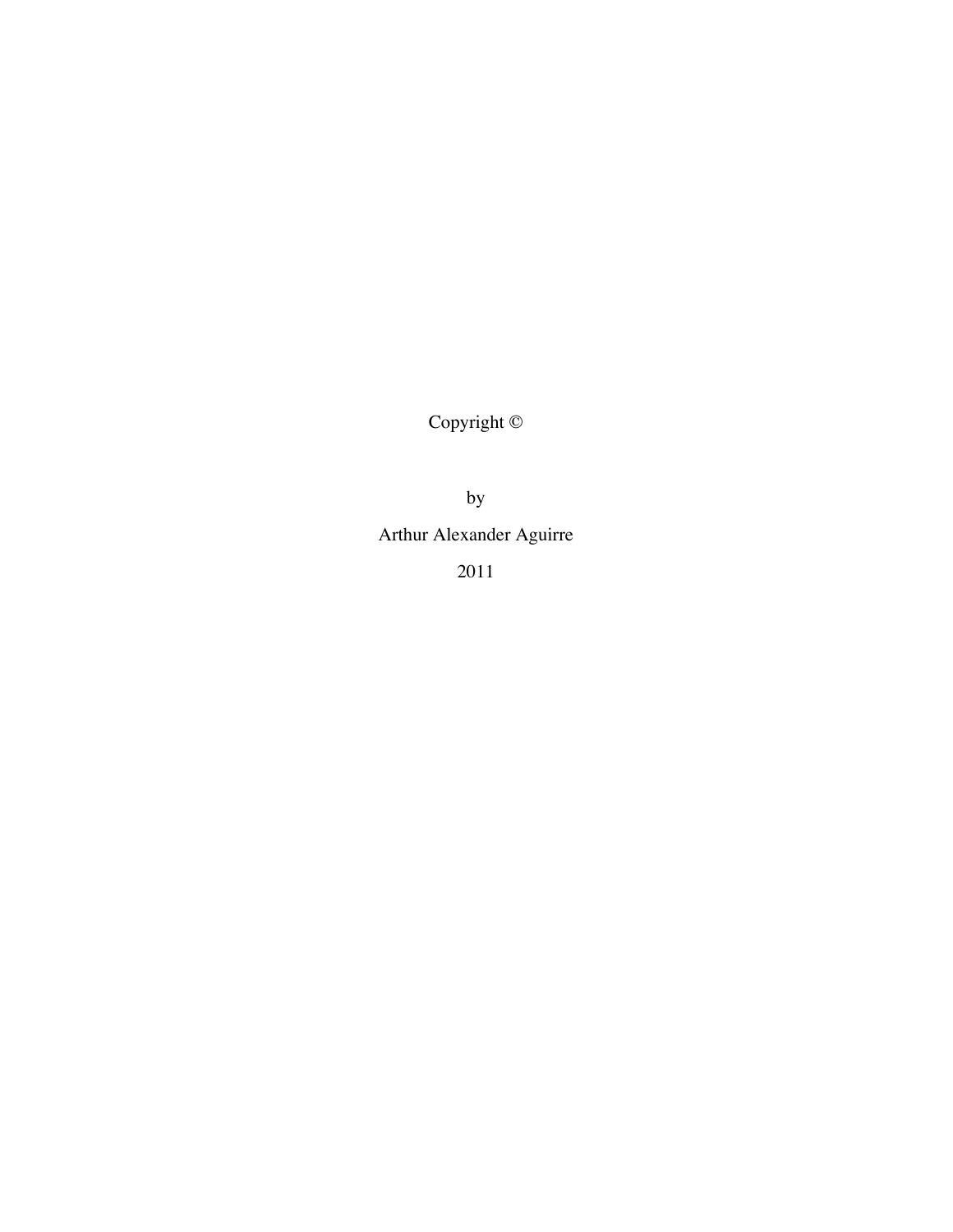Copyright ©

by

Arthur Alexander Aguirre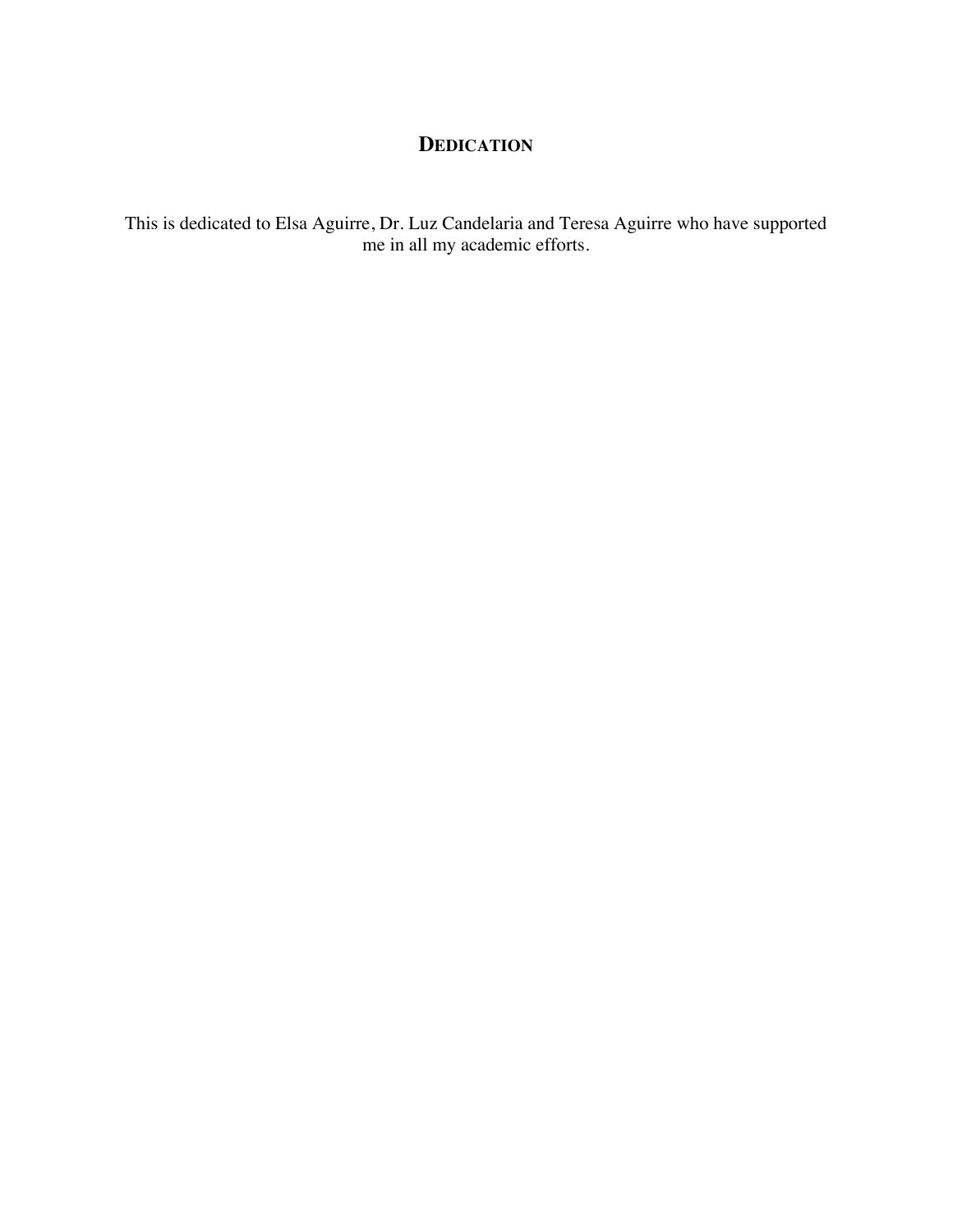## **DEDICATION**

This is dedicated to Elsa Aguirre, Dr. Luz Candelaria and Teresa Aguirre who have supported me in all my academic efforts.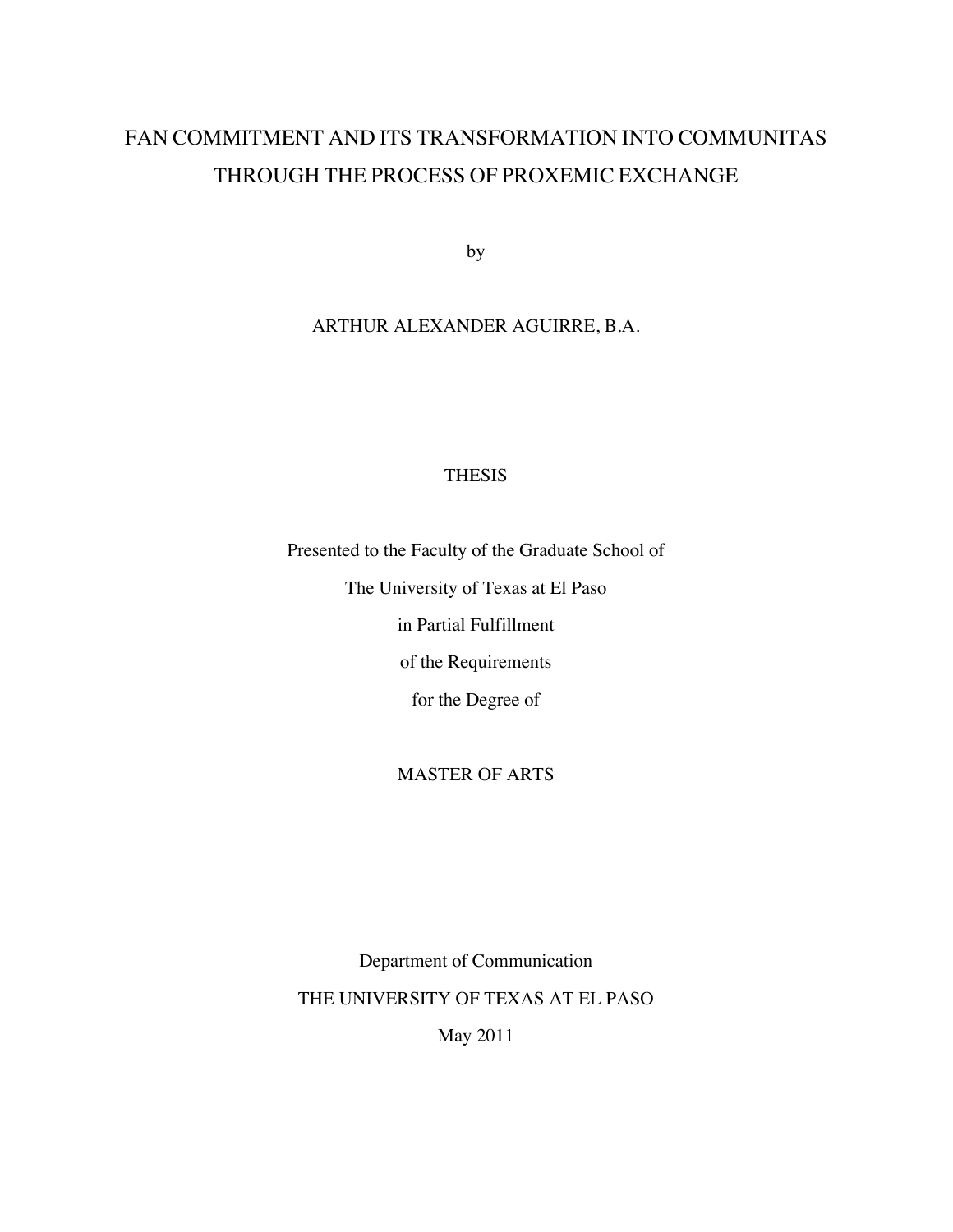## FAN COMMITMENT AND ITS TRANSFORMATION INTO COMMUNITAS THROUGH THE PROCESS OF PROXEMIC EXCHANGE

by

## ARTHUR ALEXANDER AGUIRRE, B.A.

## THESIS

Presented to the Faculty of the Graduate School of

The University of Texas at El Paso

in Partial Fulfillment

of the Requirements

for the Degree of

## MASTER OF ARTS

Department of Communication THE UNIVERSITY OF TEXAS AT EL PASO

May 2011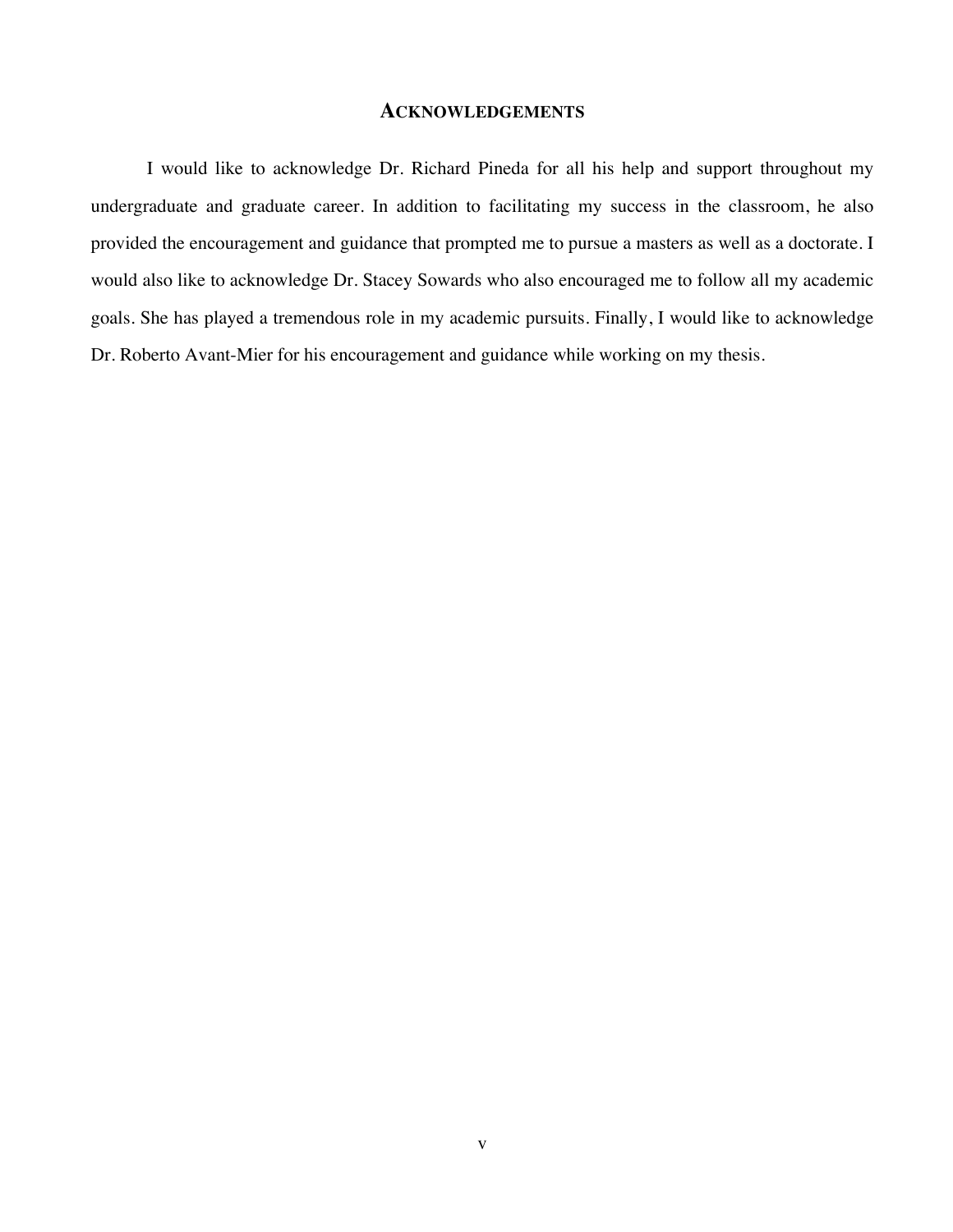## **ACKNOWLEDGEMENTS**

I would like to acknowledge Dr. Richard Pineda for all his help and support throughout my undergraduate and graduate career. In addition to facilitating my success in the classroom, he also provided the encouragement and guidance that prompted me to pursue a masters as well as a doctorate. I would also like to acknowledge Dr. Stacey Sowards who also encouraged me to follow all my academic goals. She has played a tremendous role in my academic pursuits. Finally, I would like to acknowledge Dr. Roberto Avant-Mier for his encouragement and guidance while working on my thesis.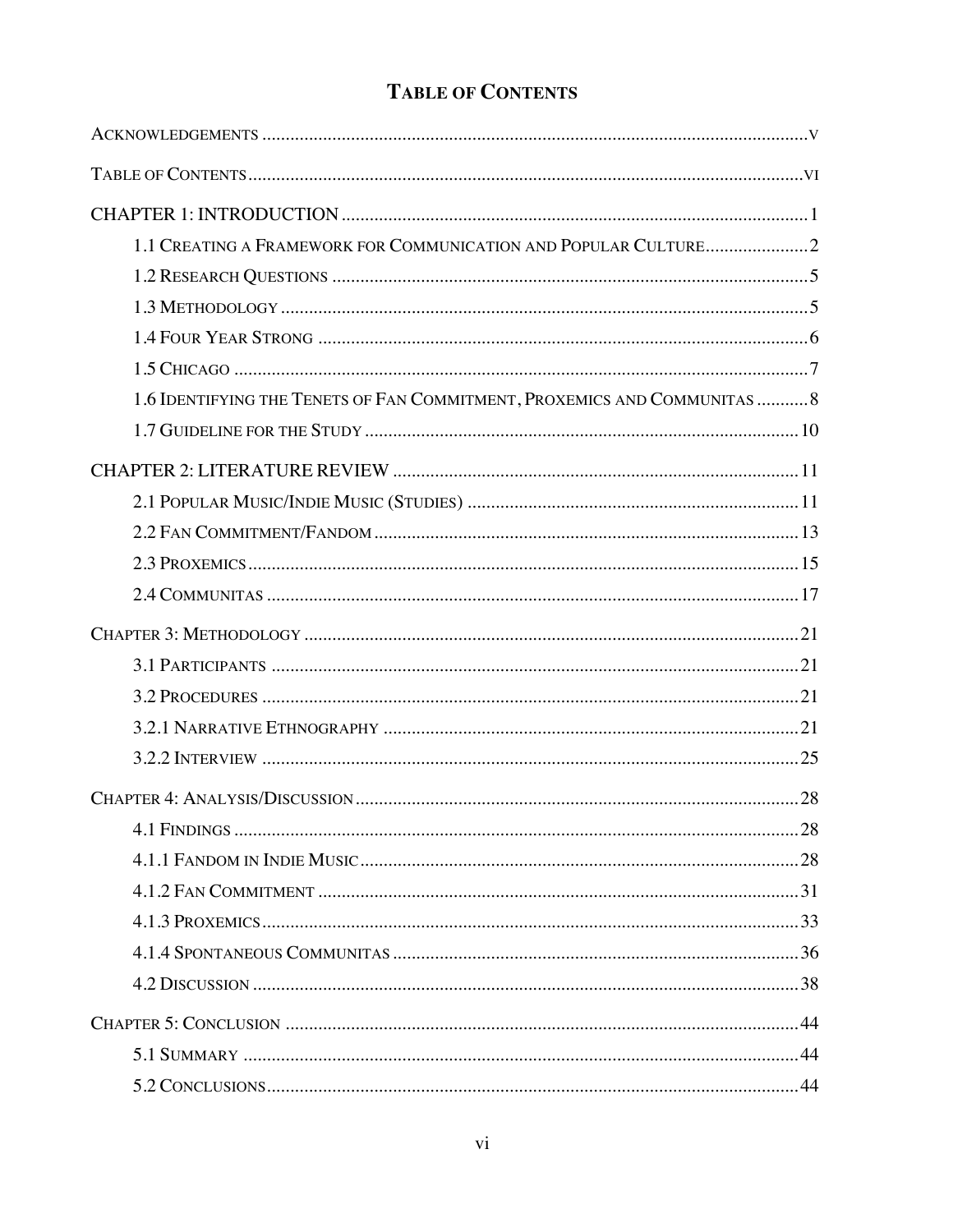| 1.6 IDENTIFYING THE TENETS OF FAN COMMITMENT, PROXEMICS AND COMMUNITAS  8 |
|---------------------------------------------------------------------------|
|                                                                           |
|                                                                           |
|                                                                           |
|                                                                           |
|                                                                           |
|                                                                           |
|                                                                           |
|                                                                           |
|                                                                           |
|                                                                           |
|                                                                           |
|                                                                           |
|                                                                           |
|                                                                           |
|                                                                           |
|                                                                           |
|                                                                           |
|                                                                           |
|                                                                           |
|                                                                           |
|                                                                           |

## **TABLE OF CONTENTS**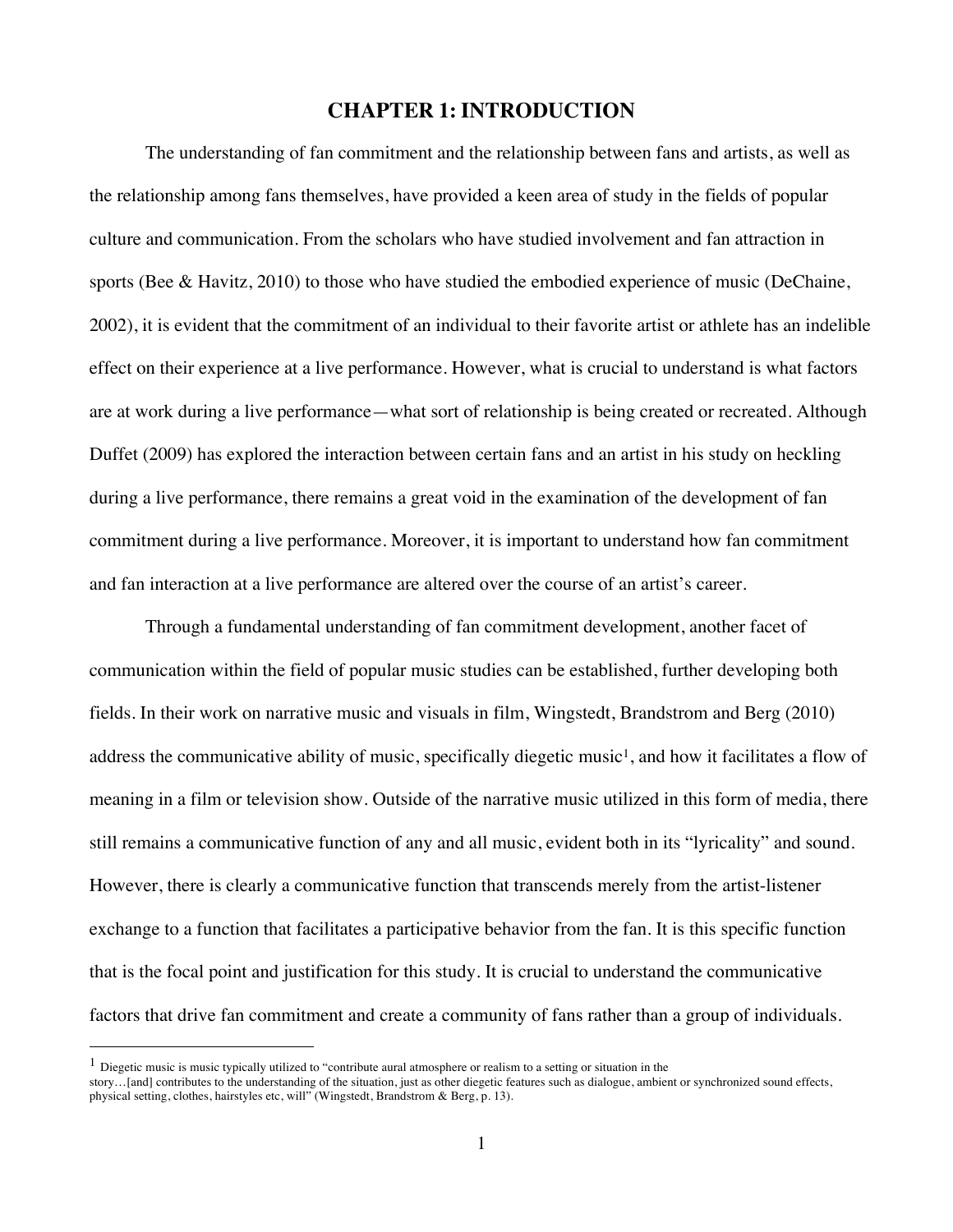## **CHAPTER 1: INTRODUCTION**

The understanding of fan commitment and the relationship between fans and artists, as well as the relationship among fans themselves, have provided a keen area of study in the fields of popular culture and communication. From the scholars who have studied involvement and fan attraction in sports (Bee & Havitz, 2010) to those who have studied the embodied experience of music (DeChaine, 2002), it is evident that the commitment of an individual to their favorite artist or athlete has an indelible effect on their experience at a live performance. However, what is crucial to understand is what factors are at work during a live performance—what sort of relationship is being created or recreated. Although Duffet (2009) has explored the interaction between certain fans and an artist in his study on heckling during a live performance, there remains a great void in the examination of the development of fan commitment during a live performance. Moreover, it is important to understand how fan commitment and fan interaction at a live performance are altered over the course of an artist's career.

Through a fundamental understanding of fan commitment development, another facet of communication within the field of popular music studies can be established, further developing both fields. In their work on narrative music and visuals in film, Wingstedt, Brandstrom and Berg (2010) address the communicative ability of music, specifically diegetic music<sup>1</sup>, and how it facilitates a flow of meaning in a film or television show. Outside of the narrative music utilized in this form of media, there still remains a communicative function of any and all music, evident both in its "lyricality" and sound. However, there is clearly a communicative function that transcends merely from the artist-listener exchange to a function that facilitates a participative behavior from the fan. It is this specific function that is the focal point and justification for this study. It is crucial to understand the communicative factors that drive fan commitment and create a community of fans rather than a group of individuals.

<sup>&</sup>lt;sup>1</sup> Diegetic music is music typically utilized to "contribute aural atmosphere or realism to a setting or situation in the

story…[and] contributes to the understanding of the situation, just as other diegetic features such as dialogue, ambient or synchronized sound effects, physical setting, clothes, hairstyles etc, will" (Wingstedt, Brandstrom & Berg, p. 13).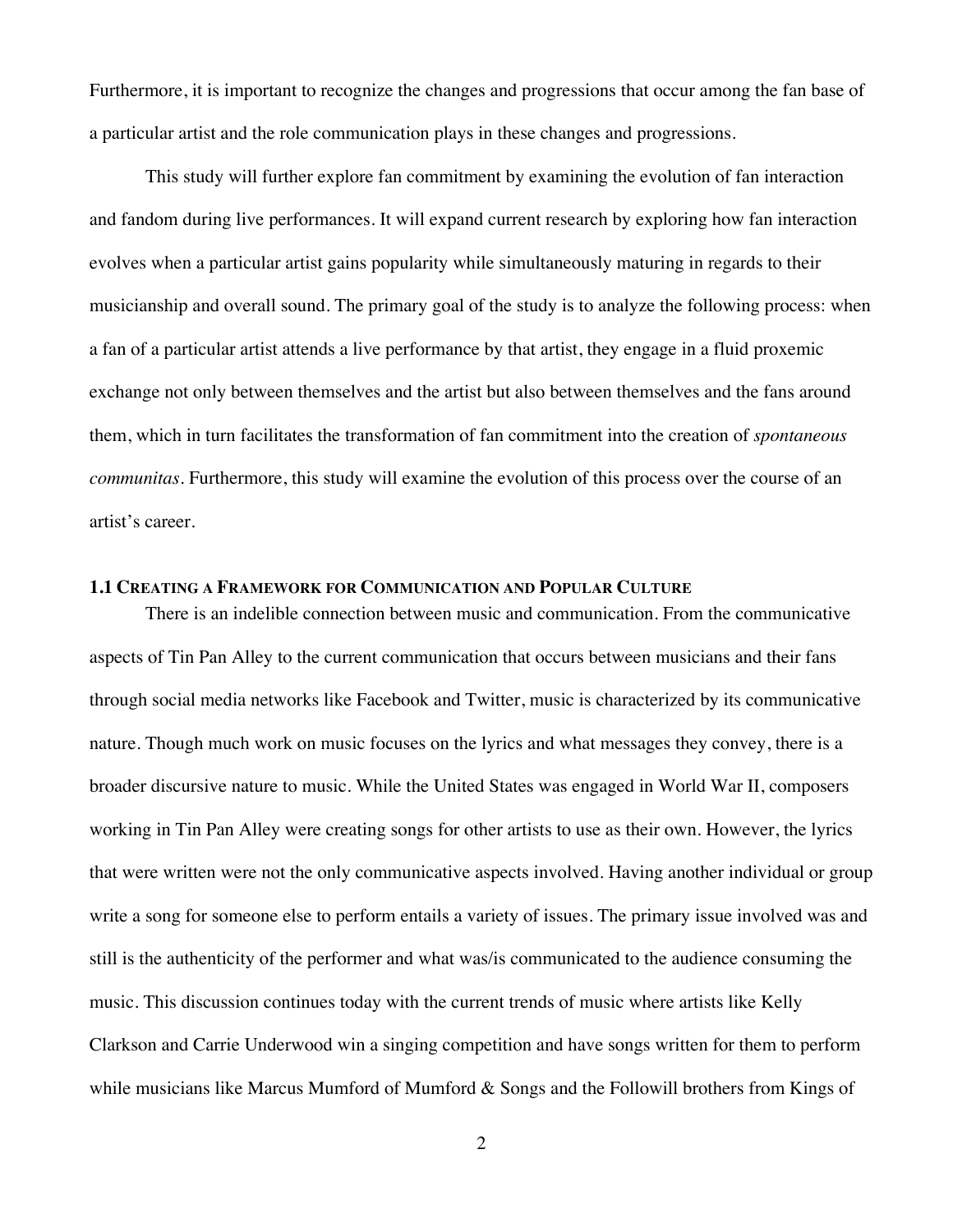Furthermore, it is important to recognize the changes and progressions that occur among the fan base of a particular artist and the role communication plays in these changes and progressions.

This study will further explore fan commitment by examining the evolution of fan interaction and fandom during live performances. It will expand current research by exploring how fan interaction evolves when a particular artist gains popularity while simultaneously maturing in regards to their musicianship and overall sound. The primary goal of the study is to analyze the following process: when a fan of a particular artist attends a live performance by that artist, they engage in a fluid proxemic exchange not only between themselves and the artist but also between themselves and the fans around them, which in turn facilitates the transformation of fan commitment into the creation of *spontaneous communitas*. Furthermore, this study will examine the evolution of this process over the course of an artist's career.

#### **1.1 CREATING A FRAMEWORK FOR COMMUNICATION AND POPULAR CULTURE**

There is an indelible connection between music and communication. From the communicative aspects of Tin Pan Alley to the current communication that occurs between musicians and their fans through social media networks like Facebook and Twitter, music is characterized by its communicative nature. Though much work on music focuses on the lyrics and what messages they convey, there is a broader discursive nature to music. While the United States was engaged in World War II, composers working in Tin Pan Alley were creating songs for other artists to use as their own. However, the lyrics that were written were not the only communicative aspects involved. Having another individual or group write a song for someone else to perform entails a variety of issues. The primary issue involved was and still is the authenticity of the performer and what was/is communicated to the audience consuming the music. This discussion continues today with the current trends of music where artists like Kelly Clarkson and Carrie Underwood win a singing competition and have songs written for them to perform while musicians like Marcus Mumford of Mumford & Songs and the Followill brothers from Kings of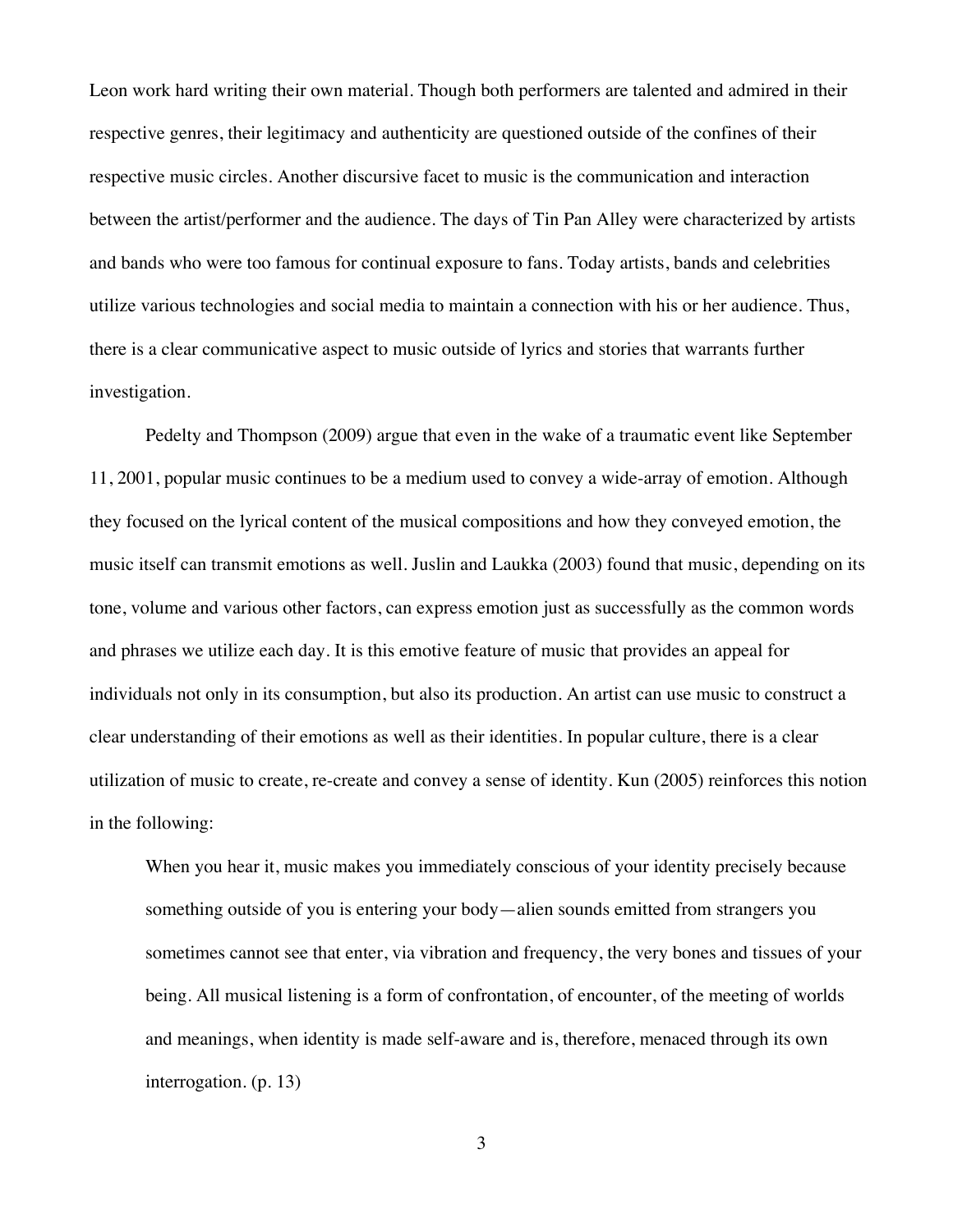Leon work hard writing their own material. Though both performers are talented and admired in their respective genres, their legitimacy and authenticity are questioned outside of the confines of their respective music circles. Another discursive facet to music is the communication and interaction between the artist/performer and the audience. The days of Tin Pan Alley were characterized by artists and bands who were too famous for continual exposure to fans. Today artists, bands and celebrities utilize various technologies and social media to maintain a connection with his or her audience. Thus, there is a clear communicative aspect to music outside of lyrics and stories that warrants further investigation.

Pedelty and Thompson (2009) argue that even in the wake of a traumatic event like September 11, 2001, popular music continues to be a medium used to convey a wide-array of emotion. Although they focused on the lyrical content of the musical compositions and how they conveyed emotion, the music itself can transmit emotions as well. Juslin and Laukka (2003) found that music, depending on its tone, volume and various other factors, can express emotion just as successfully as the common words and phrases we utilize each day. It is this emotive feature of music that provides an appeal for individuals not only in its consumption, but also its production. An artist can use music to construct a clear understanding of their emotions as well as their identities. In popular culture, there is a clear utilization of music to create, re-create and convey a sense of identity. Kun (2005) reinforces this notion in the following:

When you hear it, music makes you immediately conscious of your identity precisely because something outside of you is entering your body—alien sounds emitted from strangers you sometimes cannot see that enter, via vibration and frequency, the very bones and tissues of your being. All musical listening is a form of confrontation, of encounter, of the meeting of worlds and meanings, when identity is made self-aware and is, therefore, menaced through its own interrogation. (p. 13)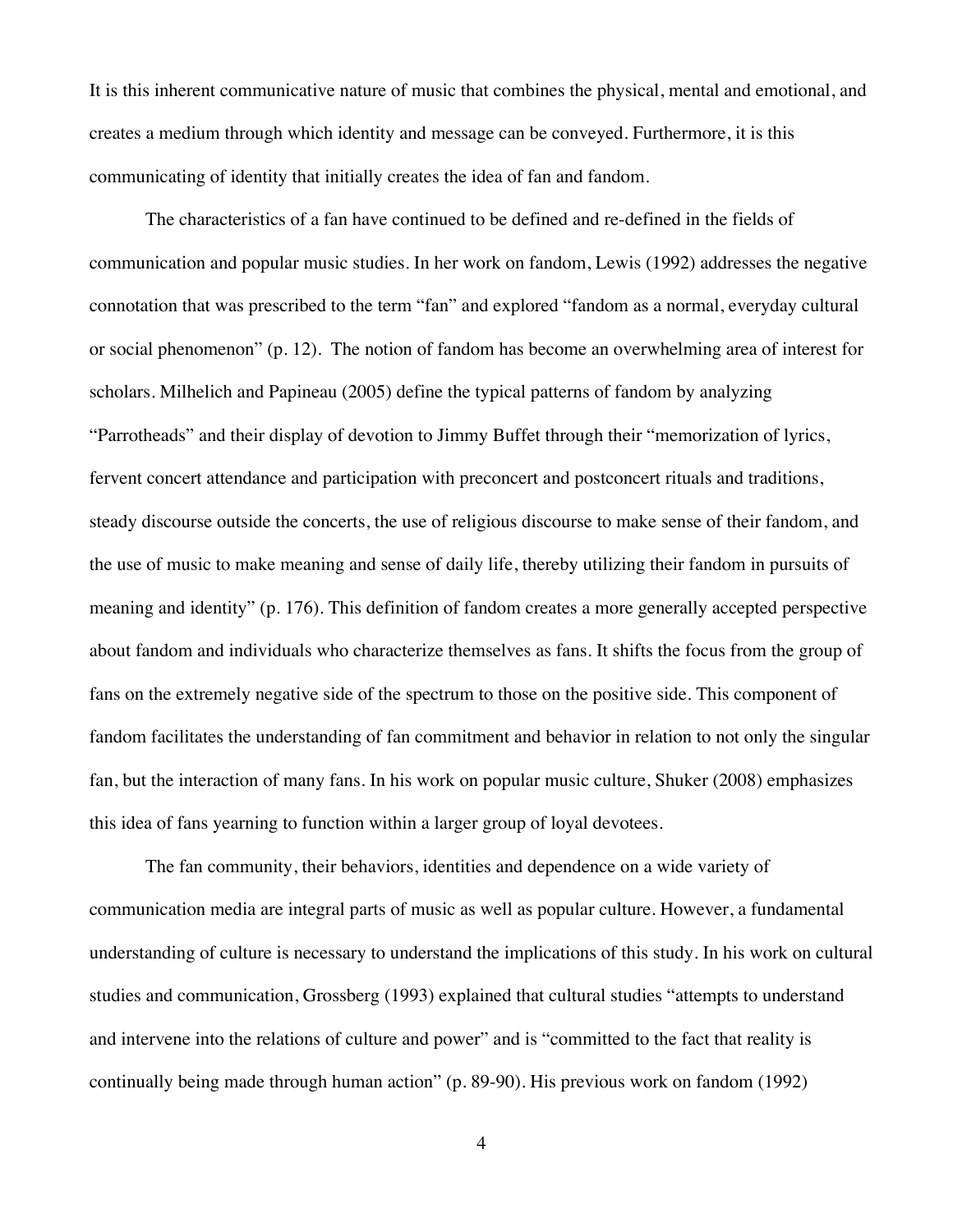It is this inherent communicative nature of music that combines the physical, mental and emotional, and creates a medium through which identity and message can be conveyed. Furthermore, it is this communicating of identity that initially creates the idea of fan and fandom.

The characteristics of a fan have continued to be defined and re-defined in the fields of communication and popular music studies. In her work on fandom, Lewis (1992) addresses the negative connotation that was prescribed to the term "fan" and explored "fandom as a normal, everyday cultural or social phenomenon" (p. 12). The notion of fandom has become an overwhelming area of interest for scholars. Milhelich and Papineau (2005) define the typical patterns of fandom by analyzing "Parrotheads" and their display of devotion to Jimmy Buffet through their "memorization of lyrics, fervent concert attendance and participation with preconcert and postconcert rituals and traditions, steady discourse outside the concerts, the use of religious discourse to make sense of their fandom, and the use of music to make meaning and sense of daily life, thereby utilizing their fandom in pursuits of meaning and identity" (p. 176). This definition of fandom creates a more generally accepted perspective about fandom and individuals who characterize themselves as fans. It shifts the focus from the group of fans on the extremely negative side of the spectrum to those on the positive side. This component of fandom facilitates the understanding of fan commitment and behavior in relation to not only the singular fan, but the interaction of many fans. In his work on popular music culture, Shuker (2008) emphasizes this idea of fans yearning to function within a larger group of loyal devotees.

The fan community, their behaviors, identities and dependence on a wide variety of communication media are integral parts of music as well as popular culture. However, a fundamental understanding of culture is necessary to understand the implications of this study. In his work on cultural studies and communication, Grossberg (1993) explained that cultural studies "attempts to understand and intervene into the relations of culture and power" and is "committed to the fact that reality is continually being made through human action" (p. 89-90). His previous work on fandom (1992)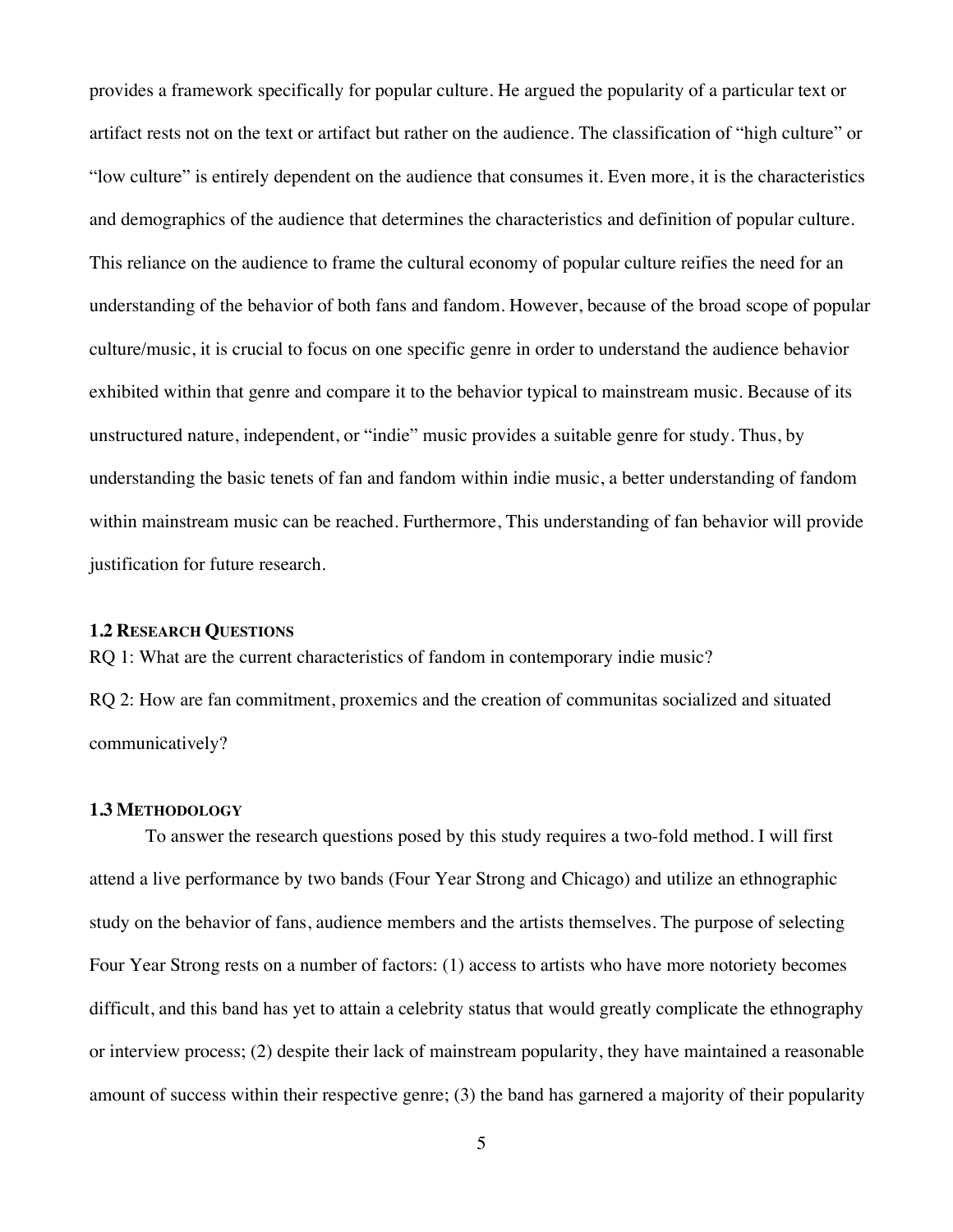provides a framework specifically for popular culture. He argued the popularity of a particular text or artifact rests not on the text or artifact but rather on the audience. The classification of "high culture" or "low culture" is entirely dependent on the audience that consumes it. Even more, it is the characteristics and demographics of the audience that determines the characteristics and definition of popular culture. This reliance on the audience to frame the cultural economy of popular culture reifies the need for an understanding of the behavior of both fans and fandom. However, because of the broad scope of popular culture/music, it is crucial to focus on one specific genre in order to understand the audience behavior exhibited within that genre and compare it to the behavior typical to mainstream music. Because of its unstructured nature, independent, or "indie" music provides a suitable genre for study. Thus, by understanding the basic tenets of fan and fandom within indie music, a better understanding of fandom within mainstream music can be reached. Furthermore, This understanding of fan behavior will provide justification for future research.

#### **1.2 RESEARCH QUESTIONS**

RQ 1: What are the current characteristics of fandom in contemporary indie music?

RQ 2: How are fan commitment, proxemics and the creation of communitas socialized and situated communicatively?

#### **1.3 METHODOLOGY**

To answer the research questions posed by this study requires a two-fold method. I will first attend a live performance by two bands (Four Year Strong and Chicago) and utilize an ethnographic study on the behavior of fans, audience members and the artists themselves. The purpose of selecting Four Year Strong rests on a number of factors: (1) access to artists who have more notoriety becomes difficult, and this band has yet to attain a celebrity status that would greatly complicate the ethnography or interview process; (2) despite their lack of mainstream popularity, they have maintained a reasonable amount of success within their respective genre; (3) the band has garnered a majority of their popularity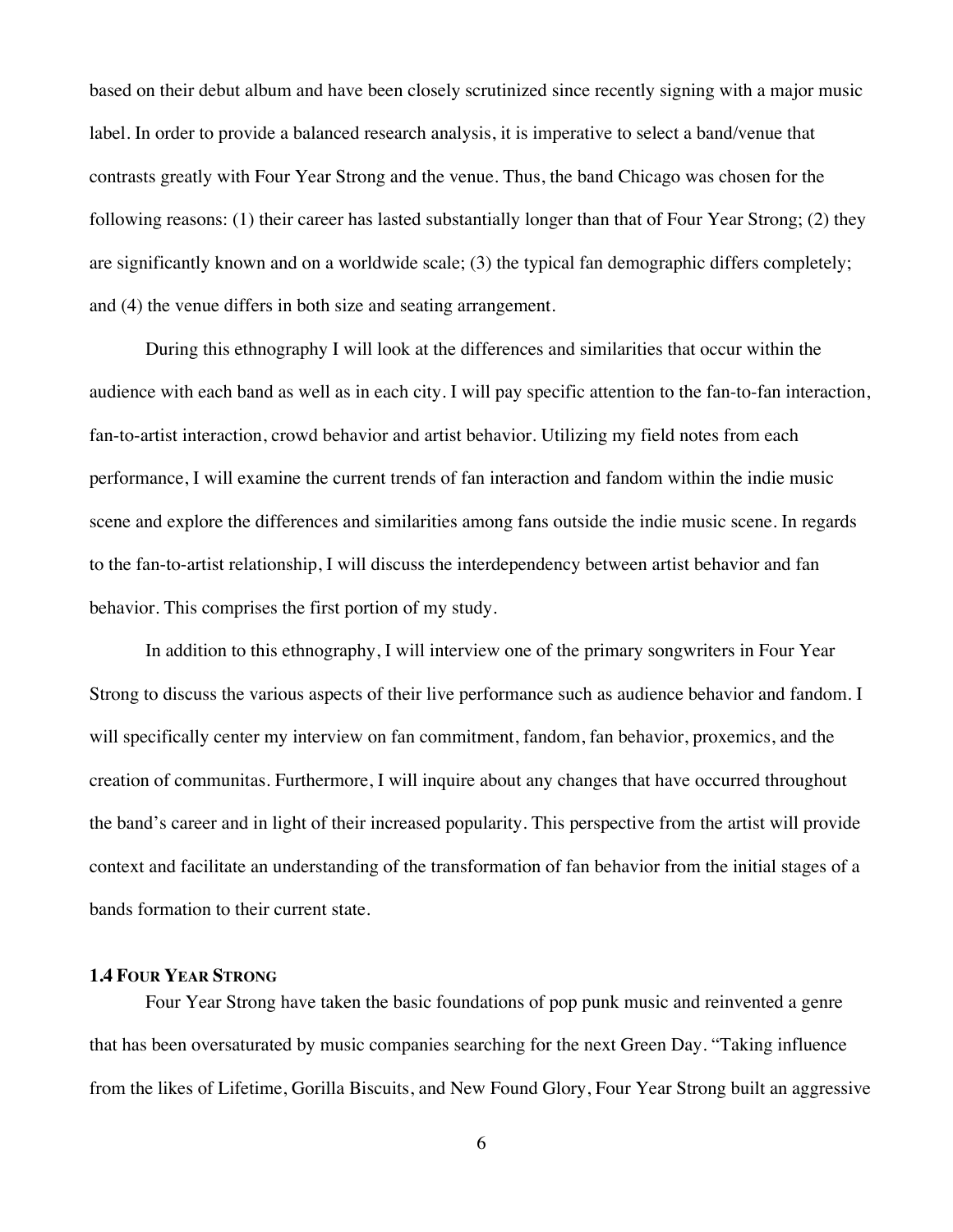based on their debut album and have been closely scrutinized since recently signing with a major music label. In order to provide a balanced research analysis, it is imperative to select a band/venue that contrasts greatly with Four Year Strong and the venue. Thus, the band Chicago was chosen for the following reasons: (1) their career has lasted substantially longer than that of Four Year Strong; (2) they are significantly known and on a worldwide scale; (3) the typical fan demographic differs completely; and (4) the venue differs in both size and seating arrangement.

During this ethnography I will look at the differences and similarities that occur within the audience with each band as well as in each city. I will pay specific attention to the fan-to-fan interaction, fan-to-artist interaction, crowd behavior and artist behavior. Utilizing my field notes from each performance, I will examine the current trends of fan interaction and fandom within the indie music scene and explore the differences and similarities among fans outside the indie music scene. In regards to the fan-to-artist relationship, I will discuss the interdependency between artist behavior and fan behavior. This comprises the first portion of my study.

In addition to this ethnography, I will interview one of the primary songwriters in Four Year Strong to discuss the various aspects of their live performance such as audience behavior and fandom. I will specifically center my interview on fan commitment, fandom, fan behavior, proxemics, and the creation of communitas. Furthermore, I will inquire about any changes that have occurred throughout the band's career and in light of their increased popularity. This perspective from the artist will provide context and facilitate an understanding of the transformation of fan behavior from the initial stages of a bands formation to their current state.

## **1.4 FOUR YEAR STRONG**

Four Year Strong have taken the basic foundations of pop punk music and reinvented a genre that has been oversaturated by music companies searching for the next Green Day. "Taking influence from the likes of Lifetime, Gorilla Biscuits, and New Found Glory, Four Year Strong built an aggressive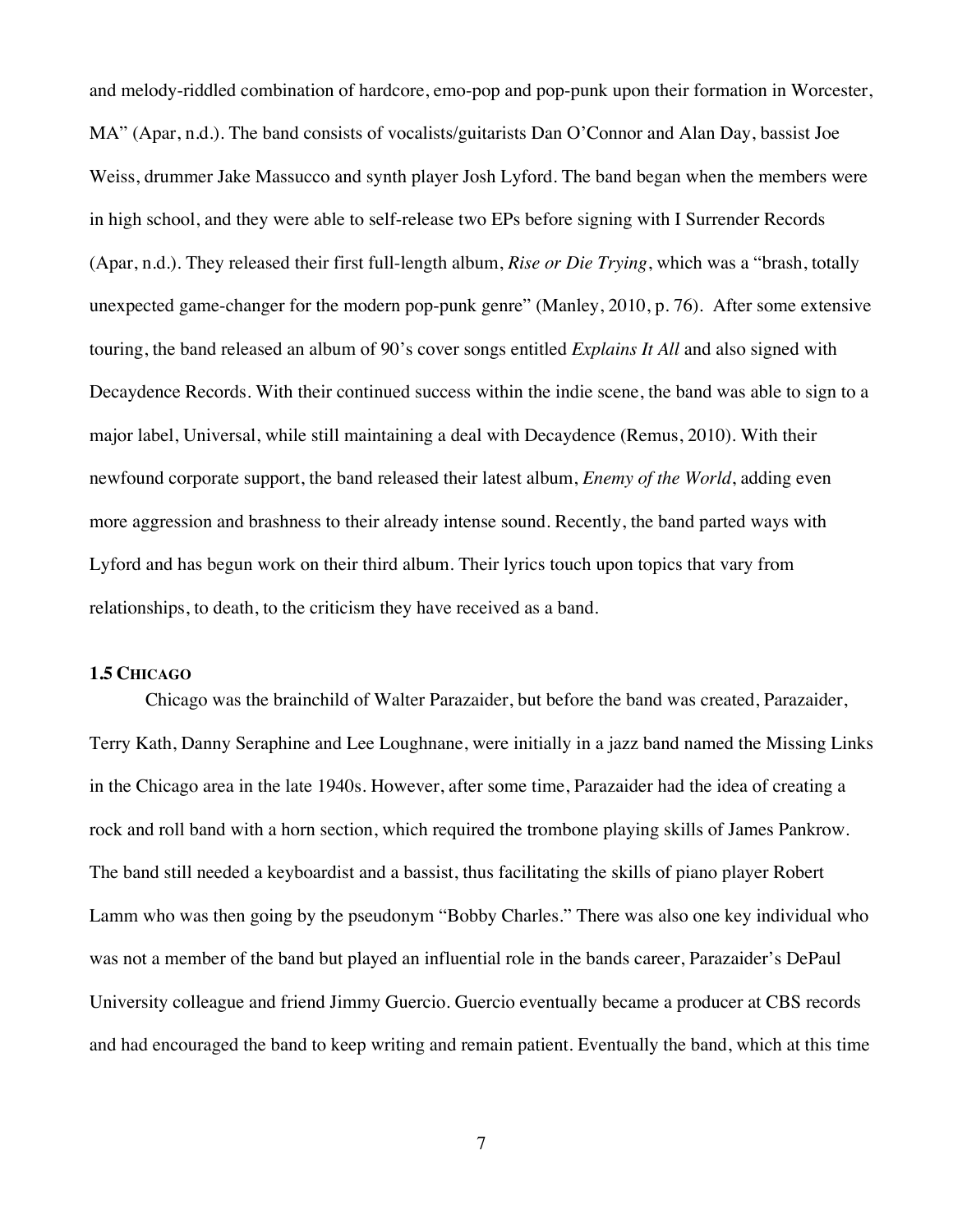and melody-riddled combination of hardcore, emo-pop and pop-punk upon their formation in Worcester, MA" (Apar, n.d.). The band consists of vocalists/guitarists Dan O'Connor and Alan Day, bassist Joe Weiss, drummer Jake Massucco and synth player Josh Lyford. The band began when the members were in high school, and they were able to self-release two EPs before signing with I Surrender Records (Apar, n.d.). They released their first full-length album, *Rise or Die Trying*, which was a "brash, totally unexpected game-changer for the modern pop-punk genre" (Manley, 2010, p. 76). After some extensive touring, the band released an album of 90's cover songs entitled *Explains It All* and also signed with Decaydence Records. With their continued success within the indie scene, the band was able to sign to a major label, Universal, while still maintaining a deal with Decaydence (Remus, 2010). With their newfound corporate support, the band released their latest album, *Enemy of the World*, adding even more aggression and brashness to their already intense sound. Recently, the band parted ways with Lyford and has begun work on their third album. Their lyrics touch upon topics that vary from relationships, to death, to the criticism they have received as a band.

#### **1.5 CHICAGO**

Chicago was the brainchild of Walter Parazaider, but before the band was created, Parazaider, Terry Kath, Danny Seraphine and Lee Loughnane, were initially in a jazz band named the Missing Links in the Chicago area in the late 1940s. However, after some time, Parazaider had the idea of creating a rock and roll band with a horn section, which required the trombone playing skills of James Pankrow. The band still needed a keyboardist and a bassist, thus facilitating the skills of piano player Robert Lamm who was then going by the pseudonym "Bobby Charles." There was also one key individual who was not a member of the band but played an influential role in the bands career, Parazaider's DePaul University colleague and friend Jimmy Guercio. Guercio eventually became a producer at CBS records and had encouraged the band to keep writing and remain patient. Eventually the band, which at this time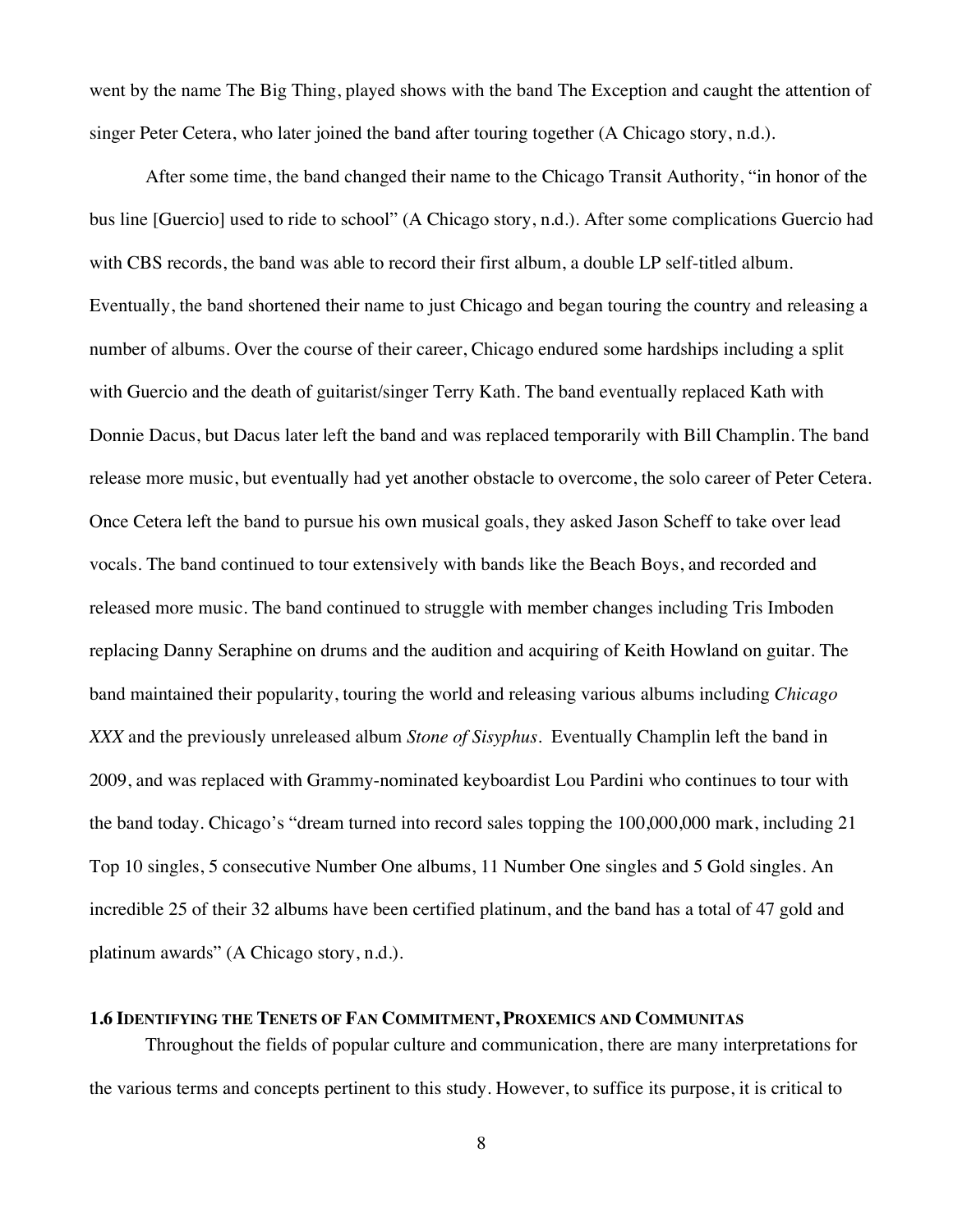went by the name The Big Thing, played shows with the band The Exception and caught the attention of singer Peter Cetera, who later joined the band after touring together (A Chicago story, n.d.).

After some time, the band changed their name to the Chicago Transit Authority, "in honor of the bus line [Guercio] used to ride to school" (A Chicago story, n.d.). After some complications Guercio had with CBS records, the band was able to record their first album, a double LP self-titled album. Eventually, the band shortened their name to just Chicago and began touring the country and releasing a number of albums. Over the course of their career, Chicago endured some hardships including a split with Guercio and the death of guitarist/singer Terry Kath. The band eventually replaced Kath with Donnie Dacus, but Dacus later left the band and was replaced temporarily with Bill Champlin. The band release more music, but eventually had yet another obstacle to overcome, the solo career of Peter Cetera. Once Cetera left the band to pursue his own musical goals, they asked Jason Scheff to take over lead vocals. The band continued to tour extensively with bands like the Beach Boys, and recorded and released more music. The band continued to struggle with member changes including Tris Imboden replacing Danny Seraphine on drums and the audition and acquiring of Keith Howland on guitar. The band maintained their popularity, touring the world and releasing various albums including *Chicago XXX* and the previously unreleased album *Stone of Sisyphus*. Eventually Champlin left the band in 2009, and was replaced with Grammy-nominated keyboardist Lou Pardini who continues to tour with the band today. Chicago's "dream turned into record sales topping the 100,000,000 mark, including 21 Top 10 singles, 5 consecutive Number One albums, 11 Number One singles and 5 Gold singles. An incredible 25 of their 32 albums have been certified platinum, and the band has a total of 47 gold and platinum awards" (A Chicago story, n.d.).

## **1.6 IDENTIFYING THE TENETS OF FAN COMMITMENT, PROXEMICS AND COMMUNITAS**

Throughout the fields of popular culture and communication, there are many interpretations for the various terms and concepts pertinent to this study. However, to suffice its purpose, it is critical to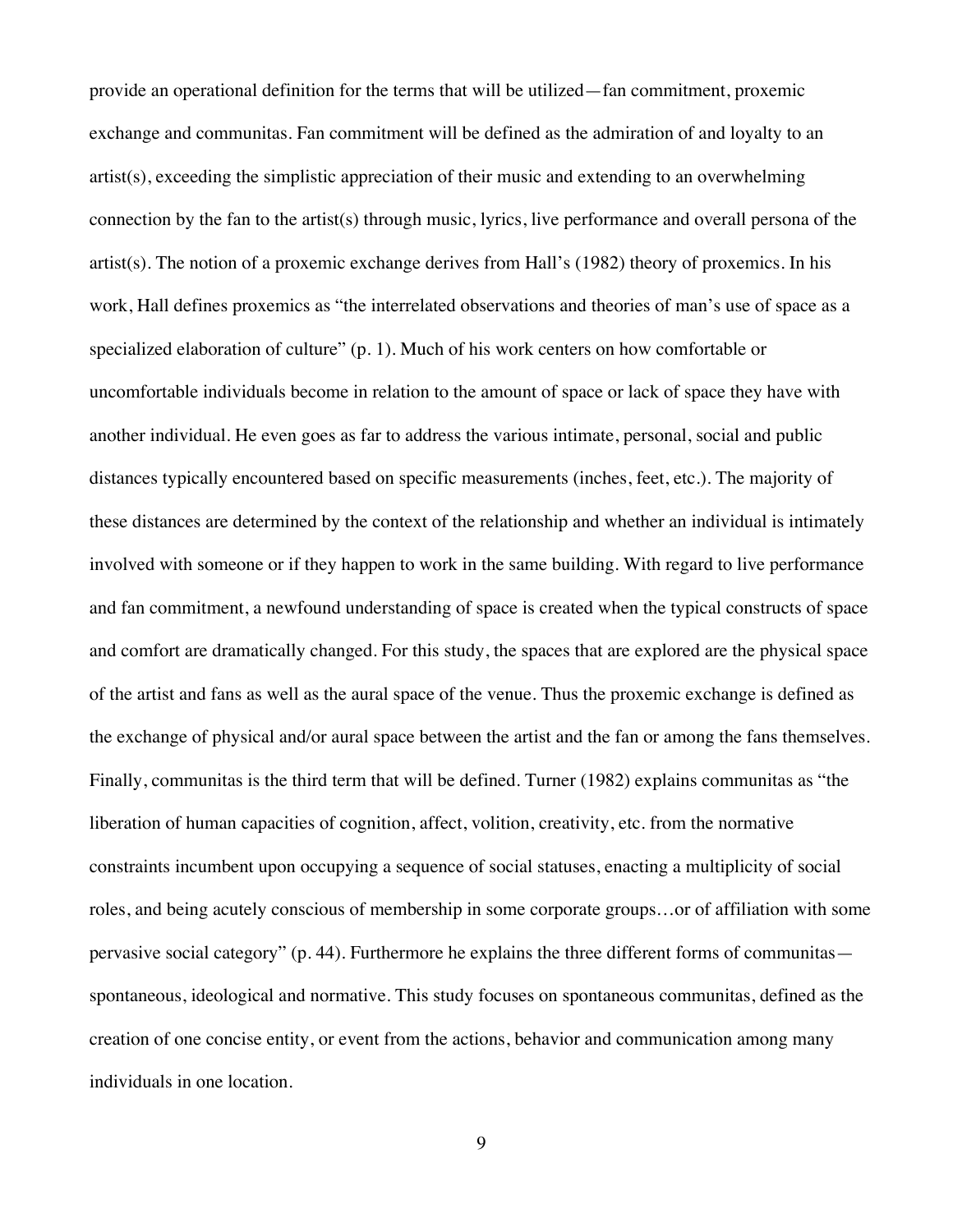provide an operational definition for the terms that will be utilized—fan commitment, proxemic exchange and communitas. Fan commitment will be defined as the admiration of and loyalty to an artist(s), exceeding the simplistic appreciation of their music and extending to an overwhelming connection by the fan to the artist(s) through music, lyrics, live performance and overall persona of the artist(s). The notion of a proxemic exchange derives from Hall's (1982) theory of proxemics. In his work, Hall defines proxemics as "the interrelated observations and theories of man's use of space as a specialized elaboration of culture" (p. 1). Much of his work centers on how comfortable or uncomfortable individuals become in relation to the amount of space or lack of space they have with another individual. He even goes as far to address the various intimate, personal, social and public distances typically encountered based on specific measurements (inches, feet, etc.). The majority of these distances are determined by the context of the relationship and whether an individual is intimately involved with someone or if they happen to work in the same building. With regard to live performance and fan commitment, a newfound understanding of space is created when the typical constructs of space and comfort are dramatically changed. For this study, the spaces that are explored are the physical space of the artist and fans as well as the aural space of the venue. Thus the proxemic exchange is defined as the exchange of physical and/or aural space between the artist and the fan or among the fans themselves. Finally, communitas is the third term that will be defined. Turner (1982) explains communitas as "the liberation of human capacities of cognition, affect, volition, creativity, etc. from the normative constraints incumbent upon occupying a sequence of social statuses, enacting a multiplicity of social roles, and being acutely conscious of membership in some corporate groups…or of affiliation with some pervasive social category" (p. 44). Furthermore he explains the three different forms of communitas spontaneous, ideological and normative. This study focuses on spontaneous communitas, defined as the creation of one concise entity, or event from the actions, behavior and communication among many individuals in one location.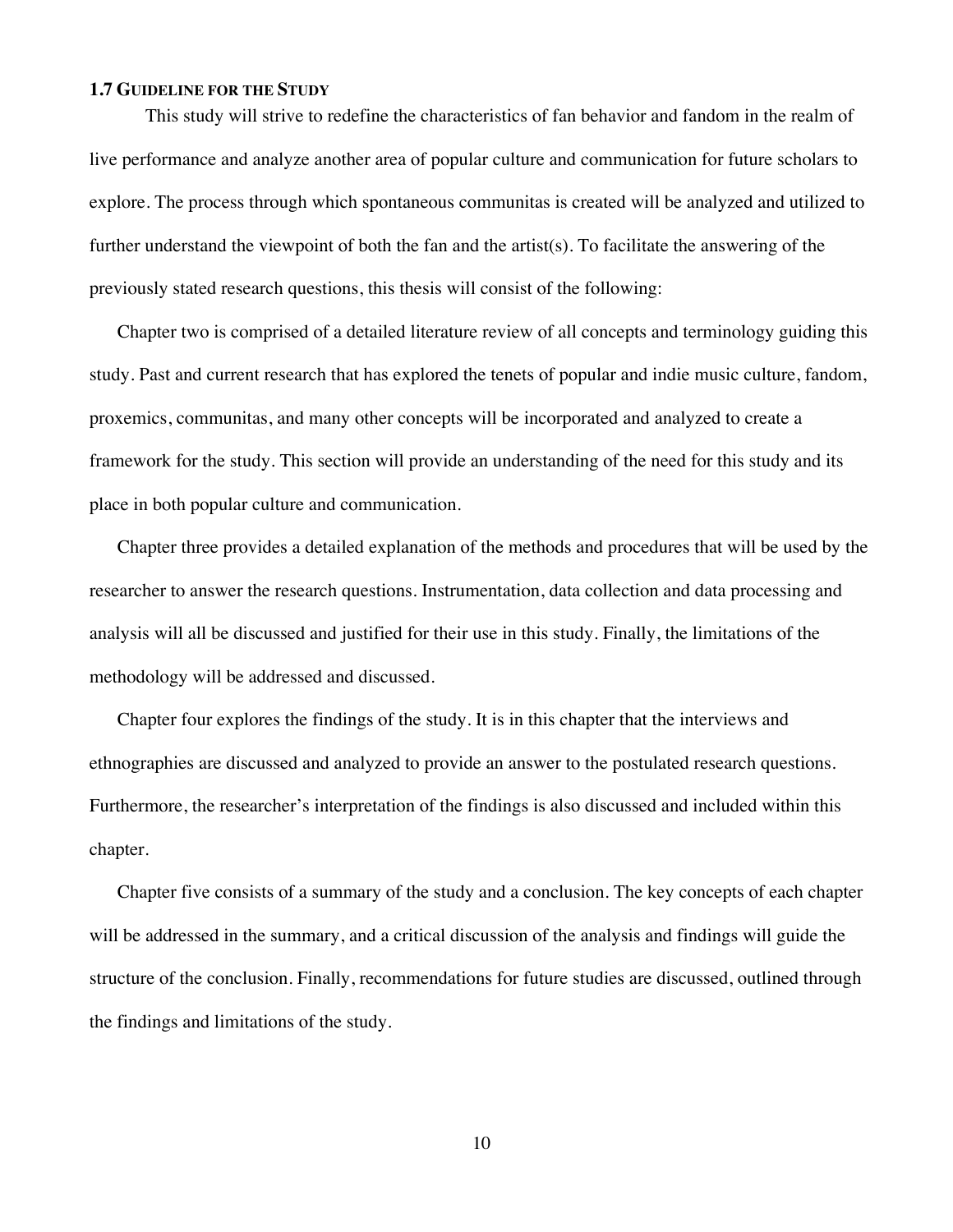### **1.7 GUIDELINE FOR THE STUDY**

This study will strive to redefine the characteristics of fan behavior and fandom in the realm of live performance and analyze another area of popular culture and communication for future scholars to explore. The process through which spontaneous communitas is created will be analyzed and utilized to further understand the viewpoint of both the fan and the artist(s). To facilitate the answering of the previously stated research questions, this thesis will consist of the following:

Chapter two is comprised of a detailed literature review of all concepts and terminology guiding this study. Past and current research that has explored the tenets of popular and indie music culture, fandom, proxemics, communitas, and many other concepts will be incorporated and analyzed to create a framework for the study. This section will provide an understanding of the need for this study and its place in both popular culture and communication.

Chapter three provides a detailed explanation of the methods and procedures that will be used by the researcher to answer the research questions. Instrumentation, data collection and data processing and analysis will all be discussed and justified for their use in this study. Finally, the limitations of the methodology will be addressed and discussed.

Chapter four explores the findings of the study. It is in this chapter that the interviews and ethnographies are discussed and analyzed to provide an answer to the postulated research questions. Furthermore, the researcher's interpretation of the findings is also discussed and included within this chapter.

Chapter five consists of a summary of the study and a conclusion. The key concepts of each chapter will be addressed in the summary, and a critical discussion of the analysis and findings will guide the structure of the conclusion. Finally, recommendations for future studies are discussed, outlined through the findings and limitations of the study.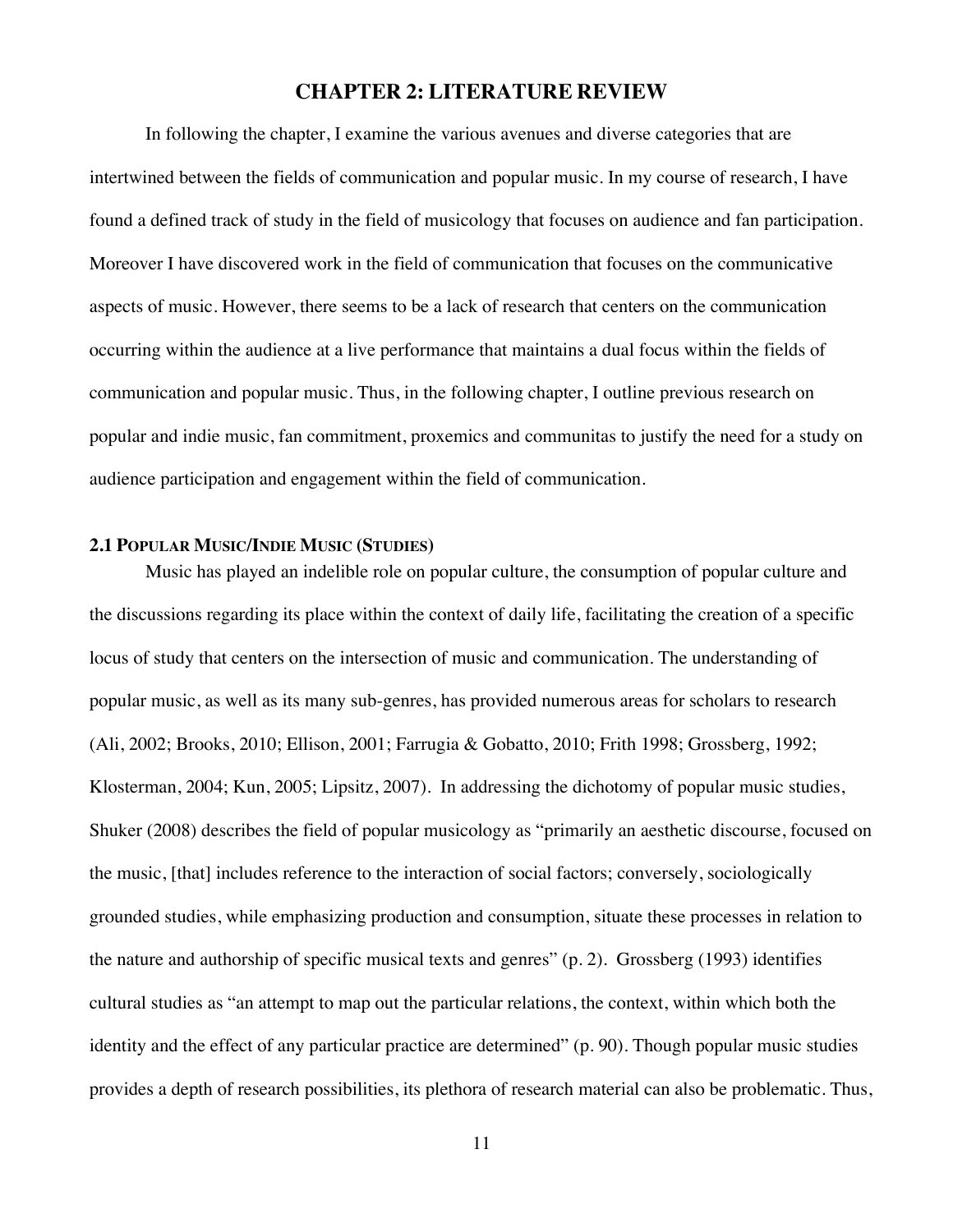## **CHAPTER 2: LITERATURE REVIEW**

In following the chapter, I examine the various avenues and diverse categories that are intertwined between the fields of communication and popular music. In my course of research, I have found a defined track of study in the field of musicology that focuses on audience and fan participation. Moreover I have discovered work in the field of communication that focuses on the communicative aspects of music. However, there seems to be a lack of research that centers on the communication occurring within the audience at a live performance that maintains a dual focus within the fields of communication and popular music. Thus, in the following chapter, I outline previous research on popular and indie music, fan commitment, proxemics and communitas to justify the need for a study on audience participation and engagement within the field of communication.

## **2.1 POPULAR MUSIC/INDIE MUSIC (STUDIES)**

Music has played an indelible role on popular culture, the consumption of popular culture and the discussions regarding its place within the context of daily life, facilitating the creation of a specific locus of study that centers on the intersection of music and communication. The understanding of popular music, as well as its many sub-genres, has provided numerous areas for scholars to research (Ali, 2002; Brooks, 2010; Ellison, 2001; Farrugia & Gobatto, 2010; Frith 1998; Grossberg, 1992; Klosterman, 2004; Kun, 2005; Lipsitz, 2007). In addressing the dichotomy of popular music studies, Shuker (2008) describes the field of popular musicology as "primarily an aesthetic discourse, focused on the music, [that] includes reference to the interaction of social factors; conversely, sociologically grounded studies, while emphasizing production and consumption, situate these processes in relation to the nature and authorship of specific musical texts and genres" (p. 2). Grossberg (1993) identifies cultural studies as "an attempt to map out the particular relations, the context, within which both the identity and the effect of any particular practice are determined" (p. 90). Though popular music studies provides a depth of research possibilities, its plethora of research material can also be problematic. Thus,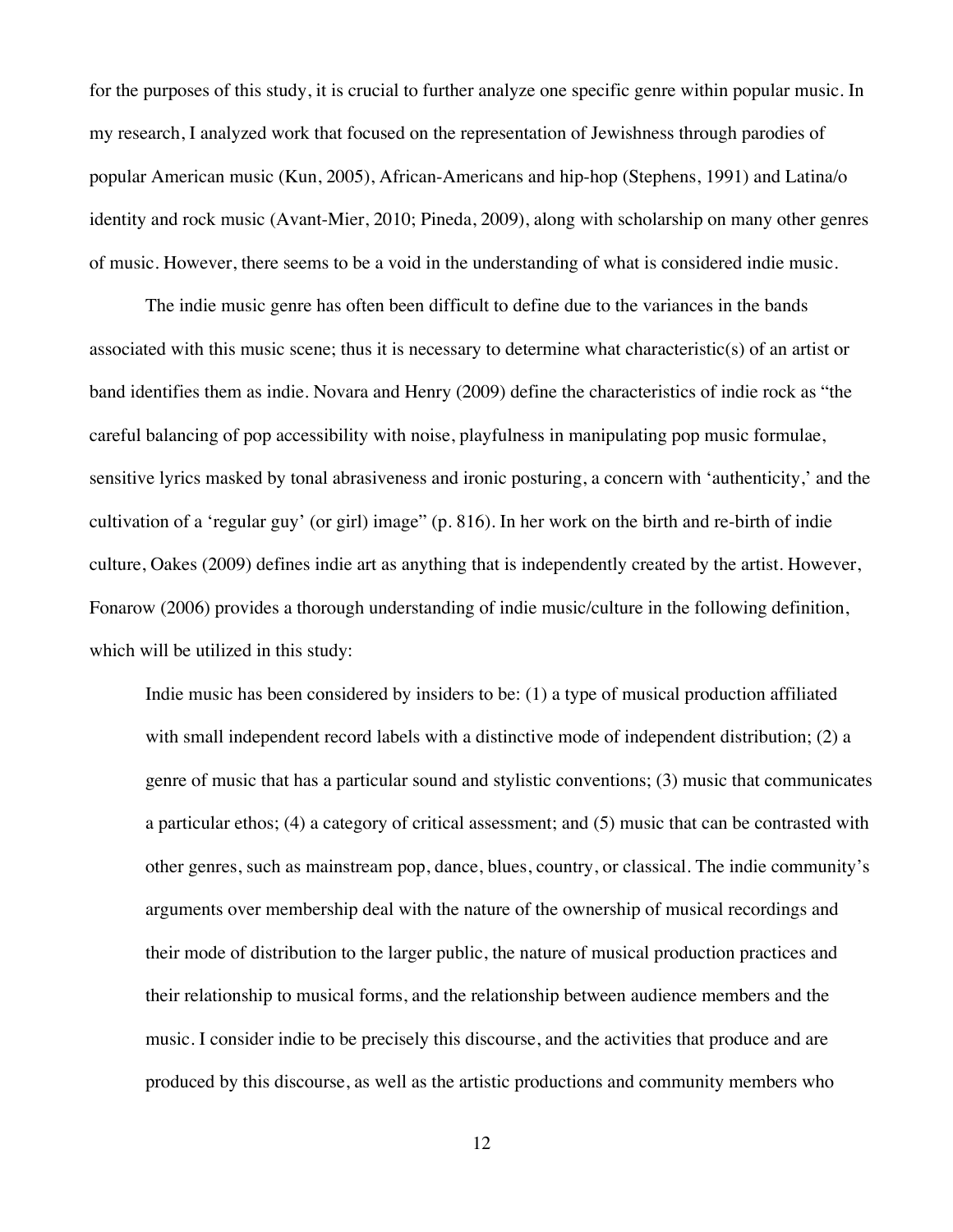for the purposes of this study, it is crucial to further analyze one specific genre within popular music. In my research, I analyzed work that focused on the representation of Jewishness through parodies of popular American music (Kun, 2005), African-Americans and hip-hop (Stephens, 1991) and Latina/o identity and rock music (Avant-Mier, 2010; Pineda, 2009), along with scholarship on many other genres of music. However, there seems to be a void in the understanding of what is considered indie music.

The indie music genre has often been difficult to define due to the variances in the bands associated with this music scene; thus it is necessary to determine what characteristic(s) of an artist or band identifies them as indie. Novara and Henry (2009) define the characteristics of indie rock as "the careful balancing of pop accessibility with noise, playfulness in manipulating pop music formulae, sensitive lyrics masked by tonal abrasiveness and ironic posturing, a concern with 'authenticity,' and the cultivation of a 'regular guy' (or girl) image" (p. 816). In her work on the birth and re-birth of indie culture, Oakes (2009) defines indie art as anything that is independently created by the artist. However, Fonarow (2006) provides a thorough understanding of indie music/culture in the following definition, which will be utilized in this study:

Indie music has been considered by insiders to be: (1) a type of musical production affiliated with small independent record labels with a distinctive mode of independent distribution; (2) a genre of music that has a particular sound and stylistic conventions; (3) music that communicates a particular ethos; (4) a category of critical assessment; and (5) music that can be contrasted with other genres, such as mainstream pop, dance, blues, country, or classical. The indie community's arguments over membership deal with the nature of the ownership of musical recordings and their mode of distribution to the larger public, the nature of musical production practices and their relationship to musical forms, and the relationship between audience members and the music. I consider indie to be precisely this discourse, and the activities that produce and are produced by this discourse, as well as the artistic productions and community members who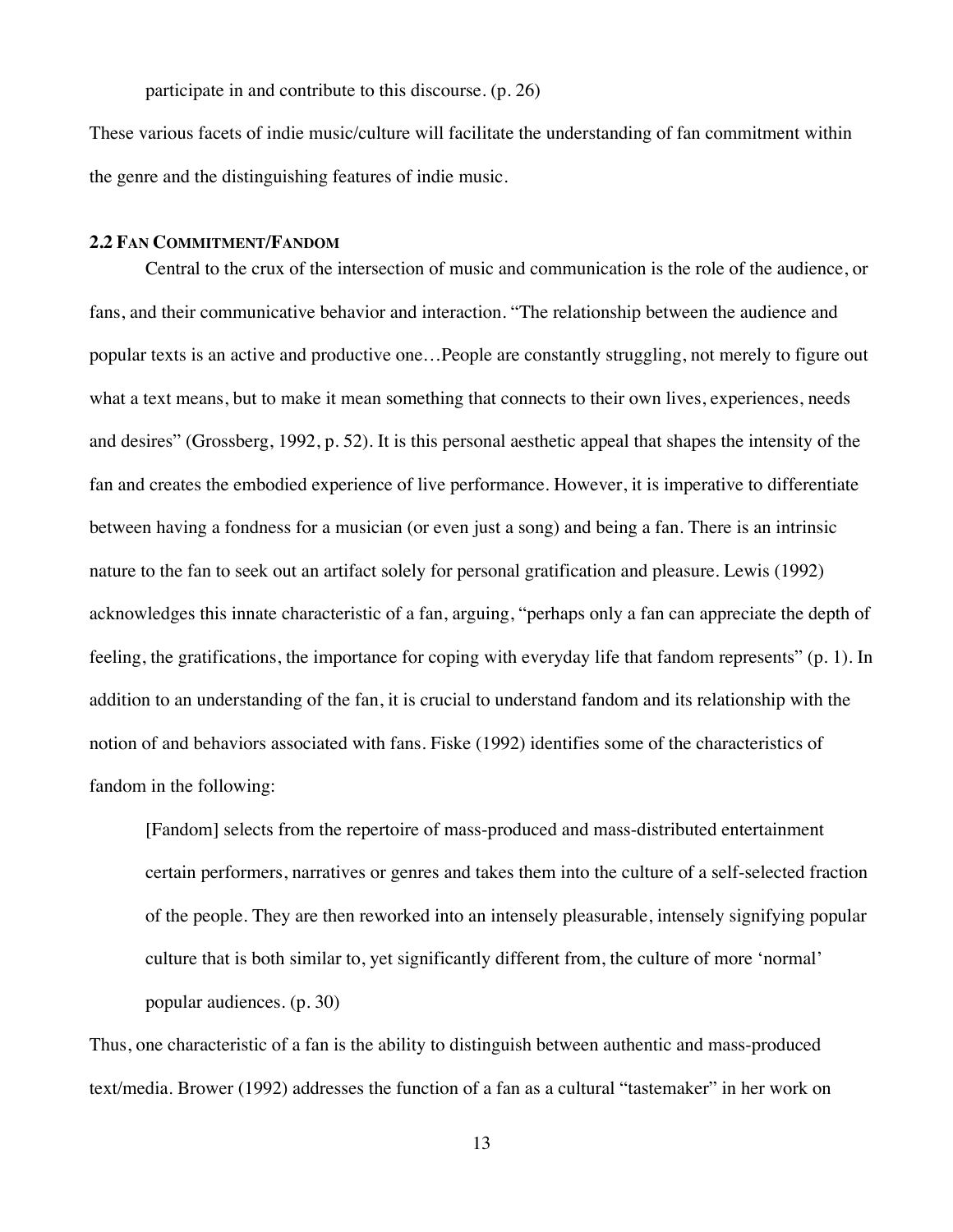participate in and contribute to this discourse. (p. 26)

These various facets of indie music/culture will facilitate the understanding of fan commitment within the genre and the distinguishing features of indie music.

## **2.2 FAN COMMITMENT/FANDOM**

Central to the crux of the intersection of music and communication is the role of the audience, or fans, and their communicative behavior and interaction. "The relationship between the audience and popular texts is an active and productive one…People are constantly struggling, not merely to figure out what a text means, but to make it mean something that connects to their own lives, experiences, needs and desires" (Grossberg, 1992, p. 52). It is this personal aesthetic appeal that shapes the intensity of the fan and creates the embodied experience of live performance. However, it is imperative to differentiate between having a fondness for a musician (or even just a song) and being a fan. There is an intrinsic nature to the fan to seek out an artifact solely for personal gratification and pleasure. Lewis (1992) acknowledges this innate characteristic of a fan, arguing, "perhaps only a fan can appreciate the depth of feeling, the gratifications, the importance for coping with everyday life that fandom represents" (p. 1). In addition to an understanding of the fan, it is crucial to understand fandom and its relationship with the notion of and behaviors associated with fans. Fiske (1992) identifies some of the characteristics of fandom in the following:

[Fandom] selects from the repertoire of mass-produced and mass-distributed entertainment certain performers, narratives or genres and takes them into the culture of a self-selected fraction of the people. They are then reworked into an intensely pleasurable, intensely signifying popular culture that is both similar to, yet significantly different from, the culture of more 'normal' popular audiences. (p. 30)

Thus, one characteristic of a fan is the ability to distinguish between authentic and mass-produced text/media. Brower (1992) addresses the function of a fan as a cultural "tastemaker" in her work on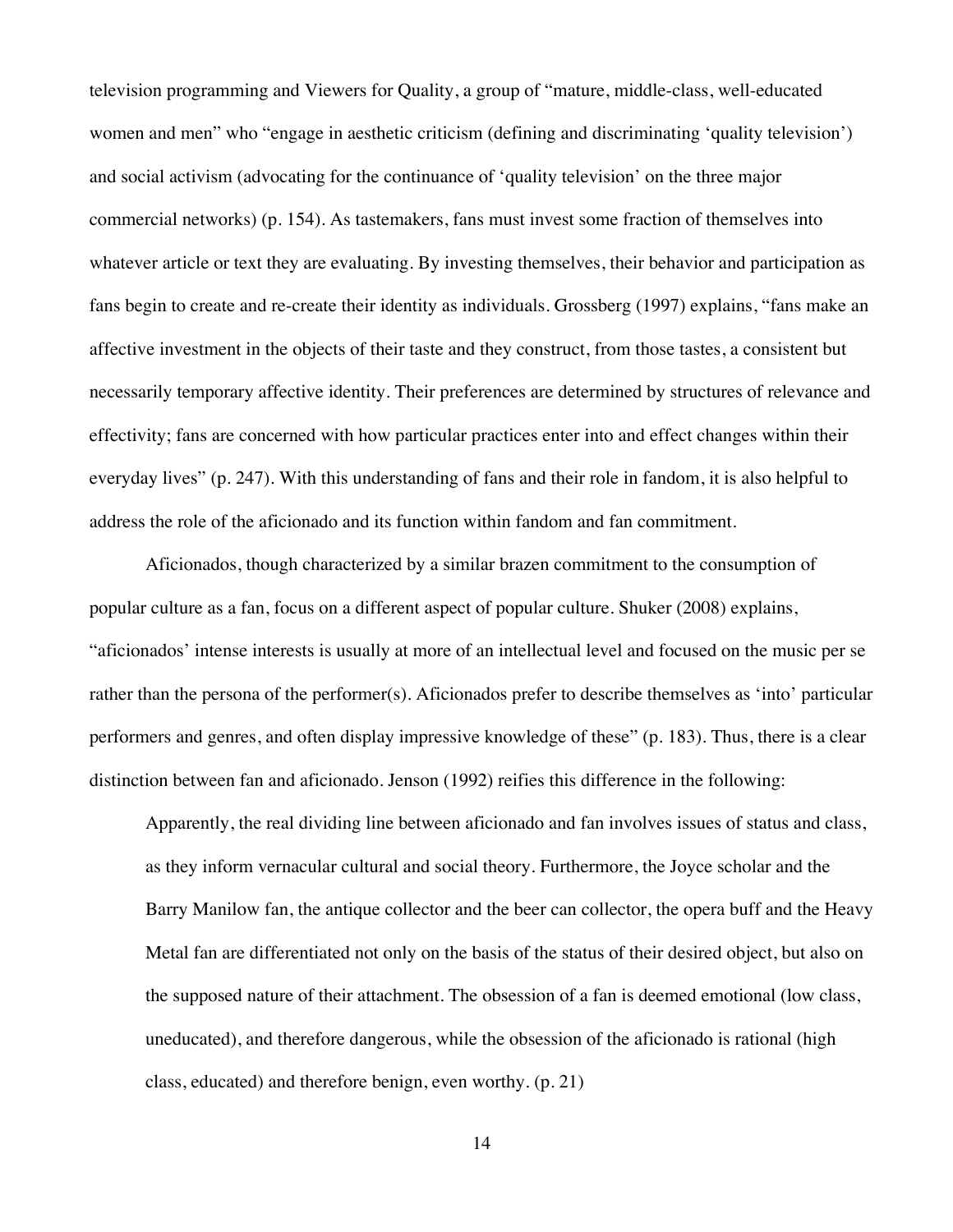television programming and Viewers for Quality, a group of "mature, middle-class, well-educated women and men" who "engage in aesthetic criticism (defining and discriminating 'quality television') and social activism (advocating for the continuance of 'quality television' on the three major commercial networks) (p. 154). As tastemakers, fans must invest some fraction of themselves into whatever article or text they are evaluating. By investing themselves, their behavior and participation as fans begin to create and re-create their identity as individuals. Grossberg (1997) explains, "fans make an affective investment in the objects of their taste and they construct, from those tastes, a consistent but necessarily temporary affective identity. Their preferences are determined by structures of relevance and effectivity; fans are concerned with how particular practices enter into and effect changes within their everyday lives" (p. 247). With this understanding of fans and their role in fandom, it is also helpful to address the role of the aficionado and its function within fandom and fan commitment.

Aficionados, though characterized by a similar brazen commitment to the consumption of popular culture as a fan, focus on a different aspect of popular culture. Shuker (2008) explains, "aficionados' intense interests is usually at more of an intellectual level and focused on the music per se rather than the persona of the performer(s). Aficionados prefer to describe themselves as 'into' particular performers and genres, and often display impressive knowledge of these" (p. 183). Thus, there is a clear distinction between fan and aficionado. Jenson (1992) reifies this difference in the following:

Apparently, the real dividing line between aficionado and fan involves issues of status and class, as they inform vernacular cultural and social theory. Furthermore, the Joyce scholar and the Barry Manilow fan, the antique collector and the beer can collector, the opera buff and the Heavy Metal fan are differentiated not only on the basis of the status of their desired object, but also on the supposed nature of their attachment. The obsession of a fan is deemed emotional (low class, uneducated), and therefore dangerous, while the obsession of the aficionado is rational (high class, educated) and therefore benign, even worthy. (p. 21)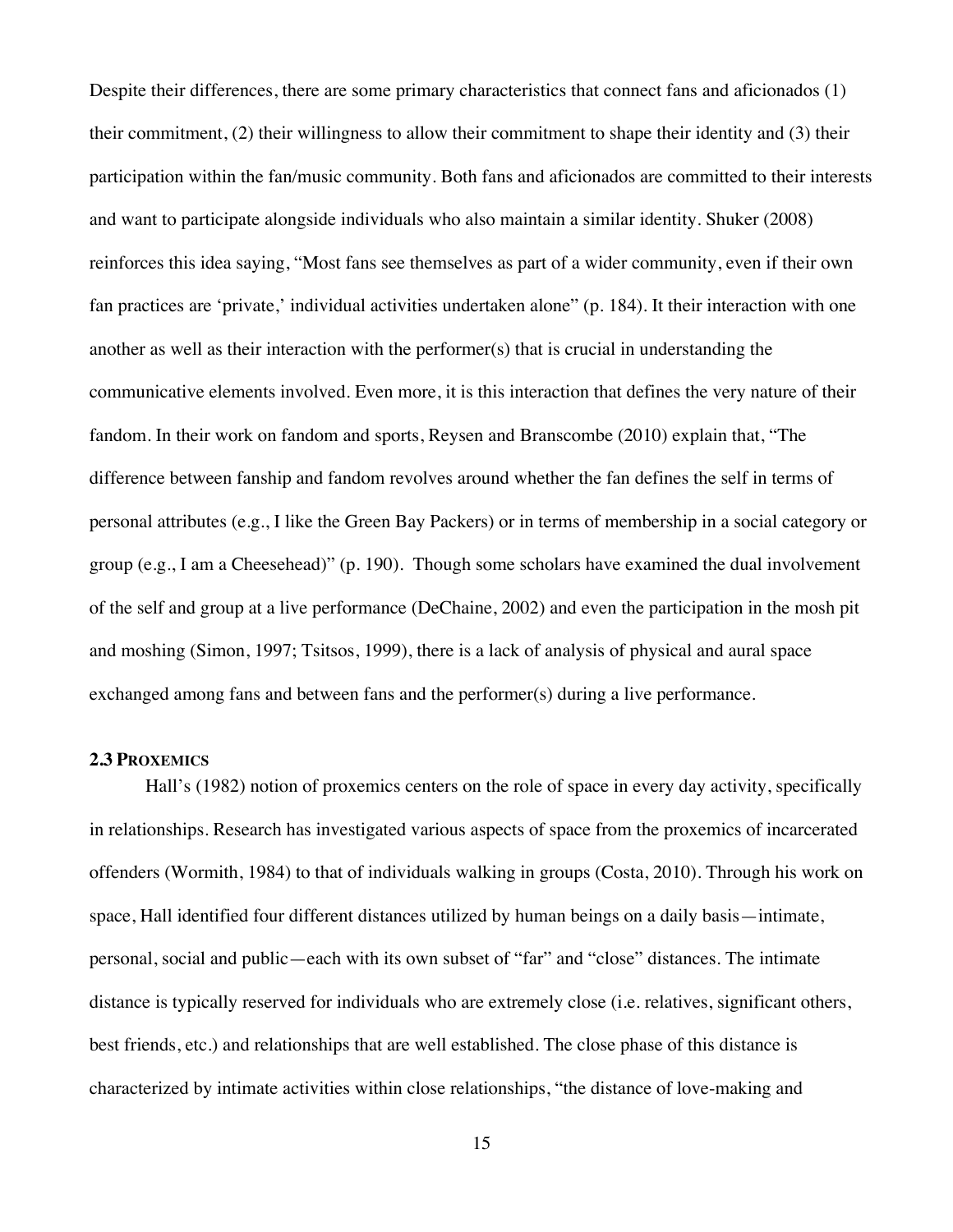Despite their differences, there are some primary characteristics that connect fans and aficionados (1) their commitment, (2) their willingness to allow their commitment to shape their identity and (3) their participation within the fan/music community. Both fans and aficionados are committed to their interests and want to participate alongside individuals who also maintain a similar identity. Shuker (2008) reinforces this idea saying, "Most fans see themselves as part of a wider community, even if their own fan practices are 'private,' individual activities undertaken alone" (p. 184). It their interaction with one another as well as their interaction with the performer(s) that is crucial in understanding the communicative elements involved. Even more, it is this interaction that defines the very nature of their fandom. In their work on fandom and sports, Reysen and Branscombe (2010) explain that, "The difference between fanship and fandom revolves around whether the fan defines the self in terms of personal attributes (e.g., I like the Green Bay Packers) or in terms of membership in a social category or group (e.g., I am a Cheesehead)" (p. 190). Though some scholars have examined the dual involvement of the self and group at a live performance (DeChaine, 2002) and even the participation in the mosh pit and moshing (Simon, 1997; Tsitsos, 1999), there is a lack of analysis of physical and aural space exchanged among fans and between fans and the performer(s) during a live performance.

## **2.3 PROXEMICS**

Hall's (1982) notion of proxemics centers on the role of space in every day activity, specifically in relationships. Research has investigated various aspects of space from the proxemics of incarcerated offenders (Wormith, 1984) to that of individuals walking in groups (Costa, 2010). Through his work on space, Hall identified four different distances utilized by human beings on a daily basis—intimate, personal, social and public—each with its own subset of "far" and "close" distances. The intimate distance is typically reserved for individuals who are extremely close (i.e. relatives, significant others, best friends, etc.) and relationships that are well established. The close phase of this distance is characterized by intimate activities within close relationships, "the distance of love-making and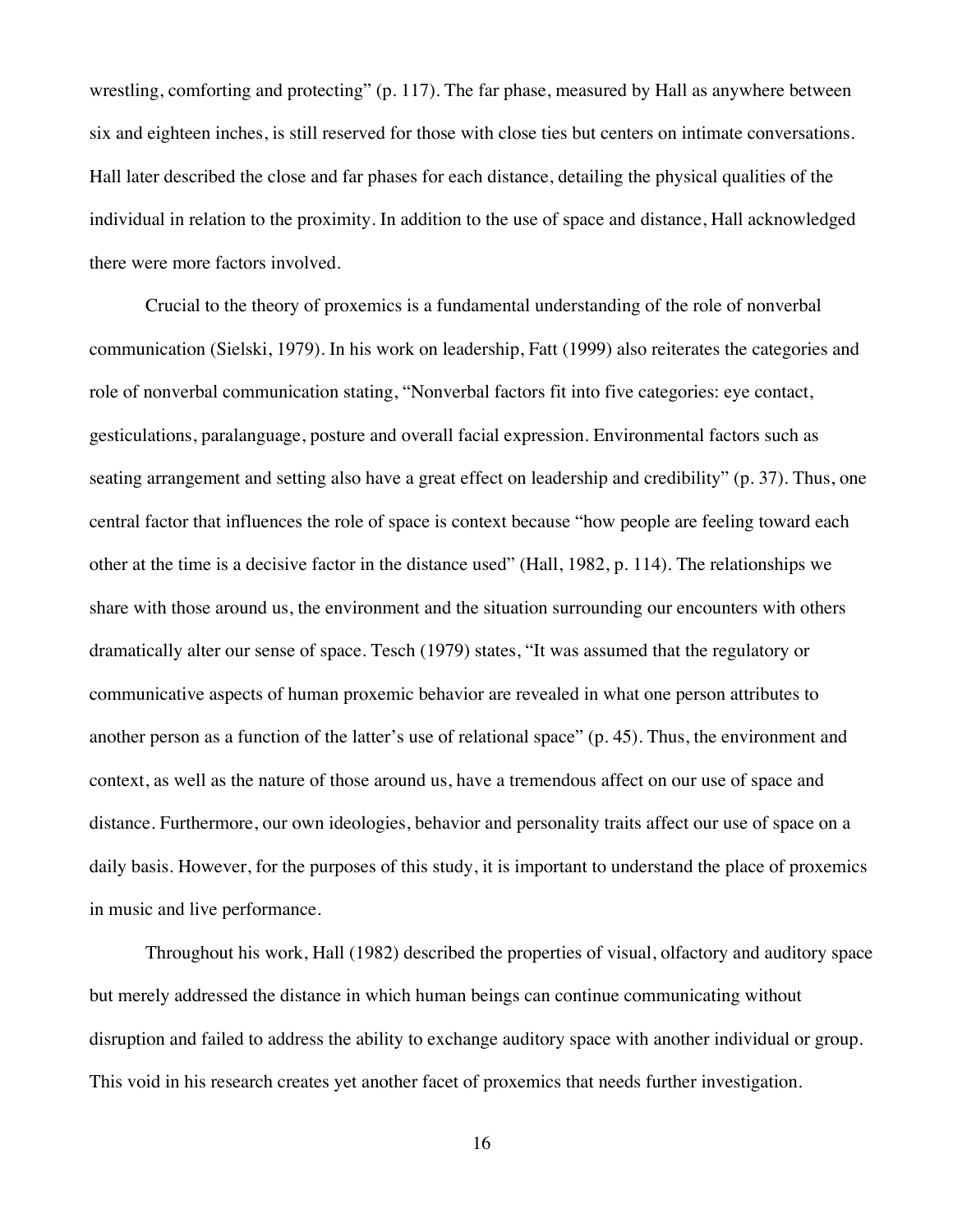wrestling, comforting and protecting" (p. 117). The far phase, measured by Hall as anywhere between six and eighteen inches, is still reserved for those with close ties but centers on intimate conversations. Hall later described the close and far phases for each distance, detailing the physical qualities of the individual in relation to the proximity. In addition to the use of space and distance, Hall acknowledged there were more factors involved.

Crucial to the theory of proxemics is a fundamental understanding of the role of nonverbal communication (Sielski, 1979). In his work on leadership, Fatt (1999) also reiterates the categories and role of nonverbal communication stating, "Nonverbal factors fit into five categories: eye contact, gesticulations, paralanguage, posture and overall facial expression. Environmental factors such as seating arrangement and setting also have a great effect on leadership and credibility" (p. 37). Thus, one central factor that influences the role of space is context because "how people are feeling toward each other at the time is a decisive factor in the distance used" (Hall, 1982, p. 114). The relationships we share with those around us, the environment and the situation surrounding our encounters with others dramatically alter our sense of space. Tesch (1979) states, "It was assumed that the regulatory or communicative aspects of human proxemic behavior are revealed in what one person attributes to another person as a function of the latter's use of relational space" (p. 45). Thus, the environment and context, as well as the nature of those around us, have a tremendous affect on our use of space and distance. Furthermore, our own ideologies, behavior and personality traits affect our use of space on a daily basis. However, for the purposes of this study, it is important to understand the place of proxemics in music and live performance.

Throughout his work, Hall (1982) described the properties of visual, olfactory and auditory space but merely addressed the distance in which human beings can continue communicating without disruption and failed to address the ability to exchange auditory space with another individual or group. This void in his research creates yet another facet of proxemics that needs further investigation.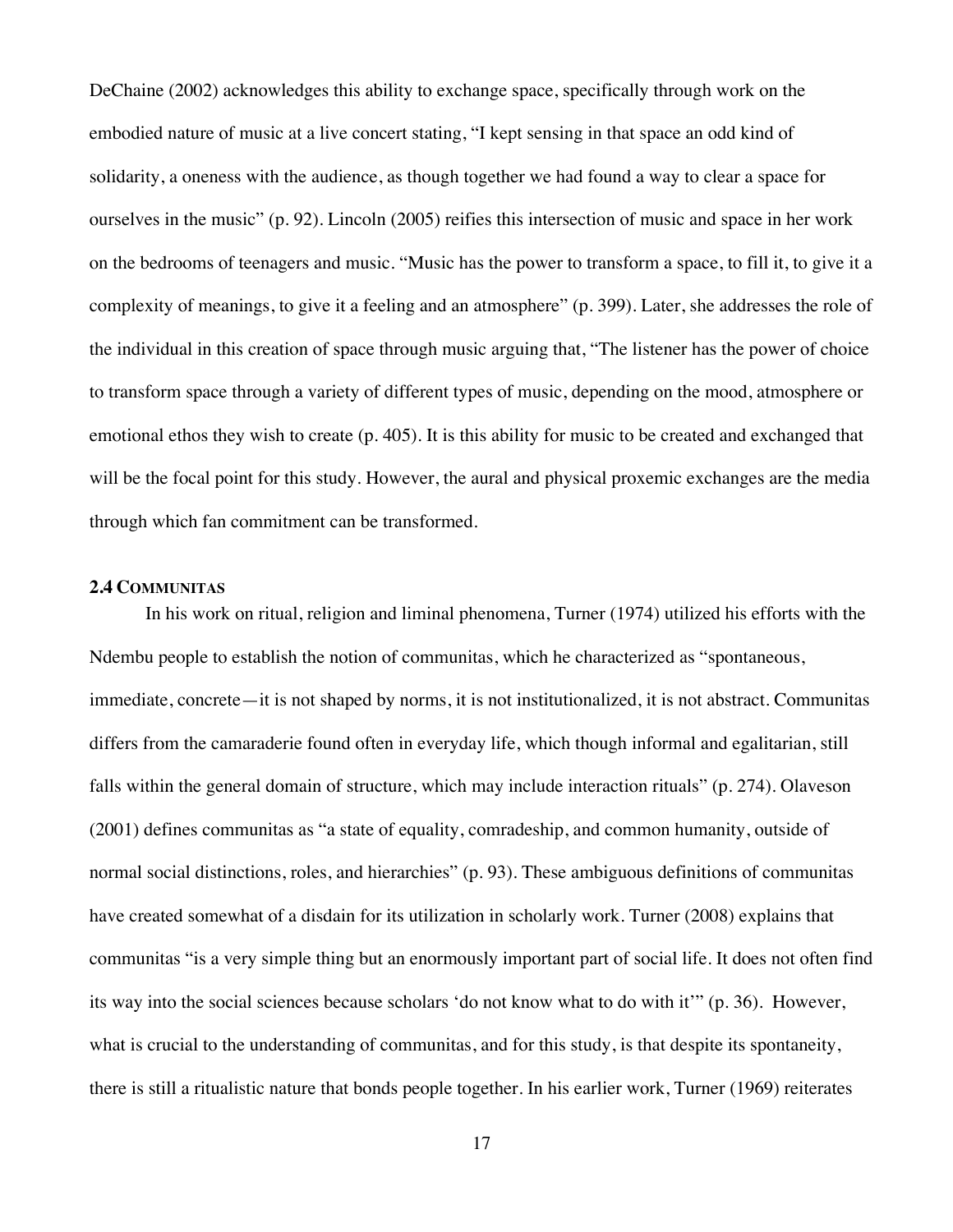DeChaine (2002) acknowledges this ability to exchange space, specifically through work on the embodied nature of music at a live concert stating, "I kept sensing in that space an odd kind of solidarity, a oneness with the audience, as though together we had found a way to clear a space for ourselves in the music" (p. 92). Lincoln (2005) reifies this intersection of music and space in her work on the bedrooms of teenagers and music. "Music has the power to transform a space, to fill it, to give it a complexity of meanings, to give it a feeling and an atmosphere" (p. 399). Later, she addresses the role of the individual in this creation of space through music arguing that, "The listener has the power of choice to transform space through a variety of different types of music, depending on the mood, atmosphere or emotional ethos they wish to create (p. 405). It is this ability for music to be created and exchanged that will be the focal point for this study. However, the aural and physical proxemic exchanges are the media through which fan commitment can be transformed.

## **2.4 COMMUNITAS**

In his work on ritual, religion and liminal phenomena, Turner (1974) utilized his efforts with the Ndembu people to establish the notion of communitas, which he characterized as "spontaneous, immediate, concrete—it is not shaped by norms, it is not institutionalized, it is not abstract. Communitas differs from the camaraderie found often in everyday life, which though informal and egalitarian, still falls within the general domain of structure, which may include interaction rituals" (p. 274). Olaveson (2001) defines communitas as "a state of equality, comradeship, and common humanity, outside of normal social distinctions, roles, and hierarchies" (p. 93). These ambiguous definitions of communitas have created somewhat of a disdain for its utilization in scholarly work. Turner (2008) explains that communitas "is a very simple thing but an enormously important part of social life. It does not often find its way into the social sciences because scholars 'do not know what to do with it'" (p. 36). However, what is crucial to the understanding of communitas, and for this study, is that despite its spontaneity, there is still a ritualistic nature that bonds people together. In his earlier work, Turner (1969) reiterates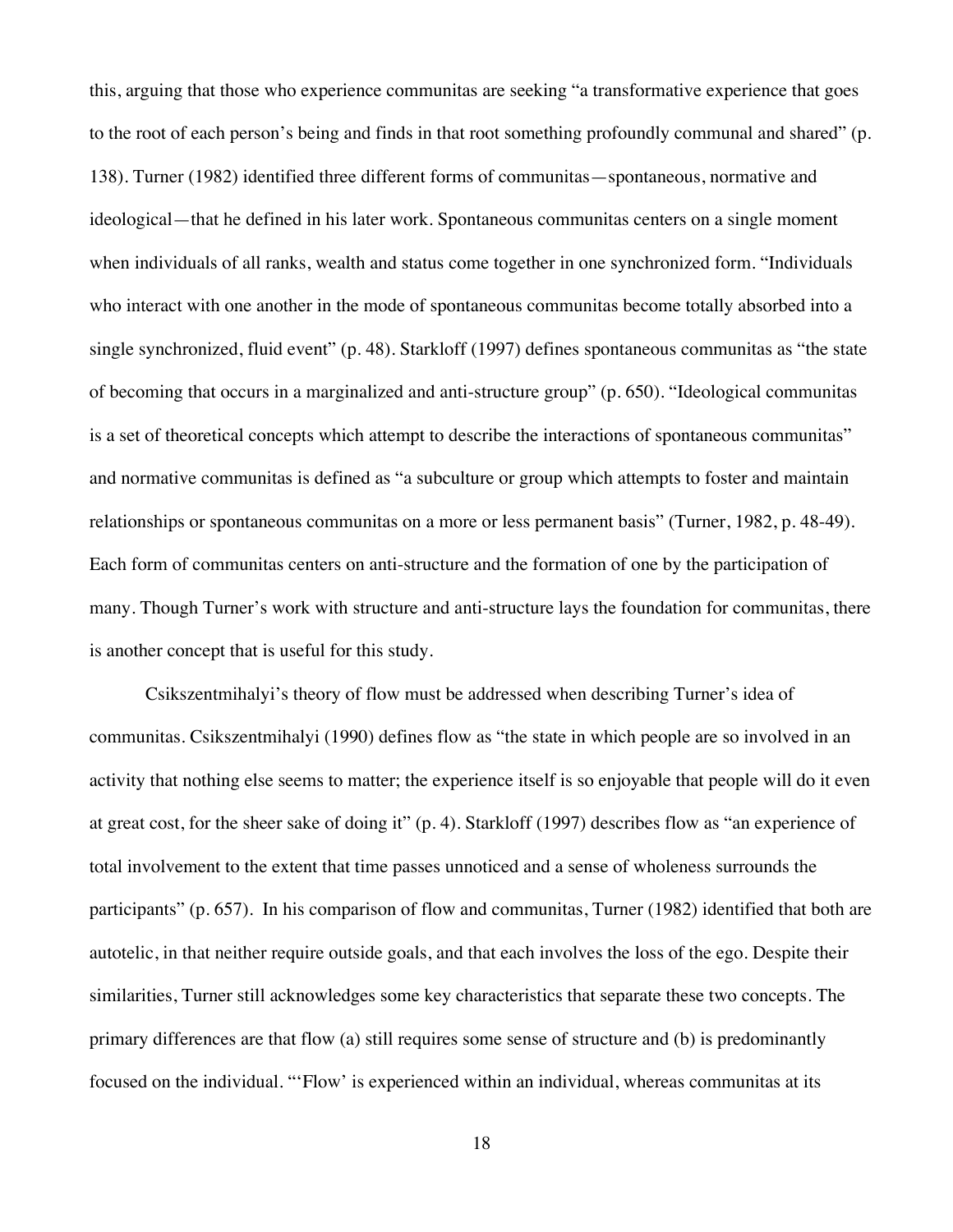this, arguing that those who experience communitas are seeking "a transformative experience that goes to the root of each person's being and finds in that root something profoundly communal and shared" (p. 138). Turner (1982) identified three different forms of communitas—spontaneous, normative and ideological—that he defined in his later work. Spontaneous communitas centers on a single moment when individuals of all ranks, wealth and status come together in one synchronized form. "Individuals who interact with one another in the mode of spontaneous communitas become totally absorbed into a single synchronized, fluid event" (p. 48). Starkloff (1997) defines spontaneous communitas as "the state of becoming that occurs in a marginalized and anti-structure group" (p. 650). "Ideological communitas is a set of theoretical concepts which attempt to describe the interactions of spontaneous communitas" and normative communitas is defined as "a subculture or group which attempts to foster and maintain relationships or spontaneous communitas on a more or less permanent basis" (Turner, 1982, p. 48-49). Each form of communitas centers on anti-structure and the formation of one by the participation of many. Though Turner's work with structure and anti-structure lays the foundation for communitas, there is another concept that is useful for this study.

Csikszentmihalyi's theory of flow must be addressed when describing Turner's idea of communitas. Csikszentmihalyi (1990) defines flow as "the state in which people are so involved in an activity that nothing else seems to matter; the experience itself is so enjoyable that people will do it even at great cost, for the sheer sake of doing it" (p. 4). Starkloff (1997) describes flow as "an experience of total involvement to the extent that time passes unnoticed and a sense of wholeness surrounds the participants" (p. 657). In his comparison of flow and communitas, Turner (1982) identified that both are autotelic, in that neither require outside goals, and that each involves the loss of the ego. Despite their similarities, Turner still acknowledges some key characteristics that separate these two concepts. The primary differences are that flow (a) still requires some sense of structure and (b) is predominantly focused on the individual. "'Flow' is experienced within an individual, whereas communitas at its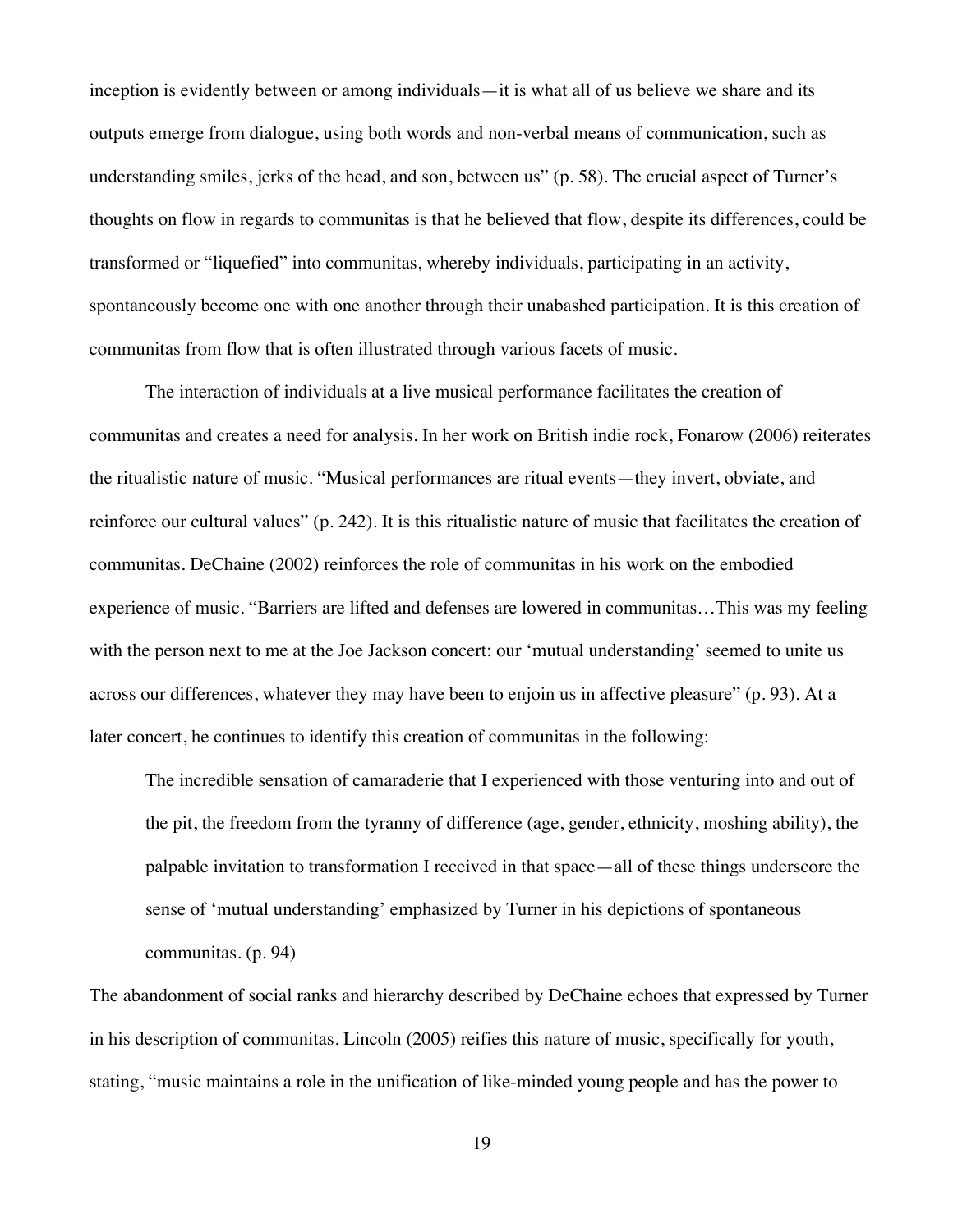inception is evidently between or among individuals—it is what all of us believe we share and its outputs emerge from dialogue, using both words and non-verbal means of communication, such as understanding smiles, jerks of the head, and son, between us" (p. 58). The crucial aspect of Turner's thoughts on flow in regards to communitas is that he believed that flow, despite its differences, could be transformed or "liquefied" into communitas, whereby individuals, participating in an activity, spontaneously become one with one another through their unabashed participation. It is this creation of communitas from flow that is often illustrated through various facets of music.

The interaction of individuals at a live musical performance facilitates the creation of communitas and creates a need for analysis. In her work on British indie rock, Fonarow (2006) reiterates the ritualistic nature of music. "Musical performances are ritual events—they invert, obviate, and reinforce our cultural values" (p. 242). It is this ritualistic nature of music that facilitates the creation of communitas. DeChaine (2002) reinforces the role of communitas in his work on the embodied experience of music. "Barriers are lifted and defenses are lowered in communitas…This was my feeling with the person next to me at the Joe Jackson concert: our 'mutual understanding' seemed to unite us across our differences, whatever they may have been to enjoin us in affective pleasure" (p. 93). At a later concert, he continues to identify this creation of communitas in the following:

The incredible sensation of camaraderie that I experienced with those venturing into and out of the pit, the freedom from the tyranny of difference (age, gender, ethnicity, moshing ability), the palpable invitation to transformation I received in that space—all of these things underscore the sense of 'mutual understanding' emphasized by Turner in his depictions of spontaneous communitas. (p. 94)

The abandonment of social ranks and hierarchy described by DeChaine echoes that expressed by Turner in his description of communitas. Lincoln (2005) reifies this nature of music, specifically for youth, stating, "music maintains a role in the unification of like-minded young people and has the power to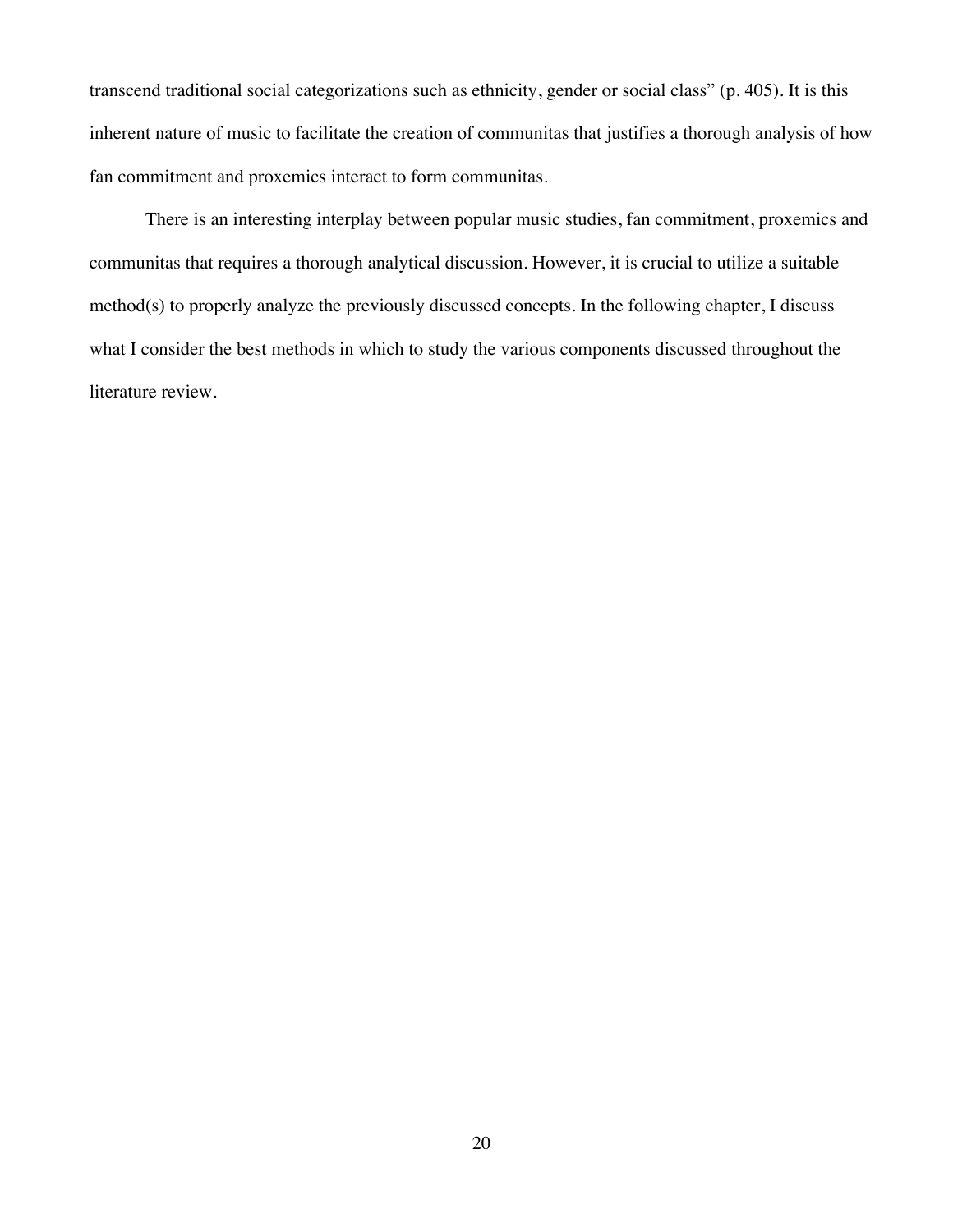transcend traditional social categorizations such as ethnicity, gender or social class" (p. 405). It is this inherent nature of music to facilitate the creation of communitas that justifies a thorough analysis of how fan commitment and proxemics interact to form communitas.

There is an interesting interplay between popular music studies, fan commitment, proxemics and communitas that requires a thorough analytical discussion. However, it is crucial to utilize a suitable method(s) to properly analyze the previously discussed concepts. In the following chapter, I discuss what I consider the best methods in which to study the various components discussed throughout the literature review.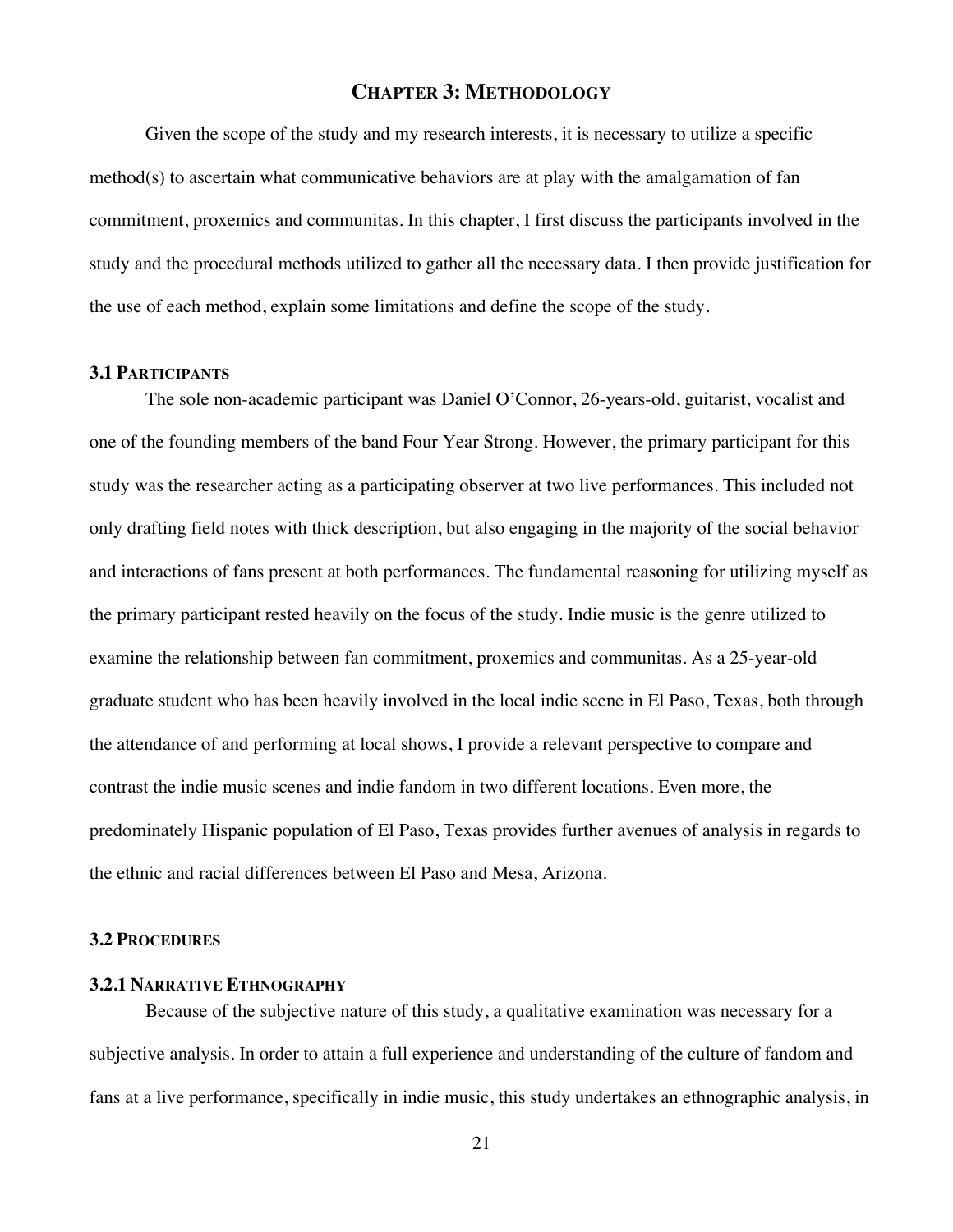## **CHAPTER 3: METHODOLOGY**

Given the scope of the study and my research interests, it is necessary to utilize a specific method(s) to ascertain what communicative behaviors are at play with the amalgamation of fan commitment, proxemics and communitas. In this chapter, I first discuss the participants involved in the study and the procedural methods utilized to gather all the necessary data. I then provide justification for the use of each method, explain some limitations and define the scope of the study.

#### **3.1 PARTICIPANTS**

The sole non-academic participant was Daniel O'Connor, 26-years-old, guitarist, vocalist and one of the founding members of the band Four Year Strong. However, the primary participant for this study was the researcher acting as a participating observer at two live performances. This included not only drafting field notes with thick description, but also engaging in the majority of the social behavior and interactions of fans present at both performances. The fundamental reasoning for utilizing myself as the primary participant rested heavily on the focus of the study. Indie music is the genre utilized to examine the relationship between fan commitment, proxemics and communitas. As a 25-year-old graduate student who has been heavily involved in the local indie scene in El Paso, Texas, both through the attendance of and performing at local shows, I provide a relevant perspective to compare and contrast the indie music scenes and indie fandom in two different locations. Even more, the predominately Hispanic population of El Paso, Texas provides further avenues of analysis in regards to the ethnic and racial differences between El Paso and Mesa, Arizona.

#### **3.2 PROCEDURES**

## **3.2.1 NARRATIVE ETHNOGRAPHY**

Because of the subjective nature of this study, a qualitative examination was necessary for a subjective analysis. In order to attain a full experience and understanding of the culture of fandom and fans at a live performance, specifically in indie music, this study undertakes an ethnographic analysis, in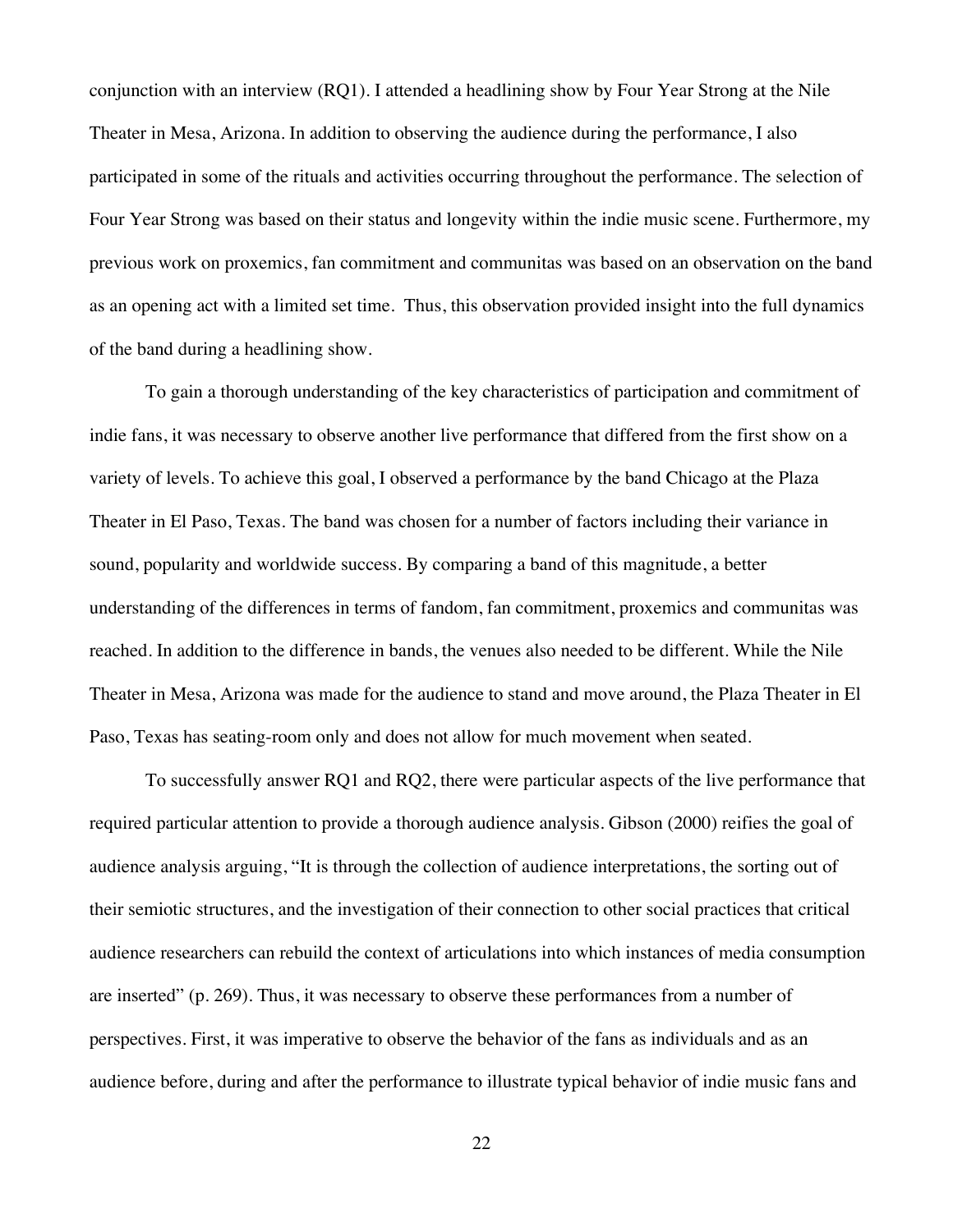conjunction with an interview (RQ1). I attended a headlining show by Four Year Strong at the Nile Theater in Mesa, Arizona. In addition to observing the audience during the performance, I also participated in some of the rituals and activities occurring throughout the performance. The selection of Four Year Strong was based on their status and longevity within the indie music scene. Furthermore, my previous work on proxemics, fan commitment and communitas was based on an observation on the band as an opening act with a limited set time. Thus, this observation provided insight into the full dynamics of the band during a headlining show.

To gain a thorough understanding of the key characteristics of participation and commitment of indie fans, it was necessary to observe another live performance that differed from the first show on a variety of levels. To achieve this goal, I observed a performance by the band Chicago at the Plaza Theater in El Paso, Texas. The band was chosen for a number of factors including their variance in sound, popularity and worldwide success. By comparing a band of this magnitude, a better understanding of the differences in terms of fandom, fan commitment, proxemics and communitas was reached. In addition to the difference in bands, the venues also needed to be different. While the Nile Theater in Mesa, Arizona was made for the audience to stand and move around, the Plaza Theater in El Paso, Texas has seating-room only and does not allow for much movement when seated.

To successfully answer RQ1 and RQ2, there were particular aspects of the live performance that required particular attention to provide a thorough audience analysis. Gibson (2000) reifies the goal of audience analysis arguing, "It is through the collection of audience interpretations, the sorting out of their semiotic structures, and the investigation of their connection to other social practices that critical audience researchers can rebuild the context of articulations into which instances of media consumption are inserted" (p. 269). Thus, it was necessary to observe these performances from a number of perspectives. First, it was imperative to observe the behavior of the fans as individuals and as an audience before, during and after the performance to illustrate typical behavior of indie music fans and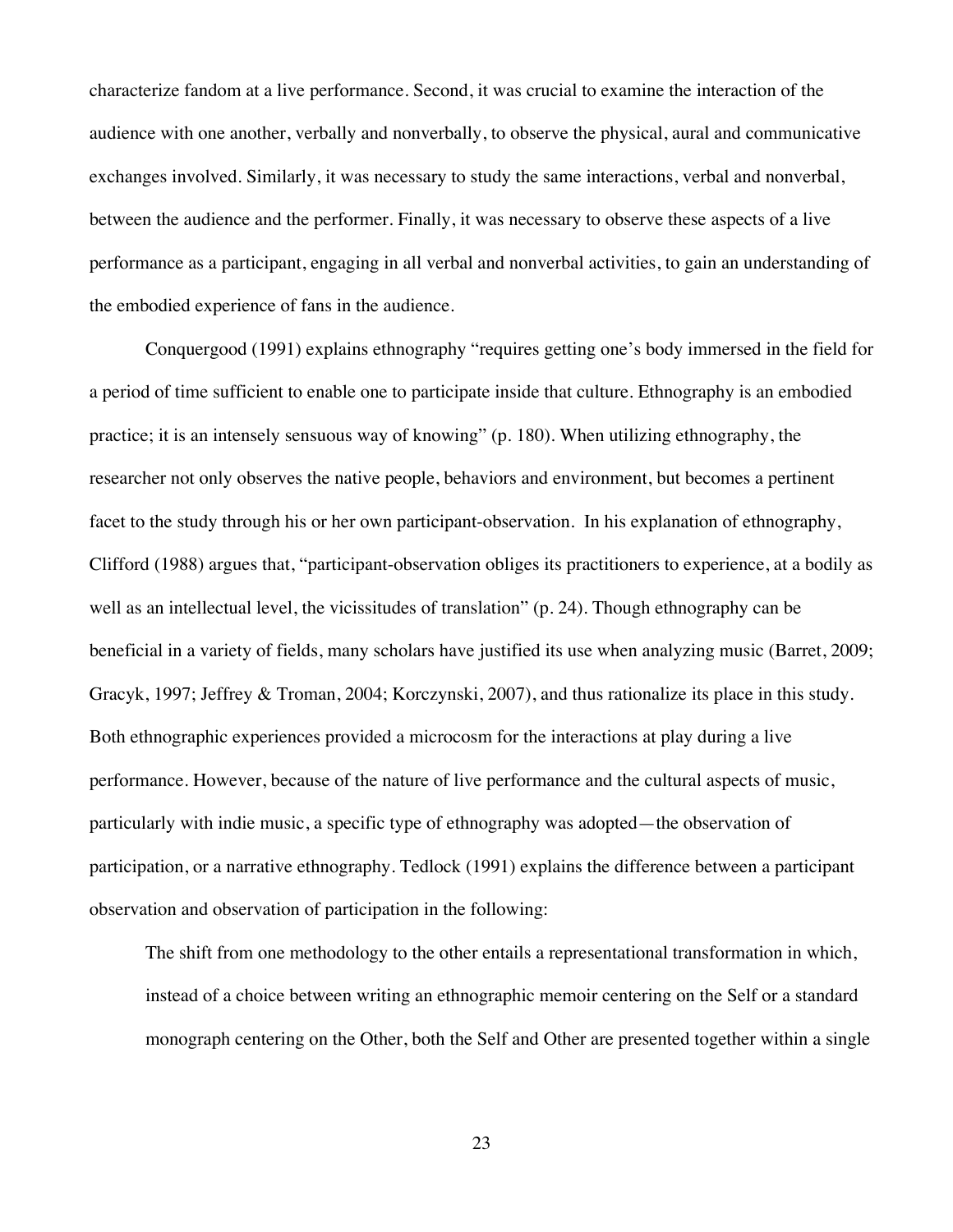characterize fandom at a live performance. Second, it was crucial to examine the interaction of the audience with one another, verbally and nonverbally, to observe the physical, aural and communicative exchanges involved. Similarly, it was necessary to study the same interactions, verbal and nonverbal, between the audience and the performer. Finally, it was necessary to observe these aspects of a live performance as a participant, engaging in all verbal and nonverbal activities, to gain an understanding of the embodied experience of fans in the audience.

Conquergood (1991) explains ethnography "requires getting one's body immersed in the field for a period of time sufficient to enable one to participate inside that culture. Ethnography is an embodied practice; it is an intensely sensuous way of knowing" (p. 180). When utilizing ethnography, the researcher not only observes the native people, behaviors and environment, but becomes a pertinent facet to the study through his or her own participant-observation. In his explanation of ethnography, Clifford (1988) argues that, "participant-observation obliges its practitioners to experience, at a bodily as well as an intellectual level, the vicissitudes of translation" (p. 24). Though ethnography can be beneficial in a variety of fields, many scholars have justified its use when analyzing music (Barret, 2009; Gracyk, 1997; Jeffrey & Troman, 2004; Korczynski, 2007), and thus rationalize its place in this study. Both ethnographic experiences provided a microcosm for the interactions at play during a live performance. However, because of the nature of live performance and the cultural aspects of music, particularly with indie music, a specific type of ethnography was adopted—the observation of participation, or a narrative ethnography. Tedlock (1991) explains the difference between a participant observation and observation of participation in the following:

The shift from one methodology to the other entails a representational transformation in which, instead of a choice between writing an ethnographic memoir centering on the Self or a standard monograph centering on the Other, both the Self and Other are presented together within a single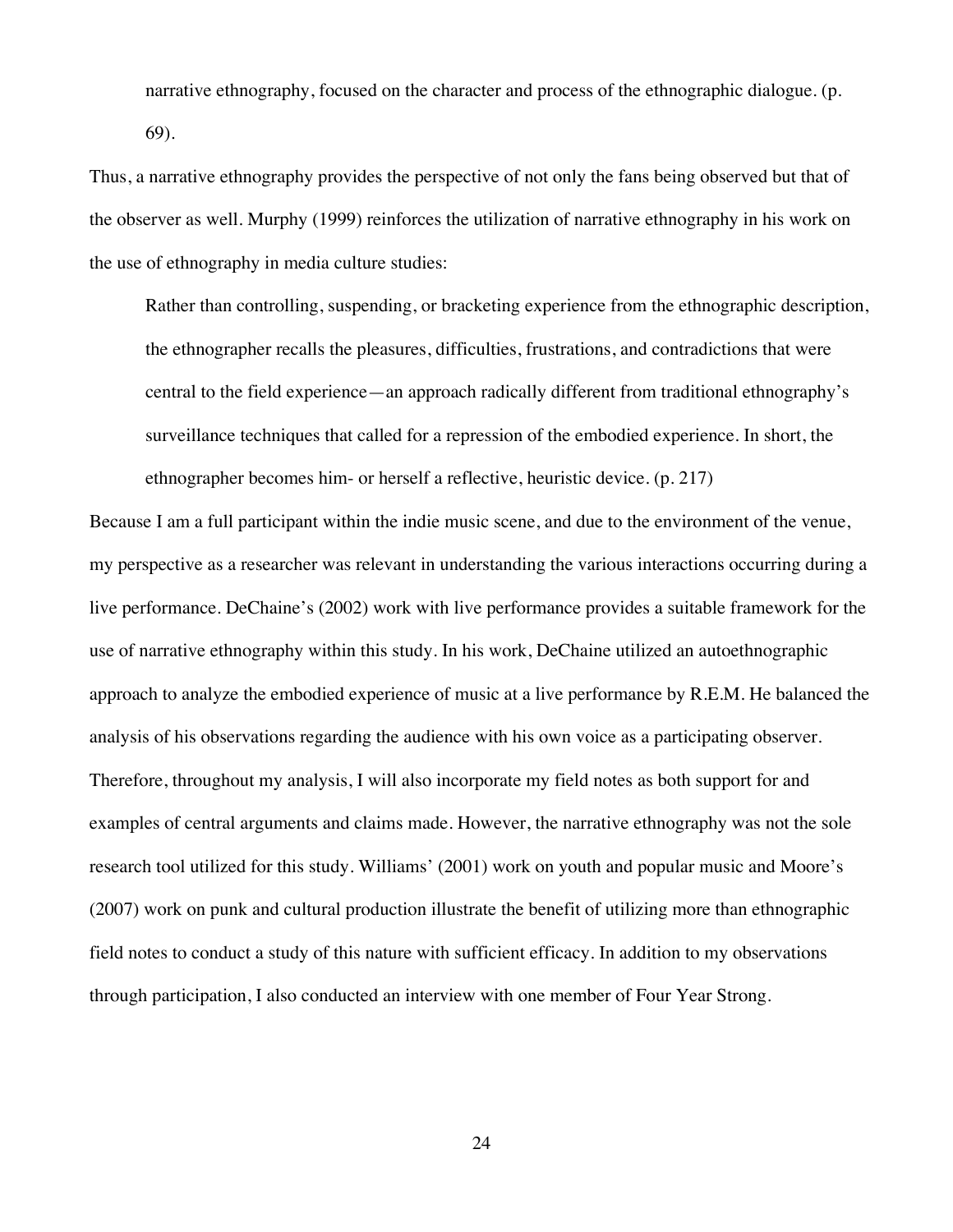narrative ethnography, focused on the character and process of the ethnographic dialogue. (p. 69).

Thus, a narrative ethnography provides the perspective of not only the fans being observed but that of the observer as well. Murphy (1999) reinforces the utilization of narrative ethnography in his work on the use of ethnography in media culture studies:

Rather than controlling, suspending, or bracketing experience from the ethnographic description, the ethnographer recalls the pleasures, difficulties, frustrations, and contradictions that were central to the field experience—an approach radically different from traditional ethnography's surveillance techniques that called for a repression of the embodied experience. In short, the ethnographer becomes him- or herself a reflective, heuristic device. (p. 217)

Because I am a full participant within the indie music scene, and due to the environment of the venue, my perspective as a researcher was relevant in understanding the various interactions occurring during a live performance. DeChaine's (2002) work with live performance provides a suitable framework for the use of narrative ethnography within this study. In his work, DeChaine utilized an autoethnographic approach to analyze the embodied experience of music at a live performance by R.E.M. He balanced the analysis of his observations regarding the audience with his own voice as a participating observer. Therefore, throughout my analysis, I will also incorporate my field notes as both support for and examples of central arguments and claims made. However, the narrative ethnography was not the sole research tool utilized for this study. Williams' (2001) work on youth and popular music and Moore's (2007) work on punk and cultural production illustrate the benefit of utilizing more than ethnographic field notes to conduct a study of this nature with sufficient efficacy. In addition to my observations through participation, I also conducted an interview with one member of Four Year Strong.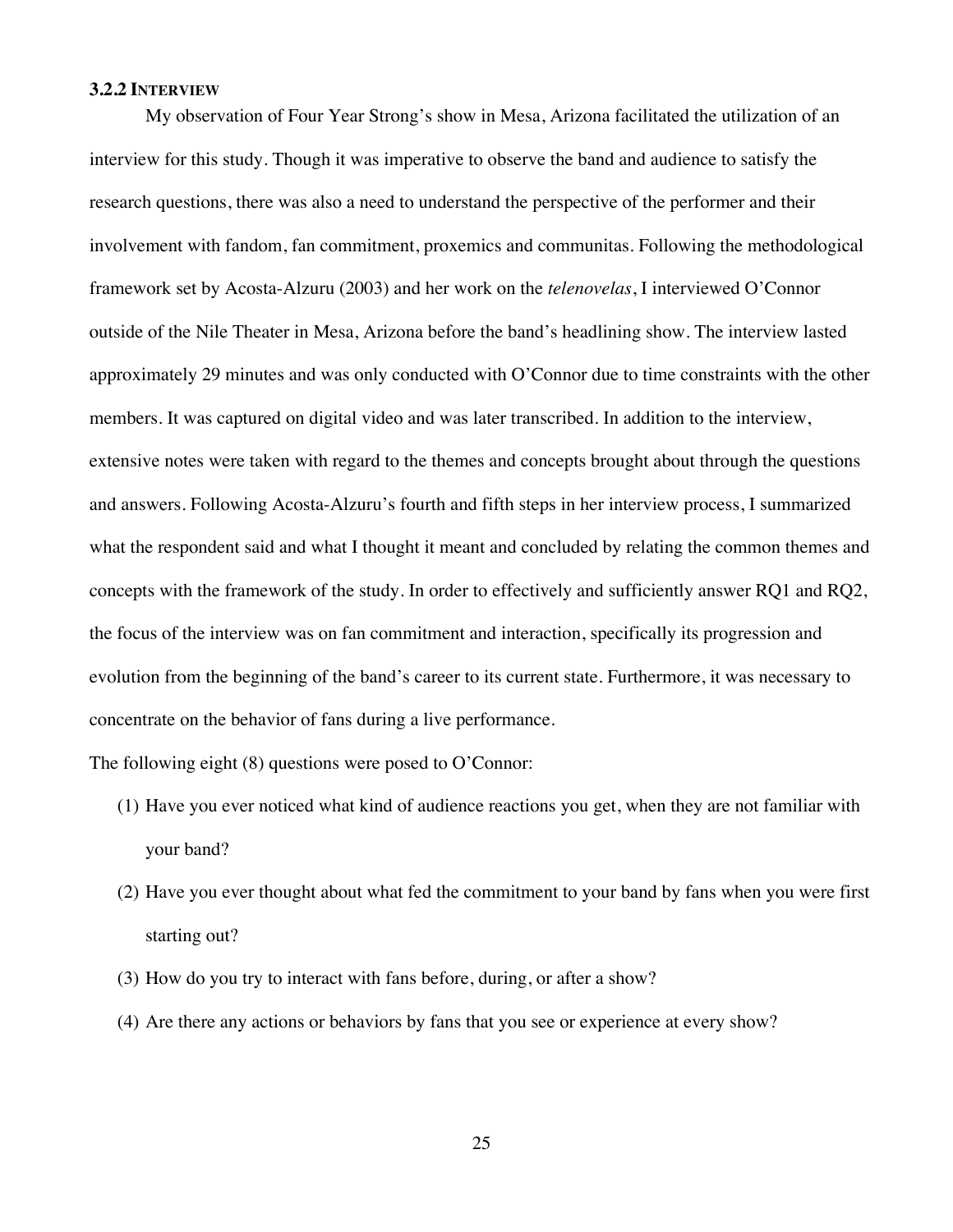#### **3.2.2 INTERVIEW**

My observation of Four Year Strong's show in Mesa, Arizona facilitated the utilization of an interview for this study. Though it was imperative to observe the band and audience to satisfy the research questions, there was also a need to understand the perspective of the performer and their involvement with fandom, fan commitment, proxemics and communitas. Following the methodological framework set by Acosta-Alzuru (2003) and her work on the *telenovelas*, I interviewed O'Connor outside of the Nile Theater in Mesa, Arizona before the band's headlining show. The interview lasted approximately 29 minutes and was only conducted with O'Connor due to time constraints with the other members. It was captured on digital video and was later transcribed. In addition to the interview, extensive notes were taken with regard to the themes and concepts brought about through the questions and answers. Following Acosta-Alzuru's fourth and fifth steps in her interview process, I summarized what the respondent said and what I thought it meant and concluded by relating the common themes and concepts with the framework of the study. In order to effectively and sufficiently answer RQ1 and RQ2, the focus of the interview was on fan commitment and interaction, specifically its progression and evolution from the beginning of the band's career to its current state. Furthermore, it was necessary to concentrate on the behavior of fans during a live performance.

The following eight (8) questions were posed to O'Connor:

- (1) Have you ever noticed what kind of audience reactions you get, when they are not familiar with your band?
- (2) Have you ever thought about what fed the commitment to your band by fans when you were first starting out?
- (3) How do you try to interact with fans before, during, or after a show?
- (4) Are there any actions or behaviors by fans that you see or experience at every show?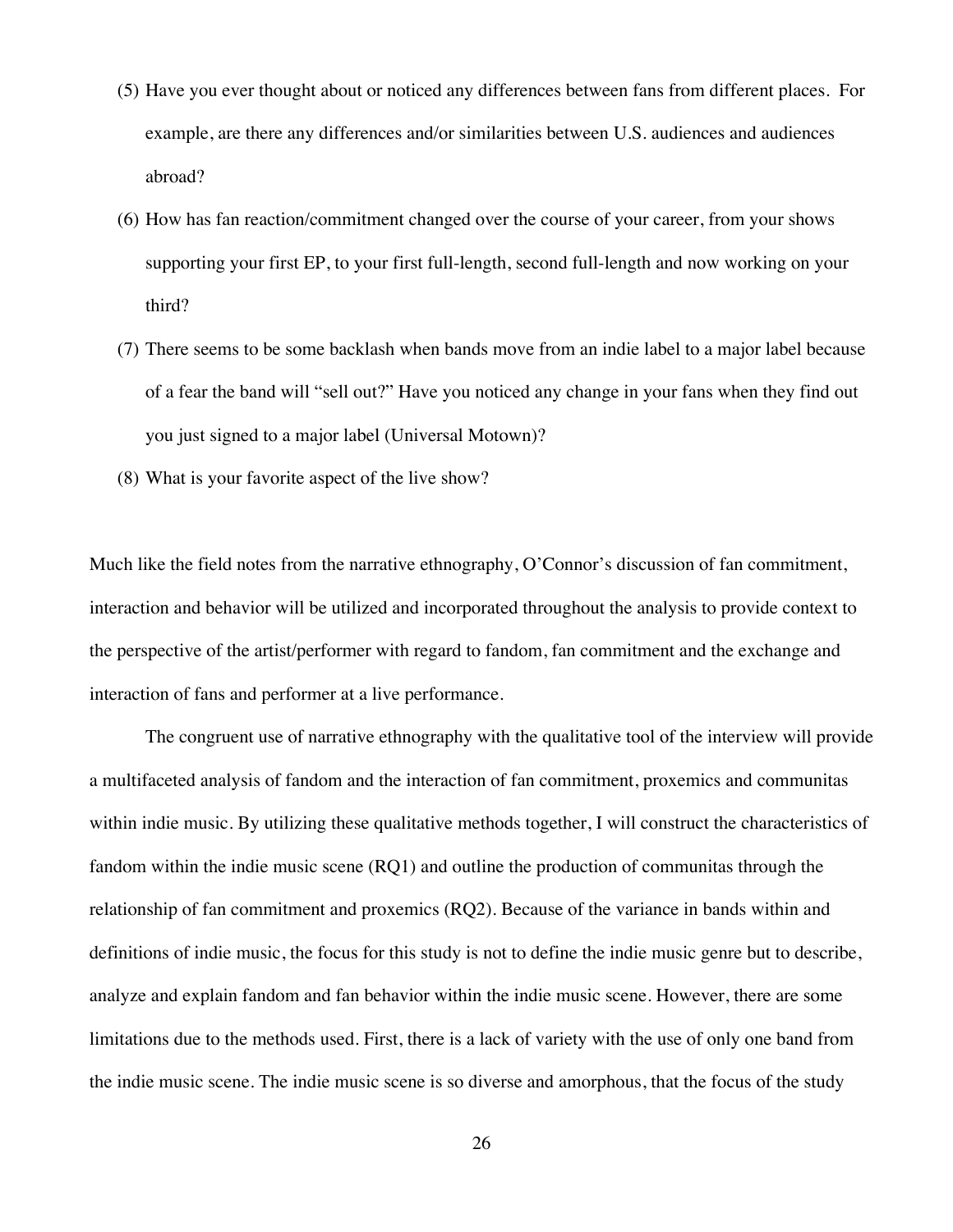- (5) Have you ever thought about or noticed any differences between fans from different places. For example, are there any differences and/or similarities between U.S. audiences and audiences abroad?
- (6) How has fan reaction/commitment changed over the course of your career, from your shows supporting your first EP, to your first full-length, second full-length and now working on your third?
- (7) There seems to be some backlash when bands move from an indie label to a major label because of a fear the band will "sell out?" Have you noticed any change in your fans when they find out you just signed to a major label (Universal Motown)?
- (8) What is your favorite aspect of the live show?

Much like the field notes from the narrative ethnography, O'Connor's discussion of fan commitment, interaction and behavior will be utilized and incorporated throughout the analysis to provide context to the perspective of the artist/performer with regard to fandom, fan commitment and the exchange and interaction of fans and performer at a live performance.

The congruent use of narrative ethnography with the qualitative tool of the interview will provide a multifaceted analysis of fandom and the interaction of fan commitment, proxemics and communitas within indie music. By utilizing these qualitative methods together, I will construct the characteristics of fandom within the indie music scene (RQ1) and outline the production of communitas through the relationship of fan commitment and proxemics (RQ2). Because of the variance in bands within and definitions of indie music, the focus for this study is not to define the indie music genre but to describe, analyze and explain fandom and fan behavior within the indie music scene. However, there are some limitations due to the methods used. First, there is a lack of variety with the use of only one band from the indie music scene. The indie music scene is so diverse and amorphous, that the focus of the study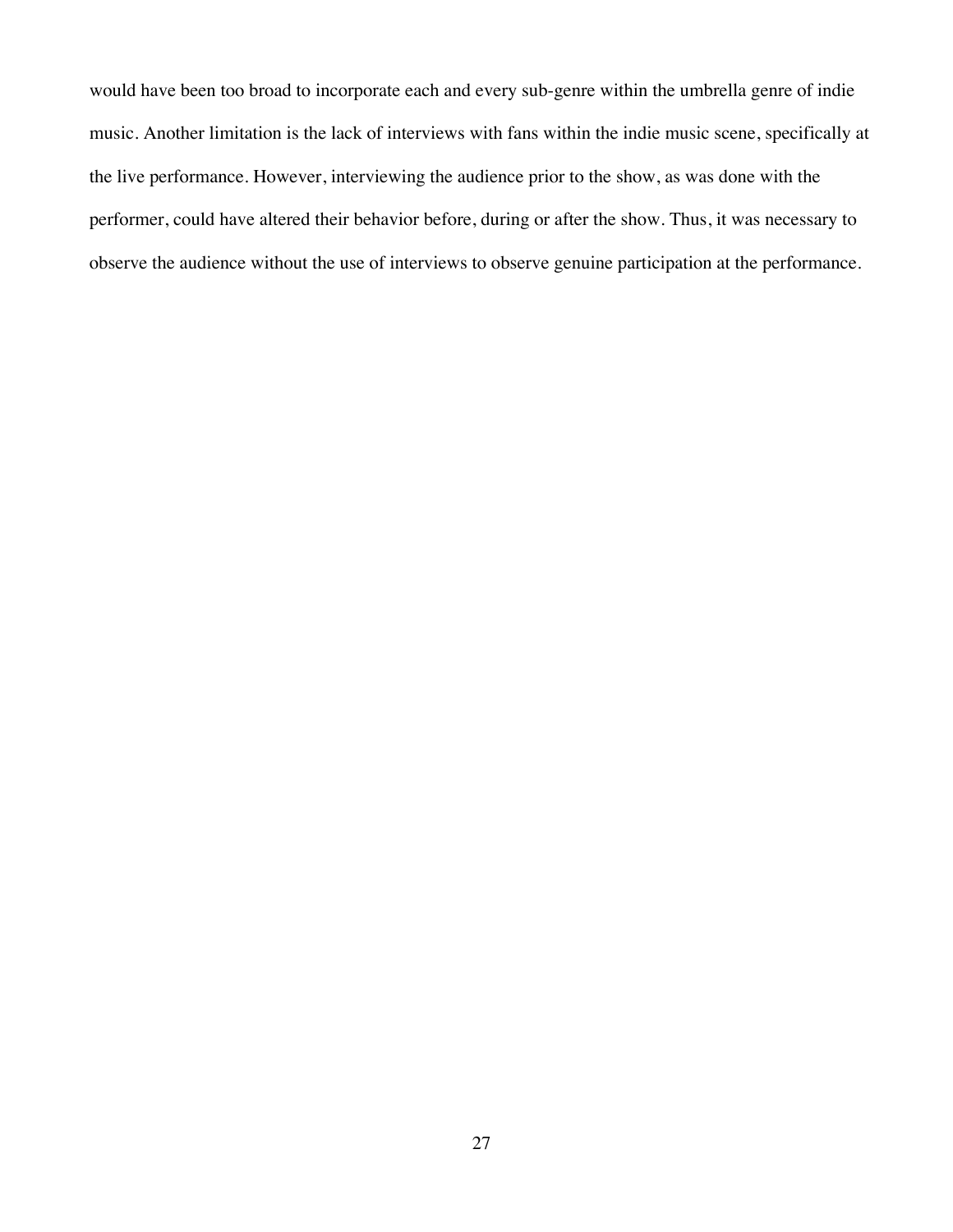would have been too broad to incorporate each and every sub-genre within the umbrella genre of indie music. Another limitation is the lack of interviews with fans within the indie music scene, specifically at the live performance. However, interviewing the audience prior to the show, as was done with the performer, could have altered their behavior before, during or after the show. Thus, it was necessary to observe the audience without the use of interviews to observe genuine participation at the performance.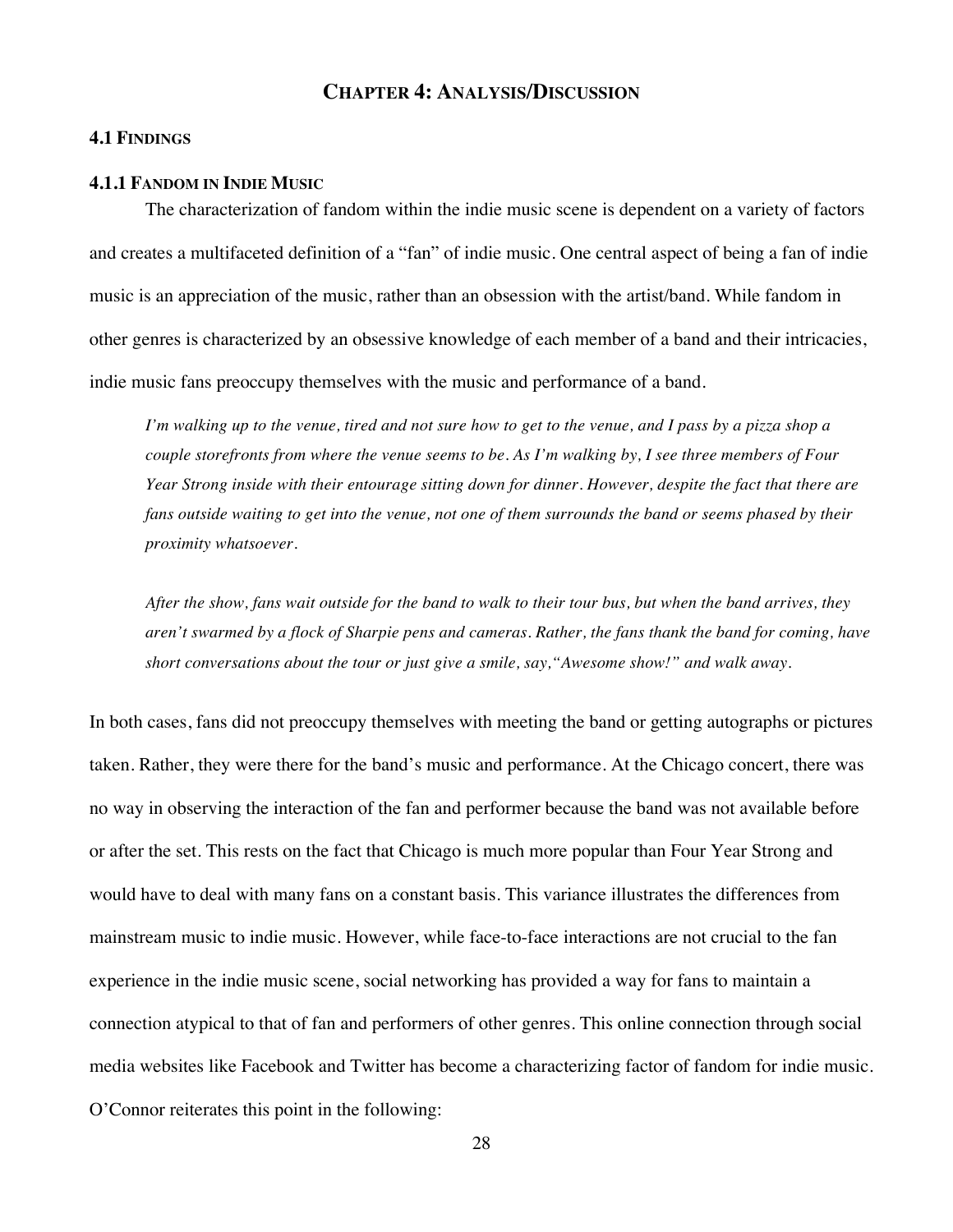## **CHAPTER 4: ANALYSIS/DISCUSSION**

## **4.1 FINDINGS**

## **4.1.1 FANDOM IN INDIE MUSIC**

The characterization of fandom within the indie music scene is dependent on a variety of factors and creates a multifaceted definition of a "fan" of indie music. One central aspect of being a fan of indie music is an appreciation of the music, rather than an obsession with the artist/band. While fandom in other genres is characterized by an obsessive knowledge of each member of a band and their intricacies, indie music fans preoccupy themselves with the music and performance of a band.

*I'm walking up to the venue, tired and not sure how to get to the venue, and I pass by a pizza shop a couple storefronts from where the venue seems to be. As I'm walking by, I see three members of Four Year Strong inside with their entourage sitting down for dinner. However, despite the fact that there are fans outside waiting to get into the venue, not one of them surrounds the band or seems phased by their proximity whatsoever.* 

*After the show, fans wait outside for the band to walk to their tour bus, but when the band arrives, they aren't swarmed by a flock of Sharpie pens and cameras. Rather, the fans thank the band for coming, have short conversations about the tour or just give a smile, say,"Awesome show!" and walk away.* 

In both cases, fans did not preoccupy themselves with meeting the band or getting autographs or pictures taken. Rather, they were there for the band's music and performance. At the Chicago concert, there was no way in observing the interaction of the fan and performer because the band was not available before or after the set. This rests on the fact that Chicago is much more popular than Four Year Strong and would have to deal with many fans on a constant basis. This variance illustrates the differences from mainstream music to indie music. However, while face-to-face interactions are not crucial to the fan experience in the indie music scene, social networking has provided a way for fans to maintain a connection atypical to that of fan and performers of other genres. This online connection through social media websites like Facebook and Twitter has become a characterizing factor of fandom for indie music. O'Connor reiterates this point in the following: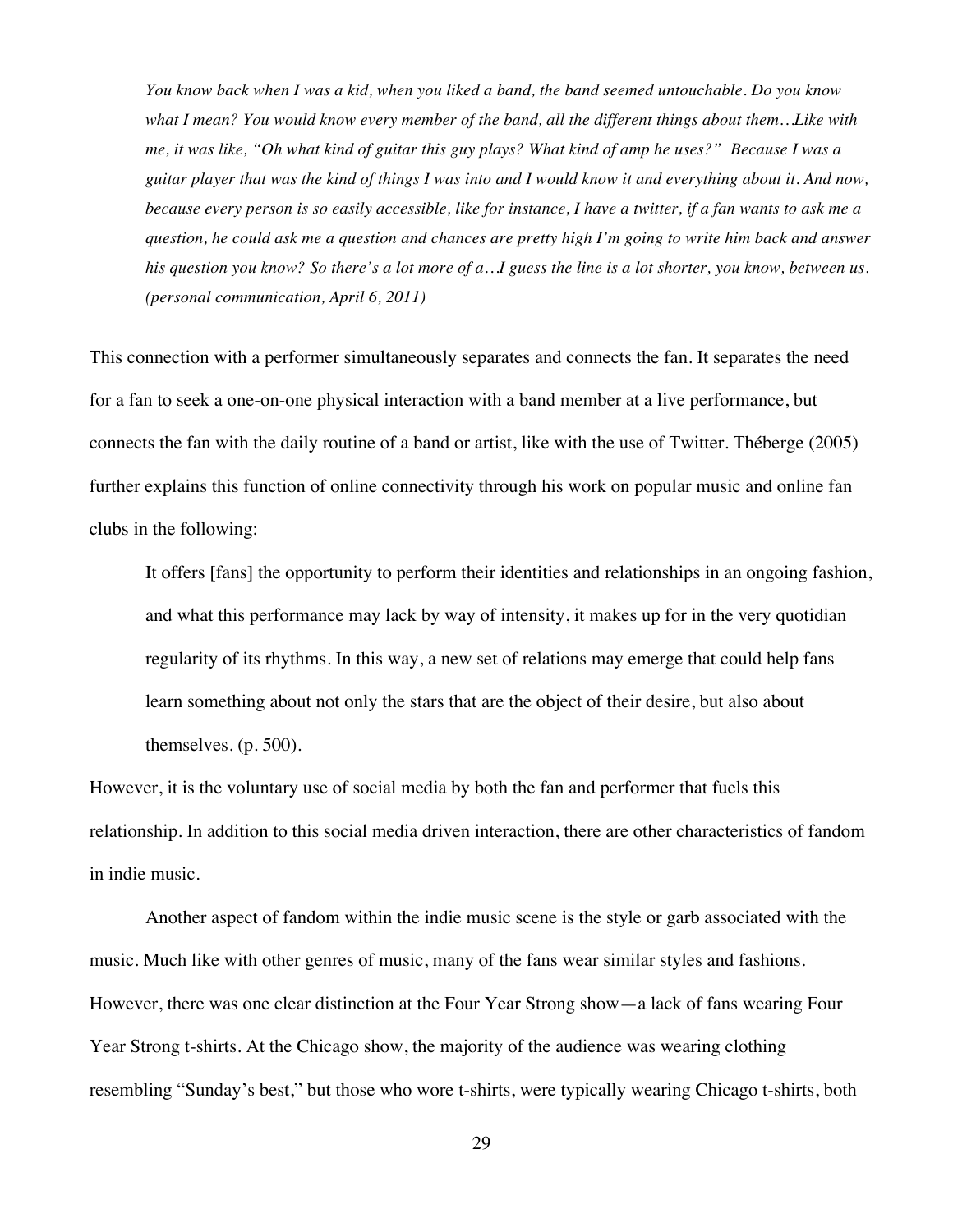*You know back when I was a kid, when you liked a band, the band seemed untouchable. Do you know what I mean? You would know every member of the band, all the different things about them…Like with me, it was like, "Oh what kind of guitar this guy plays? What kind of amp he uses?" Because I was a guitar player that was the kind of things I was into and I would know it and everything about it. And now, because every person is so easily accessible, like for instance, I have a twitter, if a fan wants to ask me a question, he could ask me a question and chances are pretty high I'm going to write him back and answer his question you know? So there's a lot more of a…I guess the line is a lot shorter, you know, between us. (personal communication, April 6, 2011)*

This connection with a performer simultaneously separates and connects the fan. It separates the need for a fan to seek a one-on-one physical interaction with a band member at a live performance, but connects the fan with the daily routine of a band or artist, like with the use of Twitter. Théberge (2005) further explains this function of online connectivity through his work on popular music and online fan clubs in the following:

It offers [fans] the opportunity to perform their identities and relationships in an ongoing fashion, and what this performance may lack by way of intensity, it makes up for in the very quotidian regularity of its rhythms. In this way, a new set of relations may emerge that could help fans learn something about not only the stars that are the object of their desire, but also about themselves. (p. 500).

However, it is the voluntary use of social media by both the fan and performer that fuels this relationship. In addition to this social media driven interaction, there are other characteristics of fandom in indie music.

Another aspect of fandom within the indie music scene is the style or garb associated with the music. Much like with other genres of music, many of the fans wear similar styles and fashions. However, there was one clear distinction at the Four Year Strong show—a lack of fans wearing Four Year Strong t-shirts. At the Chicago show, the majority of the audience was wearing clothing resembling "Sunday's best," but those who wore t-shirts, were typically wearing Chicago t-shirts, both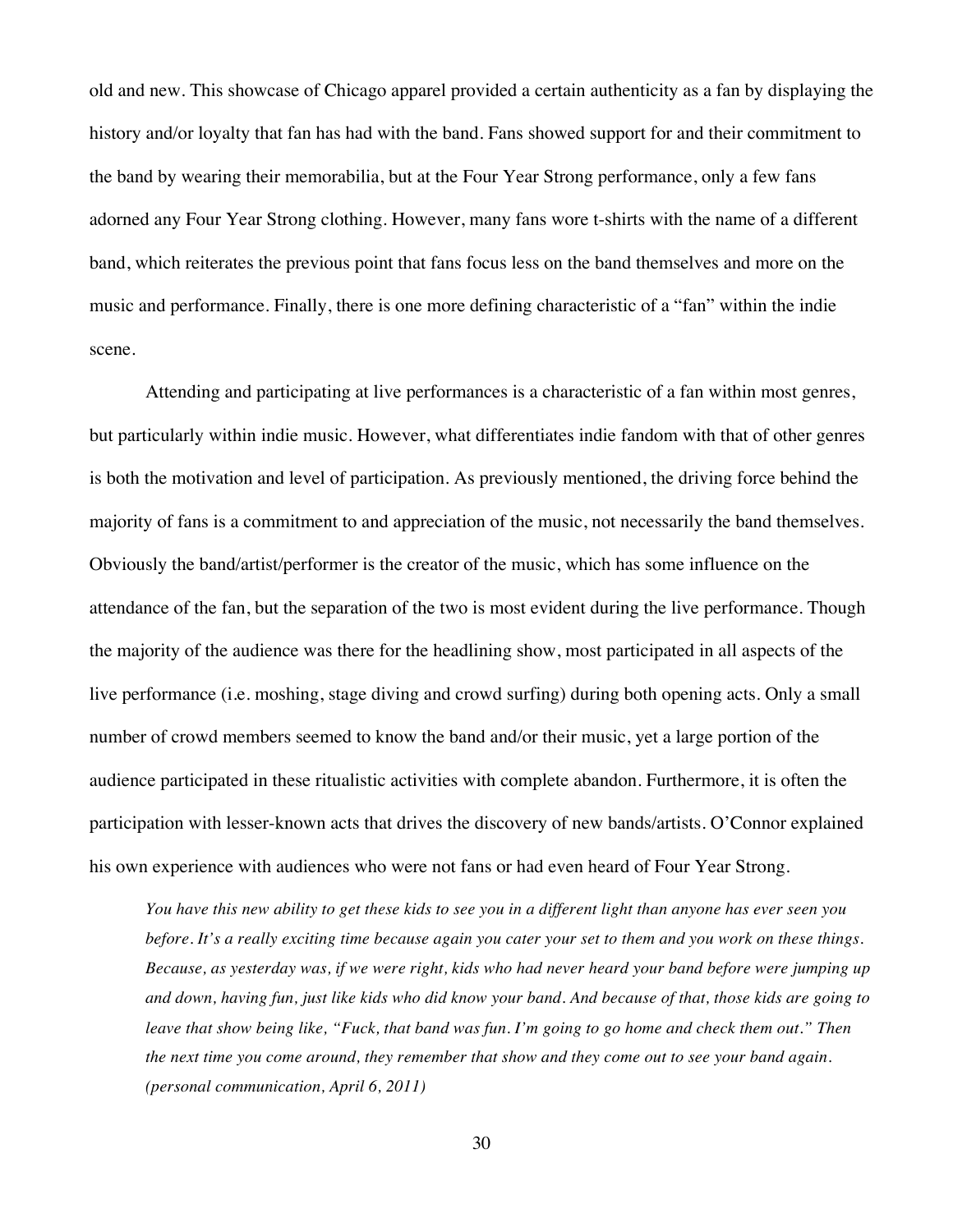old and new. This showcase of Chicago apparel provided a certain authenticity as a fan by displaying the history and/or loyalty that fan has had with the band. Fans showed support for and their commitment to the band by wearing their memorabilia, but at the Four Year Strong performance, only a few fans adorned any Four Year Strong clothing. However, many fans wore t-shirts with the name of a different band, which reiterates the previous point that fans focus less on the band themselves and more on the music and performance. Finally, there is one more defining characteristic of a "fan" within the indie scene.

Attending and participating at live performances is a characteristic of a fan within most genres, but particularly within indie music. However, what differentiates indie fandom with that of other genres is both the motivation and level of participation. As previously mentioned, the driving force behind the majority of fans is a commitment to and appreciation of the music, not necessarily the band themselves. Obviously the band/artist/performer is the creator of the music, which has some influence on the attendance of the fan, but the separation of the two is most evident during the live performance. Though the majority of the audience was there for the headlining show, most participated in all aspects of the live performance (i.e. moshing, stage diving and crowd surfing) during both opening acts. Only a small number of crowd members seemed to know the band and/or their music, yet a large portion of the audience participated in these ritualistic activities with complete abandon. Furthermore, it is often the participation with lesser-known acts that drives the discovery of new bands/artists. O'Connor explained his own experience with audiences who were not fans or had even heard of Four Year Strong.

*You have this new ability to get these kids to see you in a different light than anyone has ever seen you before. It's a really exciting time because again you cater your set to them and you work on these things. Because, as yesterday was, if we were right, kids who had never heard your band before were jumping up and down, having fun, just like kids who did know your band. And because of that, those kids are going to leave that show being like, "Fuck, that band was fun. I'm going to go home and check them out." Then the next time you come around, they remember that show and they come out to see your band again. (personal communication, April 6, 2011)*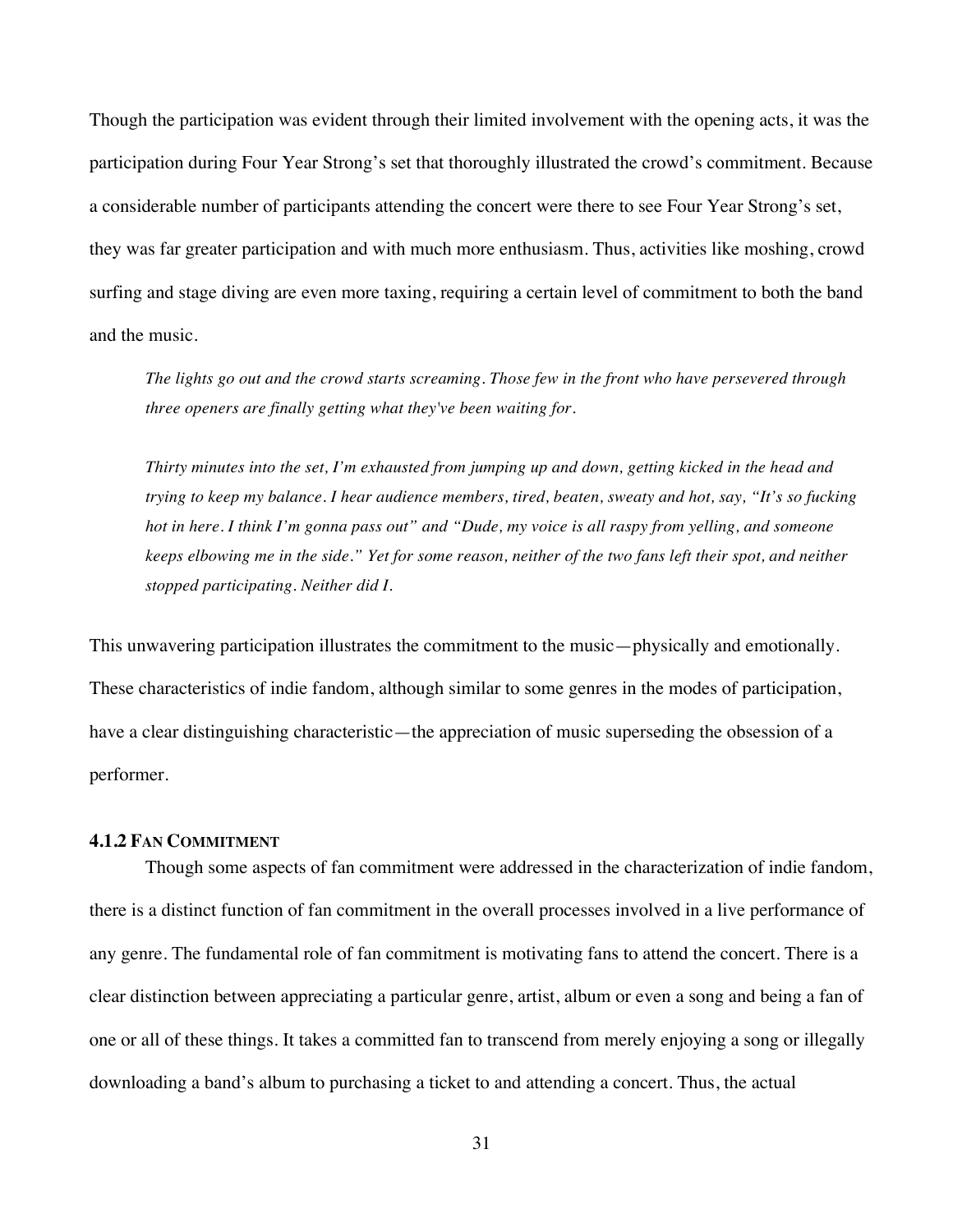Though the participation was evident through their limited involvement with the opening acts, it was the participation during Four Year Strong's set that thoroughly illustrated the crowd's commitment. Because a considerable number of participants attending the concert were there to see Four Year Strong's set, they was far greater participation and with much more enthusiasm. Thus, activities like moshing, crowd surfing and stage diving are even more taxing, requiring a certain level of commitment to both the band and the music.

*The lights go out and the crowd starts screaming. Those few in the front who have persevered through three openers are finally getting what they've been waiting for.*

*Thirty minutes into the set, I'm exhausted from jumping up and down, getting kicked in the head and trying to keep my balance. I hear audience members, tired, beaten, sweaty and hot, say, "It's so fucking hot in here. I think I'm gonna pass out" and "Dude, my voice is all raspy from yelling, and someone keeps elbowing me in the side." Yet for some reason, neither of the two fans left their spot, and neither stopped participating. Neither did I.* 

This unwavering participation illustrates the commitment to the music—physically and emotionally. These characteristics of indie fandom, although similar to some genres in the modes of participation, have a clear distinguishing characteristic—the appreciation of music superseding the obsession of a performer.

## **4.1.2 FAN COMMITMENT**

Though some aspects of fan commitment were addressed in the characterization of indie fandom, there is a distinct function of fan commitment in the overall processes involved in a live performance of any genre. The fundamental role of fan commitment is motivating fans to attend the concert. There is a clear distinction between appreciating a particular genre, artist, album or even a song and being a fan of one or all of these things. It takes a committed fan to transcend from merely enjoying a song or illegally downloading a band's album to purchasing a ticket to and attending a concert. Thus, the actual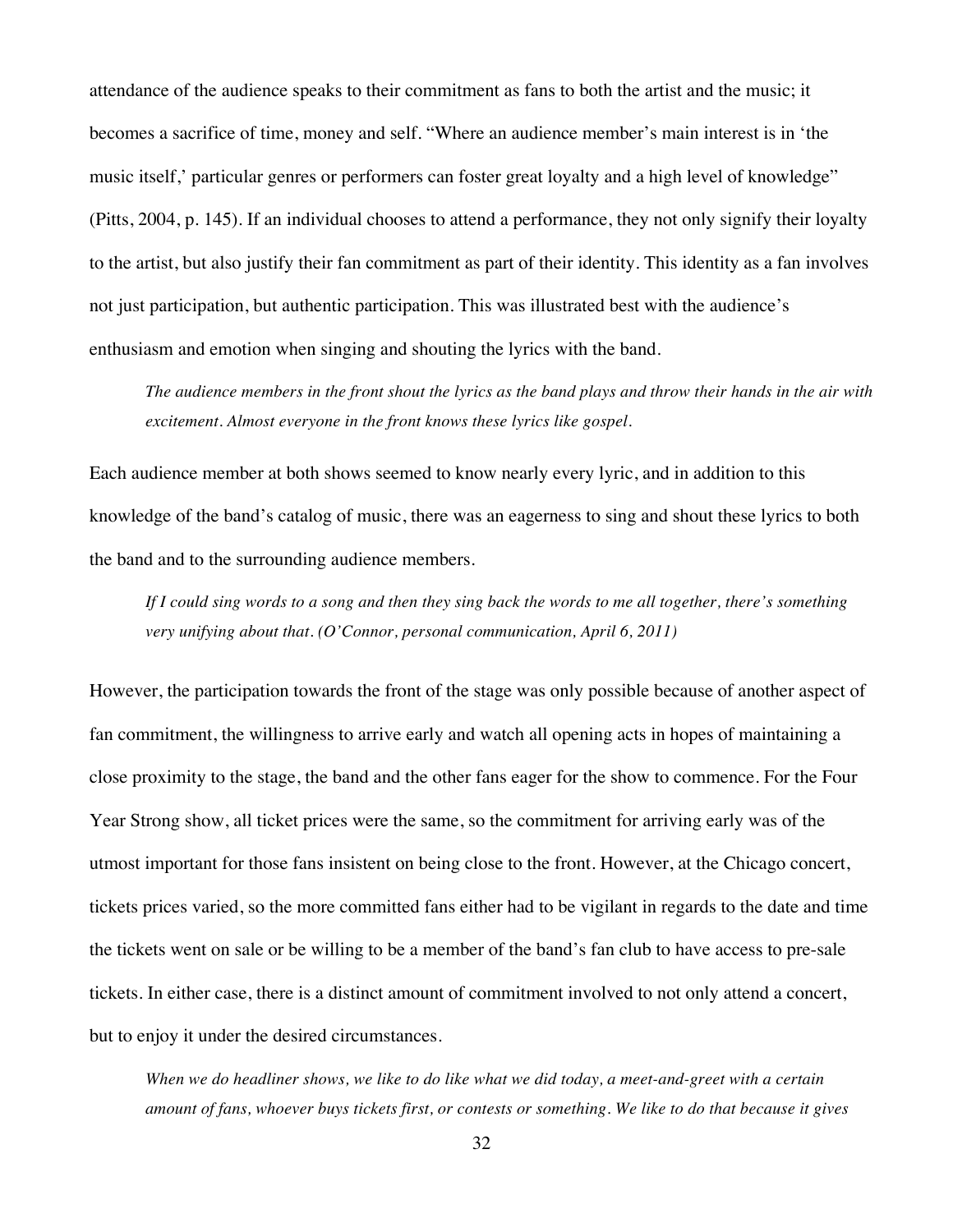attendance of the audience speaks to their commitment as fans to both the artist and the music; it becomes a sacrifice of time, money and self. "Where an audience member's main interest is in 'the music itself,' particular genres or performers can foster great loyalty and a high level of knowledge" (Pitts, 2004, p. 145). If an individual chooses to attend a performance, they not only signify their loyalty to the artist, but also justify their fan commitment as part of their identity. This identity as a fan involves not just participation, but authentic participation. This was illustrated best with the audience's enthusiasm and emotion when singing and shouting the lyrics with the band.

*The audience members in the front shout the lyrics as the band plays and throw their hands in the air with excitement. Almost everyone in the front knows these lyrics like gospel.* 

Each audience member at both shows seemed to know nearly every lyric, and in addition to this knowledge of the band's catalog of music, there was an eagerness to sing and shout these lyrics to both the band and to the surrounding audience members.

*If I could sing words to a song and then they sing back the words to me all together, there's something very unifying about that. (O'Connor, personal communication, April 6, 2011)*

However, the participation towards the front of the stage was only possible because of another aspect of fan commitment, the willingness to arrive early and watch all opening acts in hopes of maintaining a close proximity to the stage, the band and the other fans eager for the show to commence. For the Four Year Strong show, all ticket prices were the same, so the commitment for arriving early was of the utmost important for those fans insistent on being close to the front. However, at the Chicago concert, tickets prices varied, so the more committed fans either had to be vigilant in regards to the date and time the tickets went on sale or be willing to be a member of the band's fan club to have access to pre-sale tickets. In either case, there is a distinct amount of commitment involved to not only attend a concert, but to enjoy it under the desired circumstances.

*When we do headliner shows, we like to do like what we did today, a meet-and-greet with a certain amount of fans, whoever buys tickets first, or contests or something. We like to do that because it gives*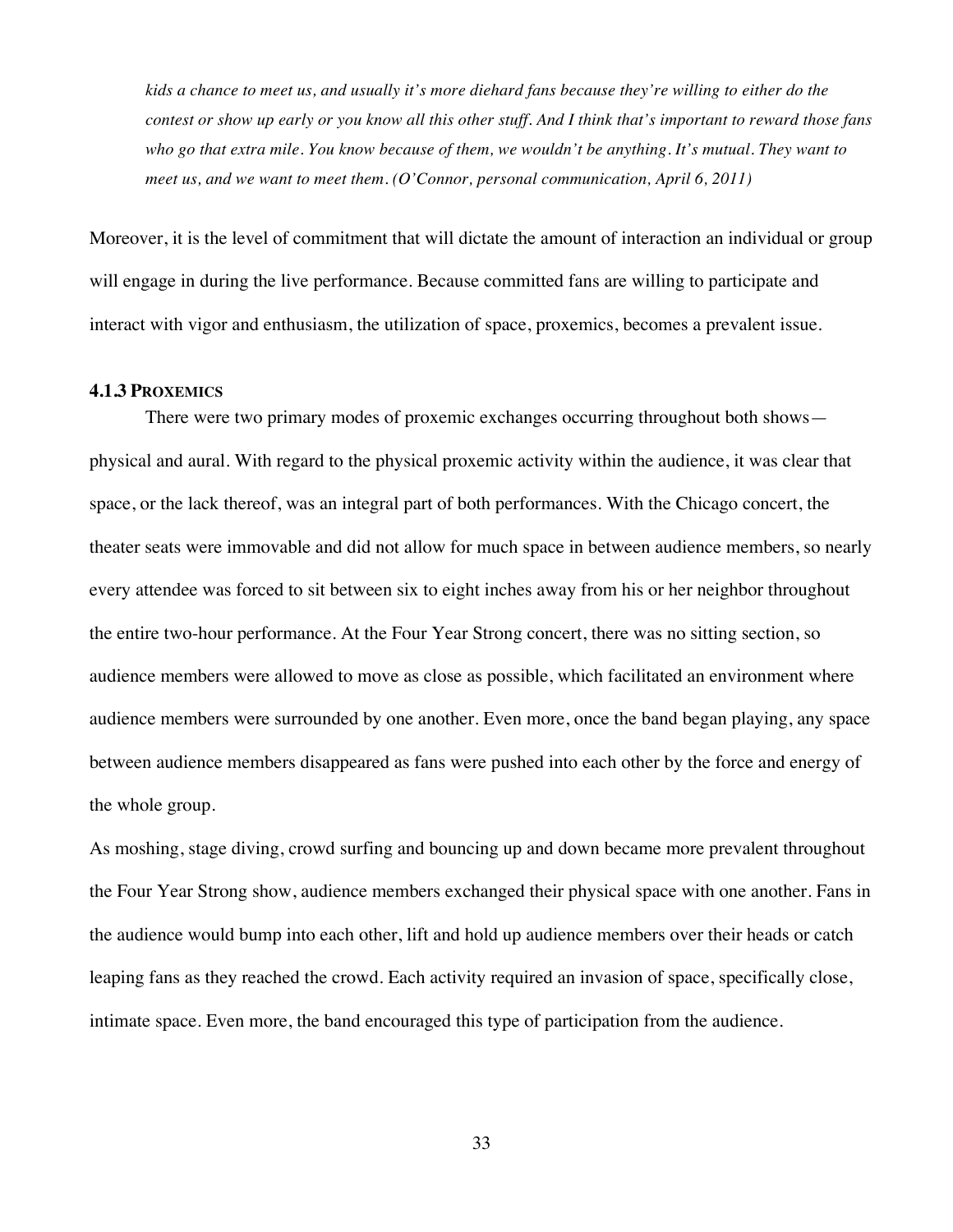*kids a chance to meet us, and usually it's more diehard fans because they're willing to either do the contest or show up early or you know all this other stuff. And I think that's important to reward those fans who go that extra mile. You know because of them, we wouldn't be anything. It's mutual. They want to meet us, and we want to meet them. (O'Connor, personal communication, April 6, 2011)*

Moreover, it is the level of commitment that will dictate the amount of interaction an individual or group will engage in during the live performance. Because committed fans are willing to participate and interact with vigor and enthusiasm, the utilization of space, proxemics, becomes a prevalent issue.

#### **4.1.3 PROXEMICS**

There were two primary modes of proxemic exchanges occurring throughout both shows physical and aural. With regard to the physical proxemic activity within the audience, it was clear that space, or the lack thereof, was an integral part of both performances. With the Chicago concert, the theater seats were immovable and did not allow for much space in between audience members, so nearly every attendee was forced to sit between six to eight inches away from his or her neighbor throughout the entire two-hour performance. At the Four Year Strong concert, there was no sitting section, so audience members were allowed to move as close as possible, which facilitated an environment where audience members were surrounded by one another. Even more, once the band began playing, any space between audience members disappeared as fans were pushed into each other by the force and energy of the whole group.

As moshing, stage diving, crowd surfing and bouncing up and down became more prevalent throughout the Four Year Strong show, audience members exchanged their physical space with one another. Fans in the audience would bump into each other, lift and hold up audience members over their heads or catch leaping fans as they reached the crowd. Each activity required an invasion of space, specifically close, intimate space. Even more, the band encouraged this type of participation from the audience.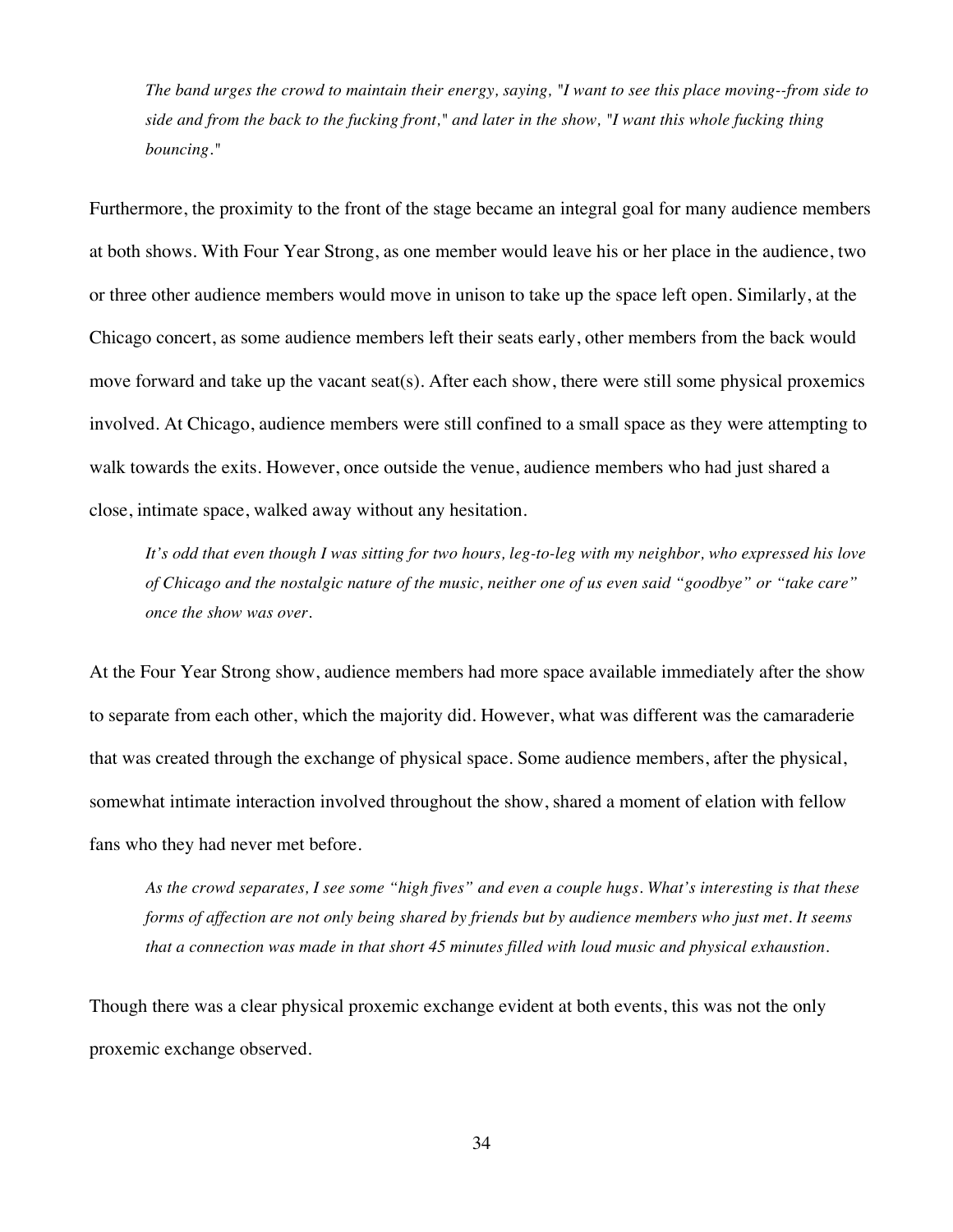*The band urges the crowd to maintain their energy, saying, "I want to see this place moving--from side to side and from the back to the fucking front," and later in the show, "I want this whole fucking thing bouncing."*

Furthermore, the proximity to the front of the stage became an integral goal for many audience members at both shows. With Four Year Strong, as one member would leave his or her place in the audience, two or three other audience members would move in unison to take up the space left open. Similarly, at the Chicago concert, as some audience members left their seats early, other members from the back would move forward and take up the vacant seat(s). After each show, there were still some physical proxemics involved. At Chicago, audience members were still confined to a small space as they were attempting to walk towards the exits. However, once outside the venue, audience members who had just shared a close, intimate space, walked away without any hesitation.

*It's odd that even though I was sitting for two hours, leg-to-leg with my neighbor, who expressed his love of Chicago and the nostalgic nature of the music, neither one of us even said "goodbye" or "take care" once the show was over.* 

At the Four Year Strong show, audience members had more space available immediately after the show to separate from each other, which the majority did. However, what was different was the camaraderie that was created through the exchange of physical space. Some audience members, after the physical, somewhat intimate interaction involved throughout the show, shared a moment of elation with fellow fans who they had never met before.

*As the crowd separates, I see some "high fives" and even a couple hugs. What's interesting is that these forms of affection are not only being shared by friends but by audience members who just met. It seems that a connection was made in that short 45 minutes filled with loud music and physical exhaustion.* 

Though there was a clear physical proxemic exchange evident at both events, this was not the only proxemic exchange observed.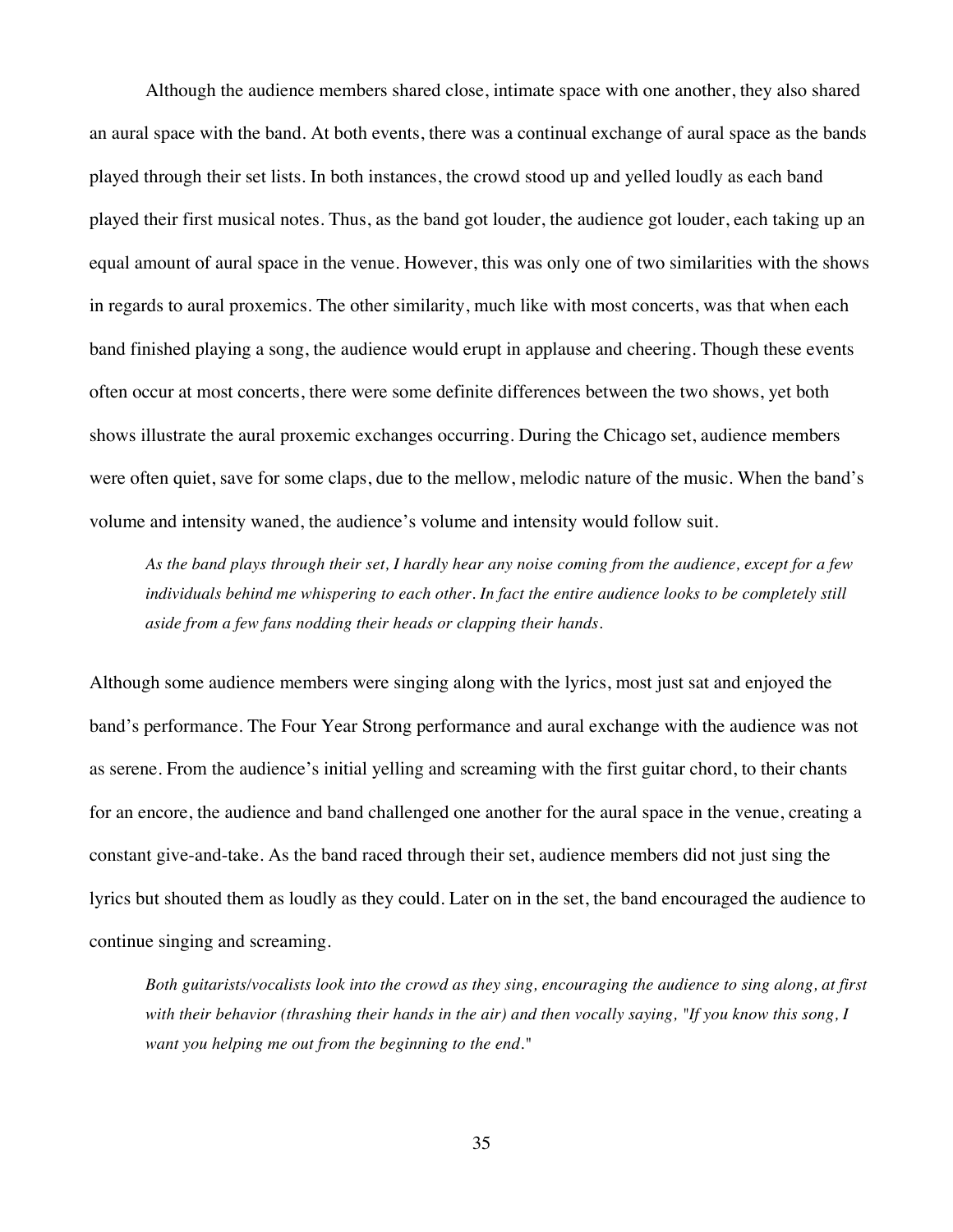Although the audience members shared close, intimate space with one another, they also shared an aural space with the band. At both events, there was a continual exchange of aural space as the bands played through their set lists. In both instances, the crowd stood up and yelled loudly as each band played their first musical notes. Thus, as the band got louder, the audience got louder, each taking up an equal amount of aural space in the venue. However, this was only one of two similarities with the shows in regards to aural proxemics. The other similarity, much like with most concerts, was that when each band finished playing a song, the audience would erupt in applause and cheering. Though these events often occur at most concerts, there were some definite differences between the two shows, yet both shows illustrate the aural proxemic exchanges occurring. During the Chicago set, audience members were often quiet, save for some claps, due to the mellow, melodic nature of the music. When the band's volume and intensity waned, the audience's volume and intensity would follow suit.

*As the band plays through their set, I hardly hear any noise coming from the audience, except for a few individuals behind me whispering to each other. In fact the entire audience looks to be completely still aside from a few fans nodding their heads or clapping their hands.*

Although some audience members were singing along with the lyrics, most just sat and enjoyed the band's performance. The Four Year Strong performance and aural exchange with the audience was not as serene. From the audience's initial yelling and screaming with the first guitar chord, to their chants for an encore, the audience and band challenged one another for the aural space in the venue, creating a constant give-and-take. As the band raced through their set, audience members did not just sing the lyrics but shouted them as loudly as they could. Later on in the set, the band encouraged the audience to continue singing and screaming.

*Both guitarists/vocalists look into the crowd as they sing, encouraging the audience to sing along, at first with their behavior (thrashing their hands in the air) and then vocally saying, "If you know this song, I want you helping me out from the beginning to the end."*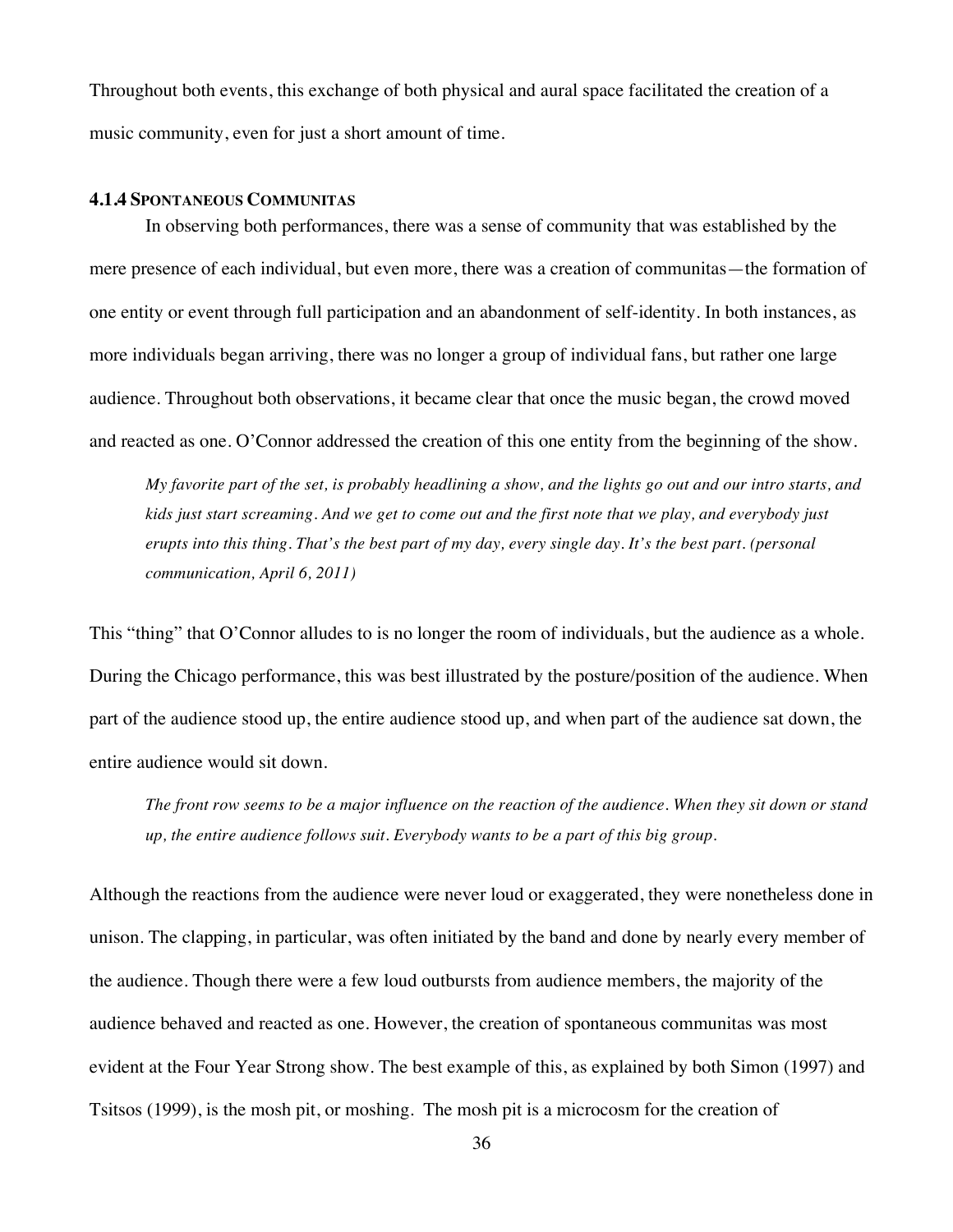Throughout both events, this exchange of both physical and aural space facilitated the creation of a music community, even for just a short amount of time.

## **4.1.4 SPONTANEOUS COMMUNITAS**

In observing both performances, there was a sense of community that was established by the mere presence of each individual, but even more, there was a creation of communitas—the formation of one entity or event through full participation and an abandonment of self-identity. In both instances, as more individuals began arriving, there was no longer a group of individual fans, but rather one large audience. Throughout both observations, it became clear that once the music began, the crowd moved and reacted as one. O'Connor addressed the creation of this one entity from the beginning of the show.

*My favorite part of the set, is probably headlining a show, and the lights go out and our intro starts, and kids just start screaming. And we get to come out and the first note that we play, and everybody just erupts into this thing. That's the best part of my day, every single day. It's the best part. (personal communication, April 6, 2011)*

This "thing" that O'Connor alludes to is no longer the room of individuals, but the audience as a whole. During the Chicago performance, this was best illustrated by the posture/position of the audience. When part of the audience stood up, the entire audience stood up, and when part of the audience sat down, the entire audience would sit down.

*The front row seems to be a major influence on the reaction of the audience. When they sit down or stand up, the entire audience follows suit. Everybody wants to be a part of this big group.*

Although the reactions from the audience were never loud or exaggerated, they were nonetheless done in unison. The clapping, in particular, was often initiated by the band and done by nearly every member of the audience. Though there were a few loud outbursts from audience members, the majority of the audience behaved and reacted as one. However, the creation of spontaneous communitas was most evident at the Four Year Strong show. The best example of this, as explained by both Simon (1997) and Tsitsos (1999), is the mosh pit, or moshing. The mosh pit is a microcosm for the creation of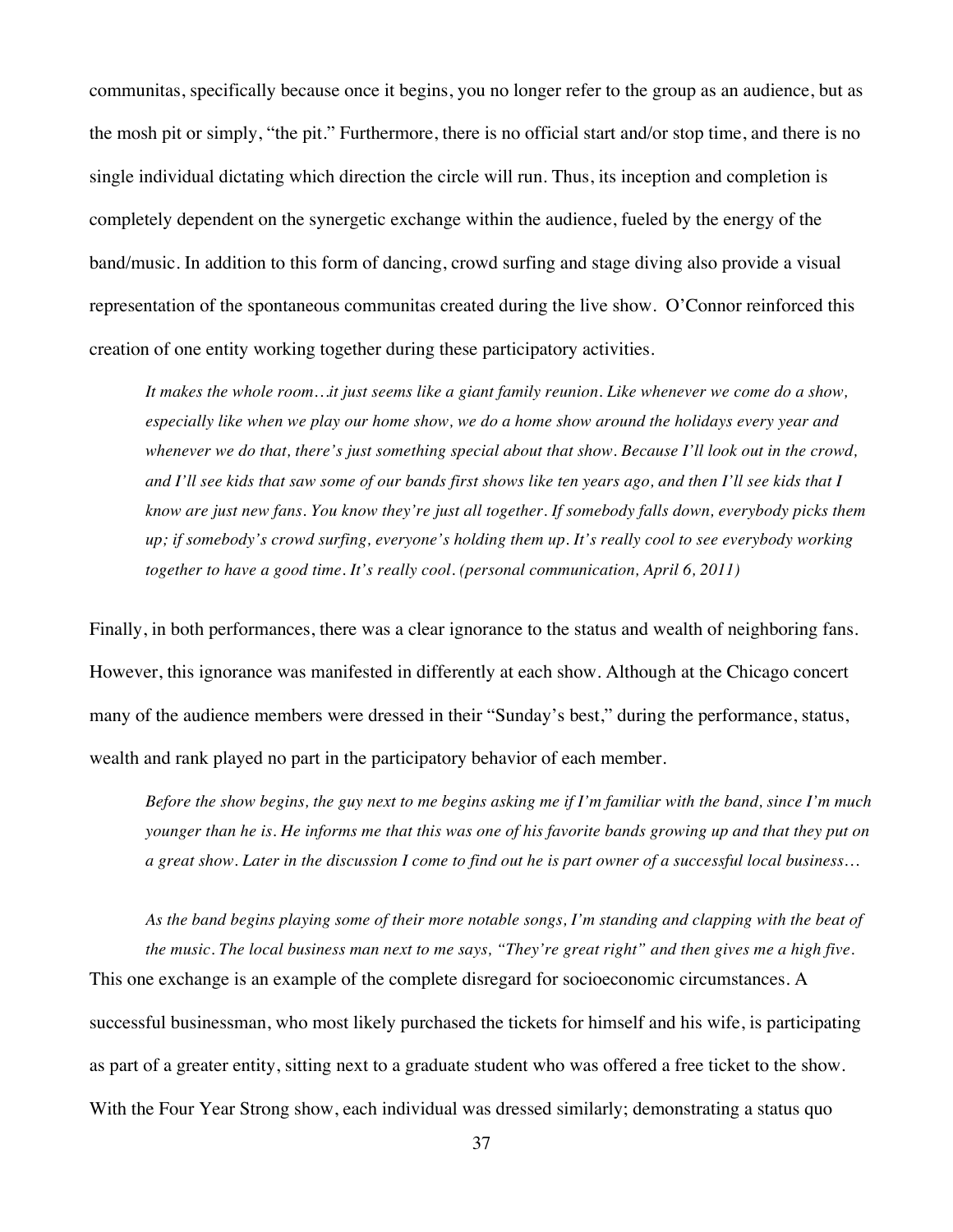communitas, specifically because once it begins, you no longer refer to the group as an audience, but as the mosh pit or simply, "the pit." Furthermore, there is no official start and/or stop time, and there is no single individual dictating which direction the circle will run. Thus, its inception and completion is completely dependent on the synergetic exchange within the audience, fueled by the energy of the band/music. In addition to this form of dancing, crowd surfing and stage diving also provide a visual representation of the spontaneous communitas created during the live show. O'Connor reinforced this creation of one entity working together during these participatory activities.

*It makes the whole room…it just seems like a giant family reunion. Like whenever we come do a show, especially like when we play our home show, we do a home show around the holidays every year and whenever we do that, there's just something special about that show. Because I'll look out in the crowd, and I'll see kids that saw some of our bands first shows like ten years ago, and then I'll see kids that I know are just new fans. You know they're just all together. If somebody falls down, everybody picks them up; if somebody's crowd surfing, everyone's holding them up. It's really cool to see everybody working together to have a good time. It's really cool. (personal communication, April 6, 2011)*

Finally, in both performances, there was a clear ignorance to the status and wealth of neighboring fans. However, this ignorance was manifested in differently at each show. Although at the Chicago concert many of the audience members were dressed in their "Sunday's best," during the performance, status, wealth and rank played no part in the participatory behavior of each member.

*Before the show begins, the guy next to me begins asking me if I'm familiar with the band, since I'm much younger than he is. He informs me that this was one of his favorite bands growing up and that they put on a great show. Later in the discussion I come to find out he is part owner of a successful local business…*

*As the band begins playing some of their more notable songs, I'm standing and clapping with the beat of the music. The local business man next to me says, "They're great right" and then gives me a high five.*  This one exchange is an example of the complete disregard for socioeconomic circumstances. A successful businessman, who most likely purchased the tickets for himself and his wife, is participating as part of a greater entity, sitting next to a graduate student who was offered a free ticket to the show. With the Four Year Strong show, each individual was dressed similarly; demonstrating a status quo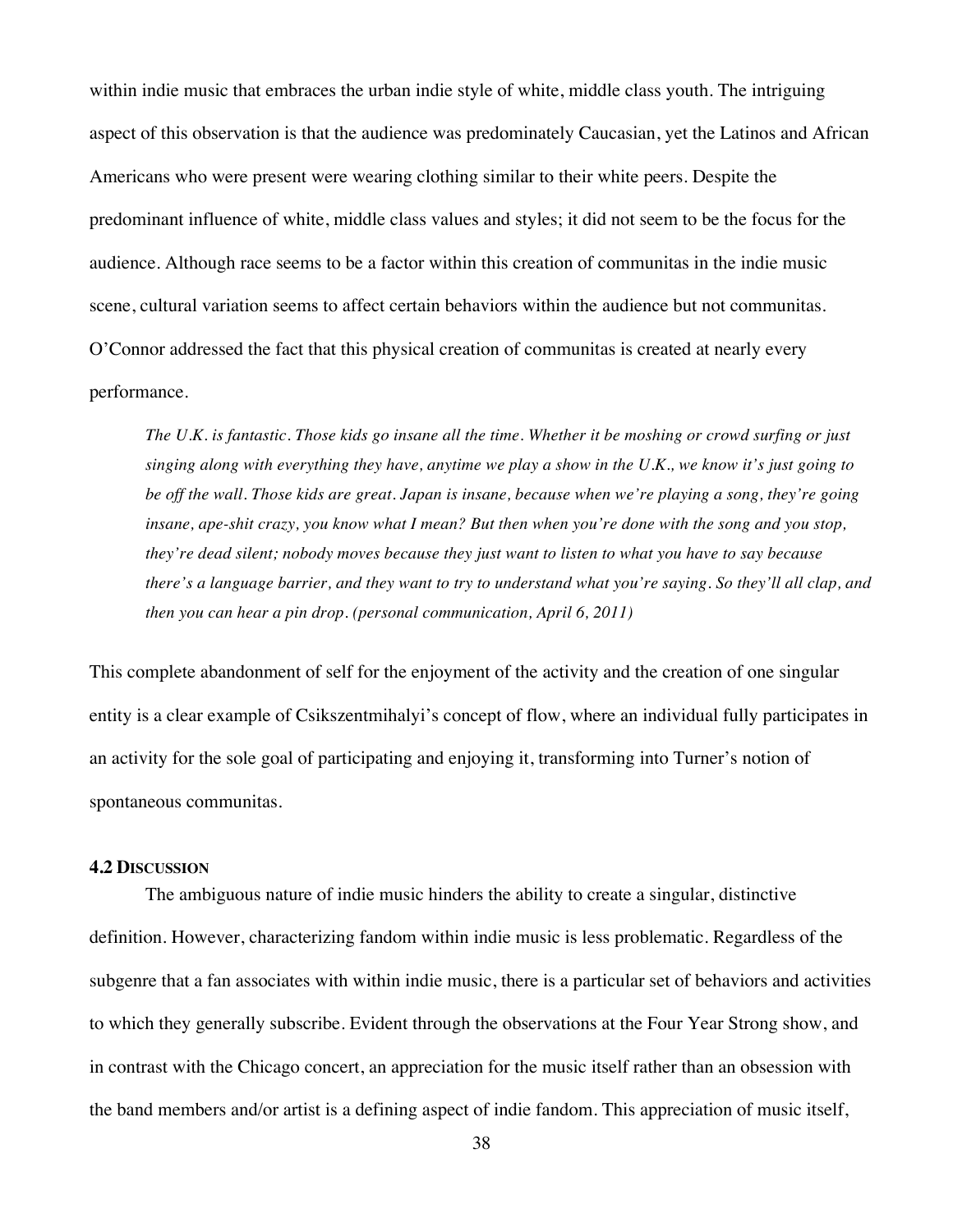within indie music that embraces the urban indie style of white, middle class youth. The intriguing aspect of this observation is that the audience was predominately Caucasian, yet the Latinos and African Americans who were present were wearing clothing similar to their white peers. Despite the predominant influence of white, middle class values and styles; it did not seem to be the focus for the audience. Although race seems to be a factor within this creation of communitas in the indie music scene, cultural variation seems to affect certain behaviors within the audience but not communitas. O'Connor addressed the fact that this physical creation of communitas is created at nearly every performance.

*The U.K. is fantastic. Those kids go insane all the time. Whether it be moshing or crowd surfing or just singing along with everything they have, anytime we play a show in the U.K., we know it's just going to be off the wall. Those kids are great. Japan is insane, because when we're playing a song, they're going insane, ape-shit crazy, you know what I mean? But then when you're done with the song and you stop, they're dead silent; nobody moves because they just want to listen to what you have to say because there's a language barrier, and they want to try to understand what you're saying. So they'll all clap, and then you can hear a pin drop. (personal communication, April 6, 2011)*

This complete abandonment of self for the enjoyment of the activity and the creation of one singular entity is a clear example of Csikszentmihalyi's concept of flow, where an individual fully participates in an activity for the sole goal of participating and enjoying it, transforming into Turner's notion of spontaneous communitas.

## **4.2 DISCUSSION**

The ambiguous nature of indie music hinders the ability to create a singular, distinctive definition. However, characterizing fandom within indie music is less problematic. Regardless of the subgenre that a fan associates with within indie music, there is a particular set of behaviors and activities to which they generally subscribe. Evident through the observations at the Four Year Strong show, and in contrast with the Chicago concert, an appreciation for the music itself rather than an obsession with the band members and/or artist is a defining aspect of indie fandom. This appreciation of music itself,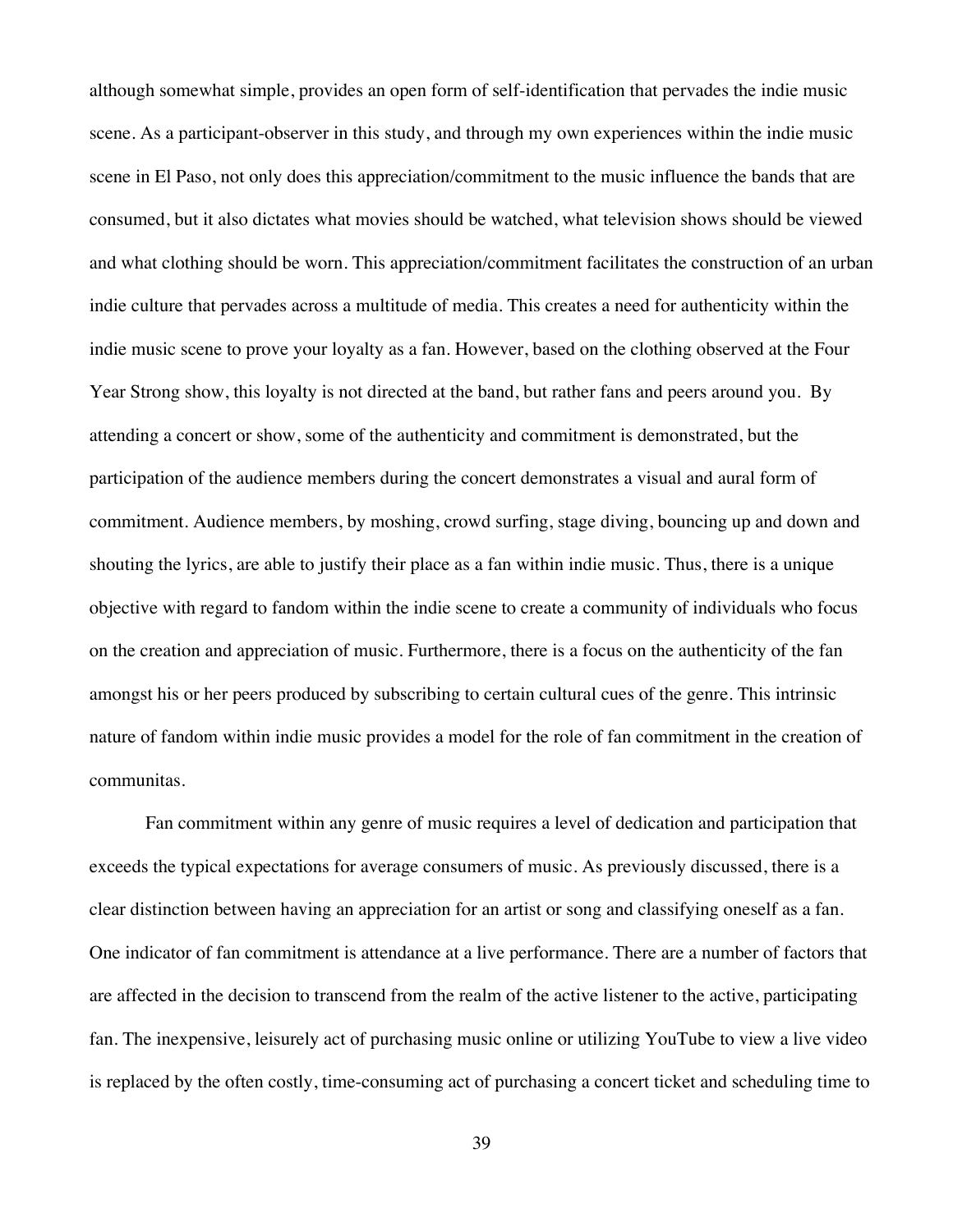although somewhat simple, provides an open form of self-identification that pervades the indie music scene. As a participant-observer in this study, and through my own experiences within the indie music scene in El Paso, not only does this appreciation/commitment to the music influence the bands that are consumed, but it also dictates what movies should be watched, what television shows should be viewed and what clothing should be worn. This appreciation/commitment facilitates the construction of an urban indie culture that pervades across a multitude of media. This creates a need for authenticity within the indie music scene to prove your loyalty as a fan. However, based on the clothing observed at the Four Year Strong show, this loyalty is not directed at the band, but rather fans and peers around you. By attending a concert or show, some of the authenticity and commitment is demonstrated, but the participation of the audience members during the concert demonstrates a visual and aural form of commitment. Audience members, by moshing, crowd surfing, stage diving, bouncing up and down and shouting the lyrics, are able to justify their place as a fan within indie music. Thus, there is a unique objective with regard to fandom within the indie scene to create a community of individuals who focus on the creation and appreciation of music. Furthermore, there is a focus on the authenticity of the fan amongst his or her peers produced by subscribing to certain cultural cues of the genre. This intrinsic nature of fandom within indie music provides a model for the role of fan commitment in the creation of communitas.

Fan commitment within any genre of music requires a level of dedication and participation that exceeds the typical expectations for average consumers of music. As previously discussed, there is a clear distinction between having an appreciation for an artist or song and classifying oneself as a fan. One indicator of fan commitment is attendance at a live performance. There are a number of factors that are affected in the decision to transcend from the realm of the active listener to the active, participating fan. The inexpensive, leisurely act of purchasing music online or utilizing YouTube to view a live video is replaced by the often costly, time-consuming act of purchasing a concert ticket and scheduling time to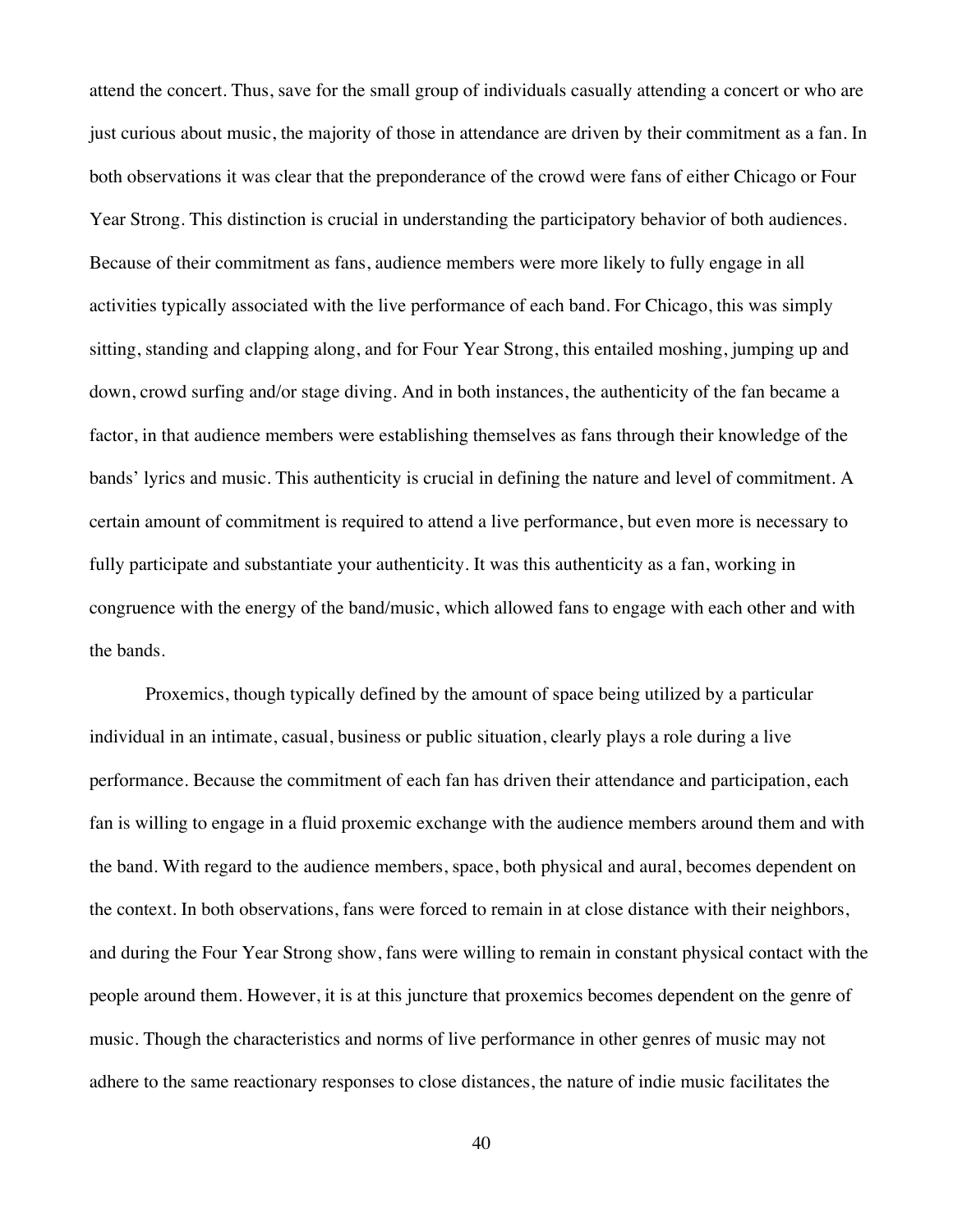attend the concert. Thus, save for the small group of individuals casually attending a concert or who are just curious about music, the majority of those in attendance are driven by their commitment as a fan. In both observations it was clear that the preponderance of the crowd were fans of either Chicago or Four Year Strong. This distinction is crucial in understanding the participatory behavior of both audiences. Because of their commitment as fans, audience members were more likely to fully engage in all activities typically associated with the live performance of each band. For Chicago, this was simply sitting, standing and clapping along, and for Four Year Strong, this entailed moshing, jumping up and down, crowd surfing and/or stage diving. And in both instances, the authenticity of the fan became a factor, in that audience members were establishing themselves as fans through their knowledge of the bands' lyrics and music. This authenticity is crucial in defining the nature and level of commitment. A certain amount of commitment is required to attend a live performance, but even more is necessary to fully participate and substantiate your authenticity. It was this authenticity as a fan, working in congruence with the energy of the band/music, which allowed fans to engage with each other and with the bands.

Proxemics, though typically defined by the amount of space being utilized by a particular individual in an intimate, casual, business or public situation, clearly plays a role during a live performance. Because the commitment of each fan has driven their attendance and participation, each fan is willing to engage in a fluid proxemic exchange with the audience members around them and with the band. With regard to the audience members, space, both physical and aural, becomes dependent on the context. In both observations, fans were forced to remain in at close distance with their neighbors, and during the Four Year Strong show, fans were willing to remain in constant physical contact with the people around them. However, it is at this juncture that proxemics becomes dependent on the genre of music. Though the characteristics and norms of live performance in other genres of music may not adhere to the same reactionary responses to close distances, the nature of indie music facilitates the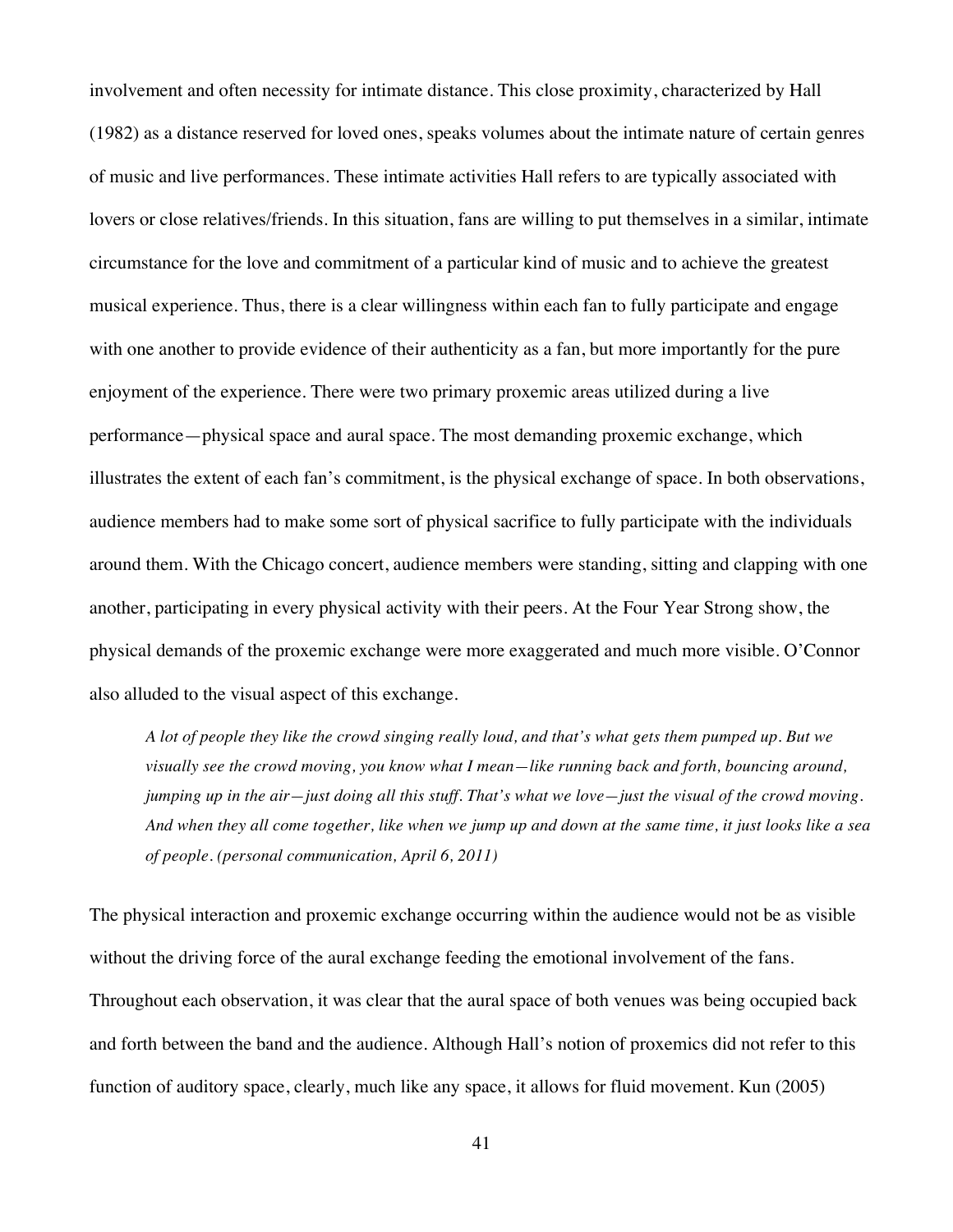involvement and often necessity for intimate distance. This close proximity, characterized by Hall (1982) as a distance reserved for loved ones, speaks volumes about the intimate nature of certain genres of music and live performances. These intimate activities Hall refers to are typically associated with lovers or close relatives/friends. In this situation, fans are willing to put themselves in a similar, intimate circumstance for the love and commitment of a particular kind of music and to achieve the greatest musical experience. Thus, there is a clear willingness within each fan to fully participate and engage with one another to provide evidence of their authenticity as a fan, but more importantly for the pure enjoyment of the experience. There were two primary proxemic areas utilized during a live performance—physical space and aural space. The most demanding proxemic exchange, which illustrates the extent of each fan's commitment, is the physical exchange of space. In both observations, audience members had to make some sort of physical sacrifice to fully participate with the individuals around them. With the Chicago concert, audience members were standing, sitting and clapping with one another, participating in every physical activity with their peers. At the Four Year Strong show, the physical demands of the proxemic exchange were more exaggerated and much more visible. O'Connor also alluded to the visual aspect of this exchange.

*A lot of people they like the crowd singing really loud, and that's what gets them pumped up. But we visually see the crowd moving, you know what I mean—like running back and forth, bouncing around, jumping up in the air—just doing all this stuff. That's what we love—just the visual of the crowd moving. And when they all come together, like when we jump up and down at the same time, it just looks like a sea of people. (personal communication, April 6, 2011)*

The physical interaction and proxemic exchange occurring within the audience would not be as visible without the driving force of the aural exchange feeding the emotional involvement of the fans. Throughout each observation, it was clear that the aural space of both venues was being occupied back and forth between the band and the audience. Although Hall's notion of proxemics did not refer to this function of auditory space, clearly, much like any space, it allows for fluid movement. Kun (2005)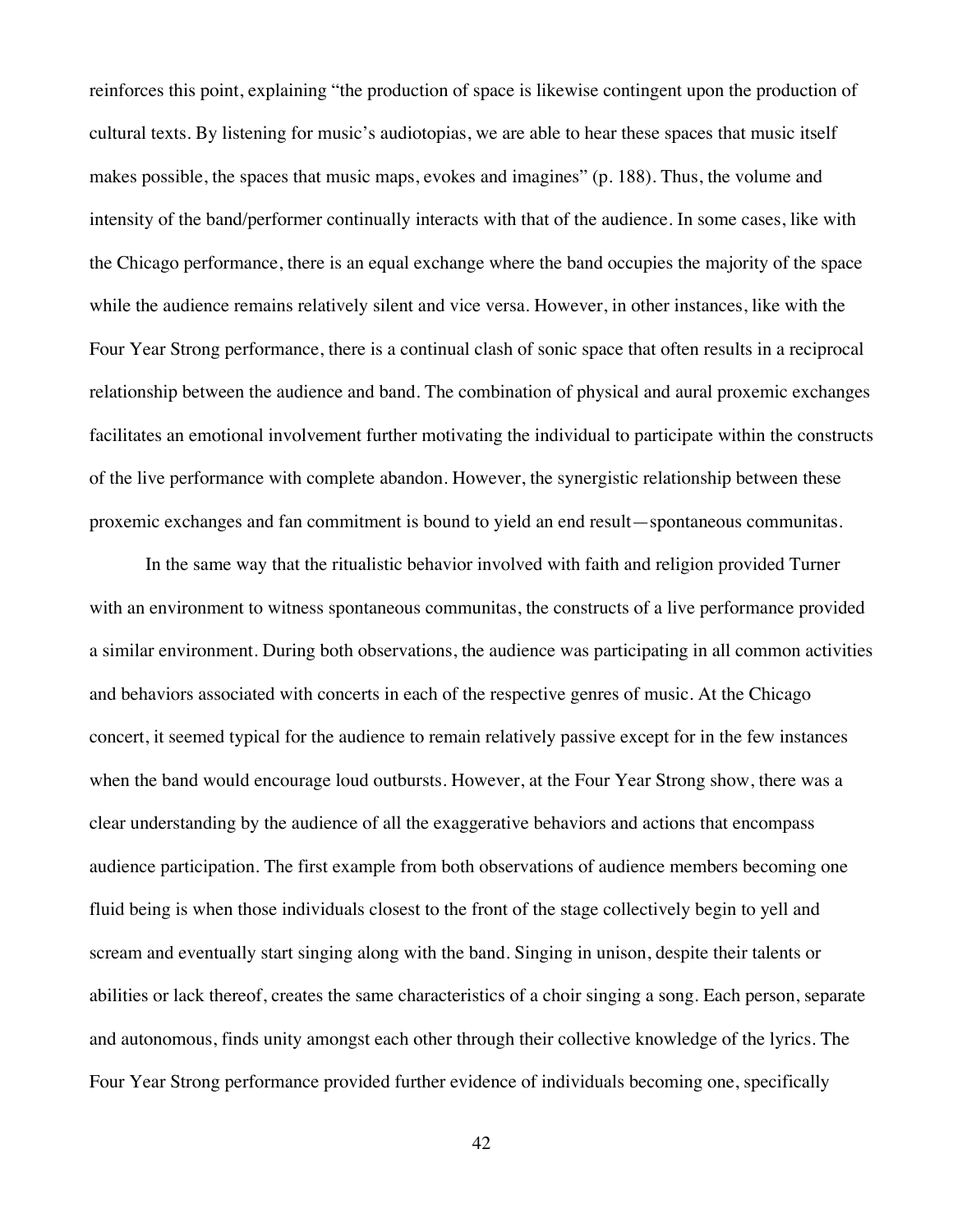reinforces this point, explaining "the production of space is likewise contingent upon the production of cultural texts. By listening for music's audiotopias, we are able to hear these spaces that music itself makes possible, the spaces that music maps, evokes and imagines" (p. 188). Thus, the volume and intensity of the band/performer continually interacts with that of the audience. In some cases, like with the Chicago performance, there is an equal exchange where the band occupies the majority of the space while the audience remains relatively silent and vice versa. However, in other instances, like with the Four Year Strong performance, there is a continual clash of sonic space that often results in a reciprocal relationship between the audience and band. The combination of physical and aural proxemic exchanges facilitates an emotional involvement further motivating the individual to participate within the constructs of the live performance with complete abandon. However, the synergistic relationship between these proxemic exchanges and fan commitment is bound to yield an end result—spontaneous communitas.

In the same way that the ritualistic behavior involved with faith and religion provided Turner with an environment to witness spontaneous communitas, the constructs of a live performance provided a similar environment. During both observations, the audience was participating in all common activities and behaviors associated with concerts in each of the respective genres of music. At the Chicago concert, it seemed typical for the audience to remain relatively passive except for in the few instances when the band would encourage loud outbursts. However, at the Four Year Strong show, there was a clear understanding by the audience of all the exaggerative behaviors and actions that encompass audience participation. The first example from both observations of audience members becoming one fluid being is when those individuals closest to the front of the stage collectively begin to yell and scream and eventually start singing along with the band. Singing in unison, despite their talents or abilities or lack thereof, creates the same characteristics of a choir singing a song. Each person, separate and autonomous, finds unity amongst each other through their collective knowledge of the lyrics. The Four Year Strong performance provided further evidence of individuals becoming one, specifically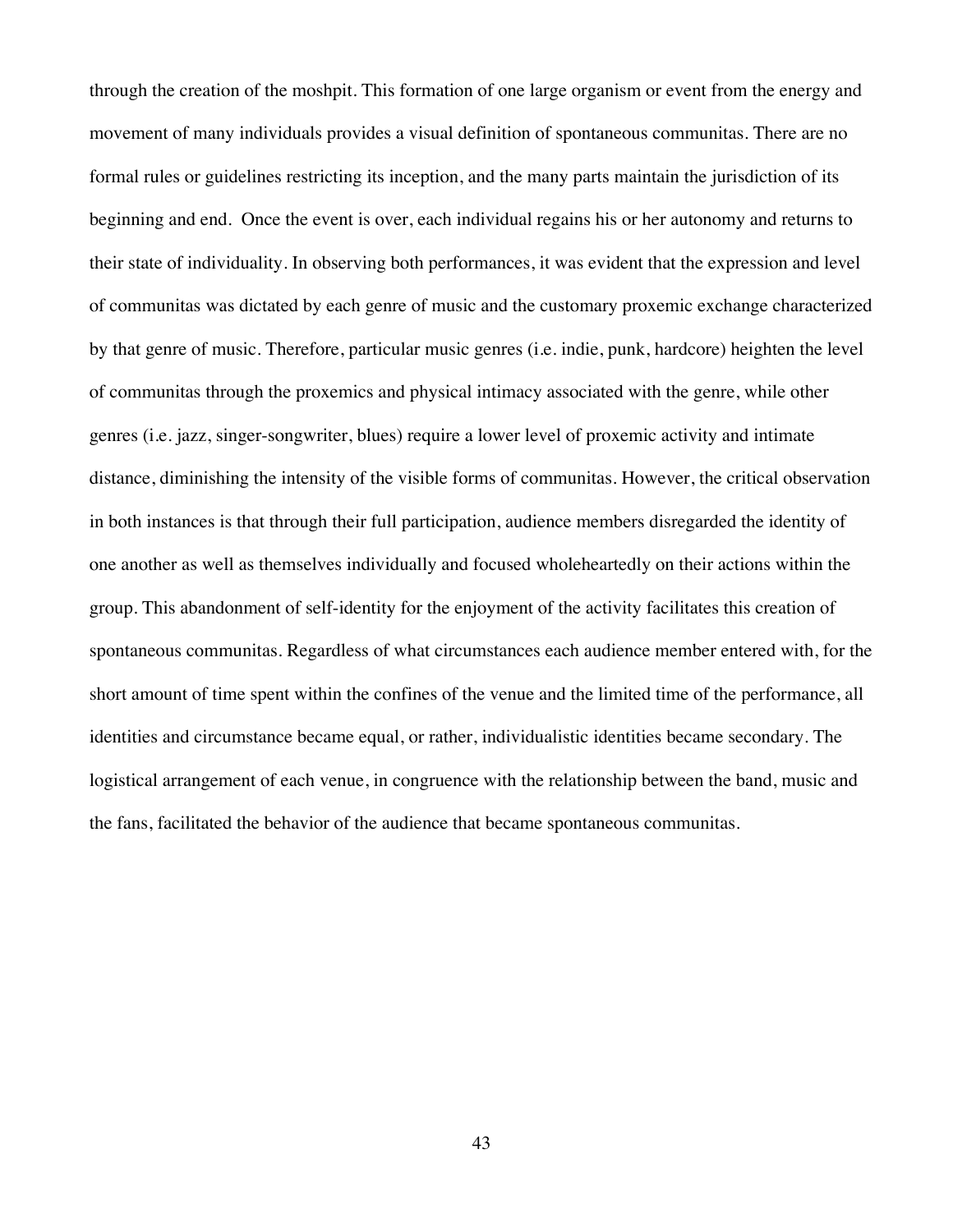through the creation of the moshpit. This formation of one large organism or event from the energy and movement of many individuals provides a visual definition of spontaneous communitas. There are no formal rules or guidelines restricting its inception, and the many parts maintain the jurisdiction of its beginning and end. Once the event is over, each individual regains his or her autonomy and returns to their state of individuality. In observing both performances, it was evident that the expression and level of communitas was dictated by each genre of music and the customary proxemic exchange characterized by that genre of music. Therefore, particular music genres (i.e. indie, punk, hardcore) heighten the level of communitas through the proxemics and physical intimacy associated with the genre, while other genres (i.e. jazz, singer-songwriter, blues) require a lower level of proxemic activity and intimate distance, diminishing the intensity of the visible forms of communitas. However, the critical observation in both instances is that through their full participation, audience members disregarded the identity of one another as well as themselves individually and focused wholeheartedly on their actions within the group. This abandonment of self-identity for the enjoyment of the activity facilitates this creation of spontaneous communitas. Regardless of what circumstances each audience member entered with, for the short amount of time spent within the confines of the venue and the limited time of the performance, all identities and circumstance became equal, or rather, individualistic identities became secondary. The logistical arrangement of each venue, in congruence with the relationship between the band, music and the fans, facilitated the behavior of the audience that became spontaneous communitas.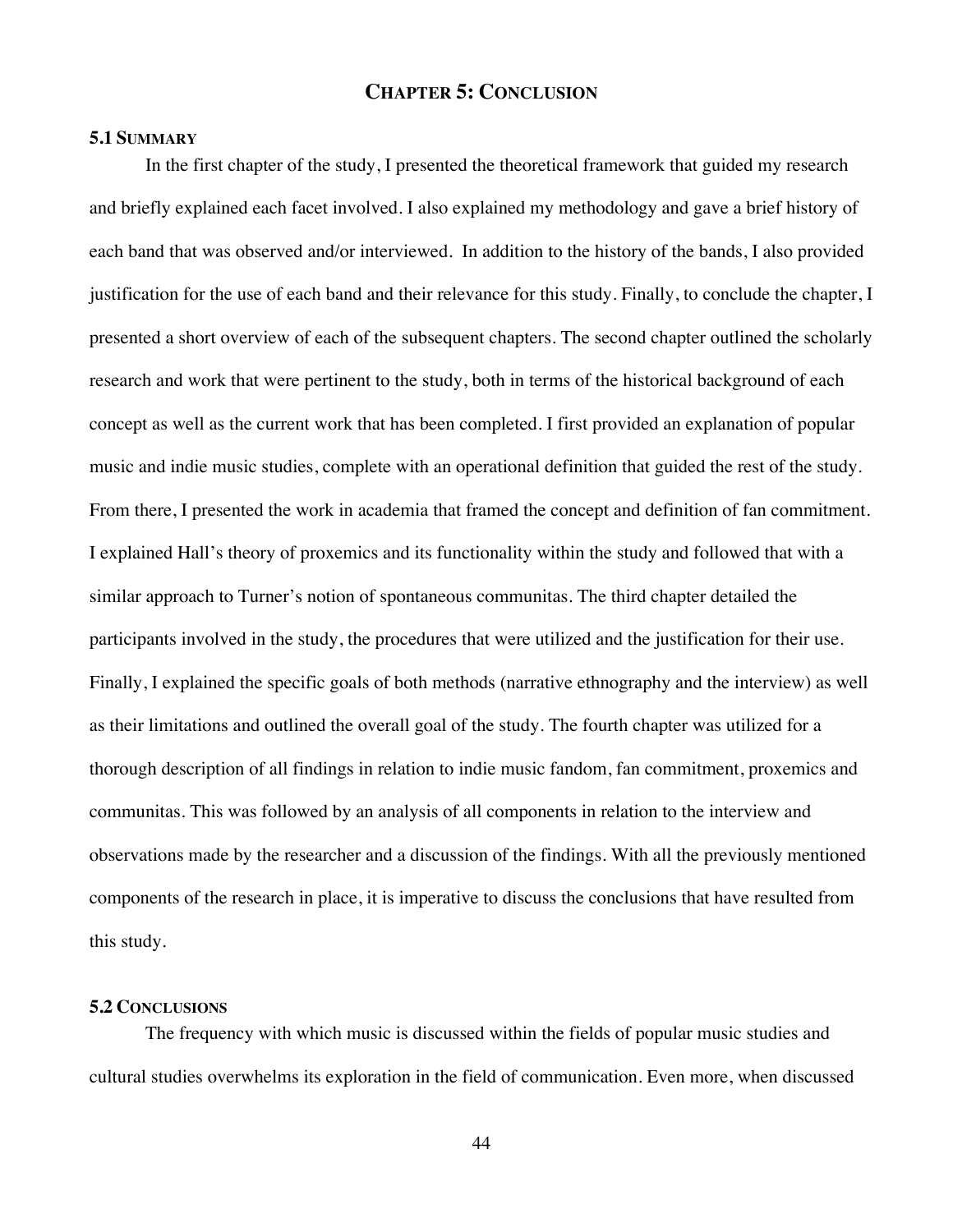## **CHAPTER 5: CONCLUSION**

## **5.1 SUMMARY**

In the first chapter of the study, I presented the theoretical framework that guided my research and briefly explained each facet involved. I also explained my methodology and gave a brief history of each band that was observed and/or interviewed. In addition to the history of the bands, I also provided justification for the use of each band and their relevance for this study. Finally, to conclude the chapter, I presented a short overview of each of the subsequent chapters. The second chapter outlined the scholarly research and work that were pertinent to the study, both in terms of the historical background of each concept as well as the current work that has been completed. I first provided an explanation of popular music and indie music studies, complete with an operational definition that guided the rest of the study. From there, I presented the work in academia that framed the concept and definition of fan commitment. I explained Hall's theory of proxemics and its functionality within the study and followed that with a similar approach to Turner's notion of spontaneous communitas. The third chapter detailed the participants involved in the study, the procedures that were utilized and the justification for their use. Finally, I explained the specific goals of both methods (narrative ethnography and the interview) as well as their limitations and outlined the overall goal of the study. The fourth chapter was utilized for a thorough description of all findings in relation to indie music fandom, fan commitment, proxemics and communitas. This was followed by an analysis of all components in relation to the interview and observations made by the researcher and a discussion of the findings. With all the previously mentioned components of the research in place, it is imperative to discuss the conclusions that have resulted from this study.

#### **5.2 CONCLUSIONS**

The frequency with which music is discussed within the fields of popular music studies and cultural studies overwhelms its exploration in the field of communication. Even more, when discussed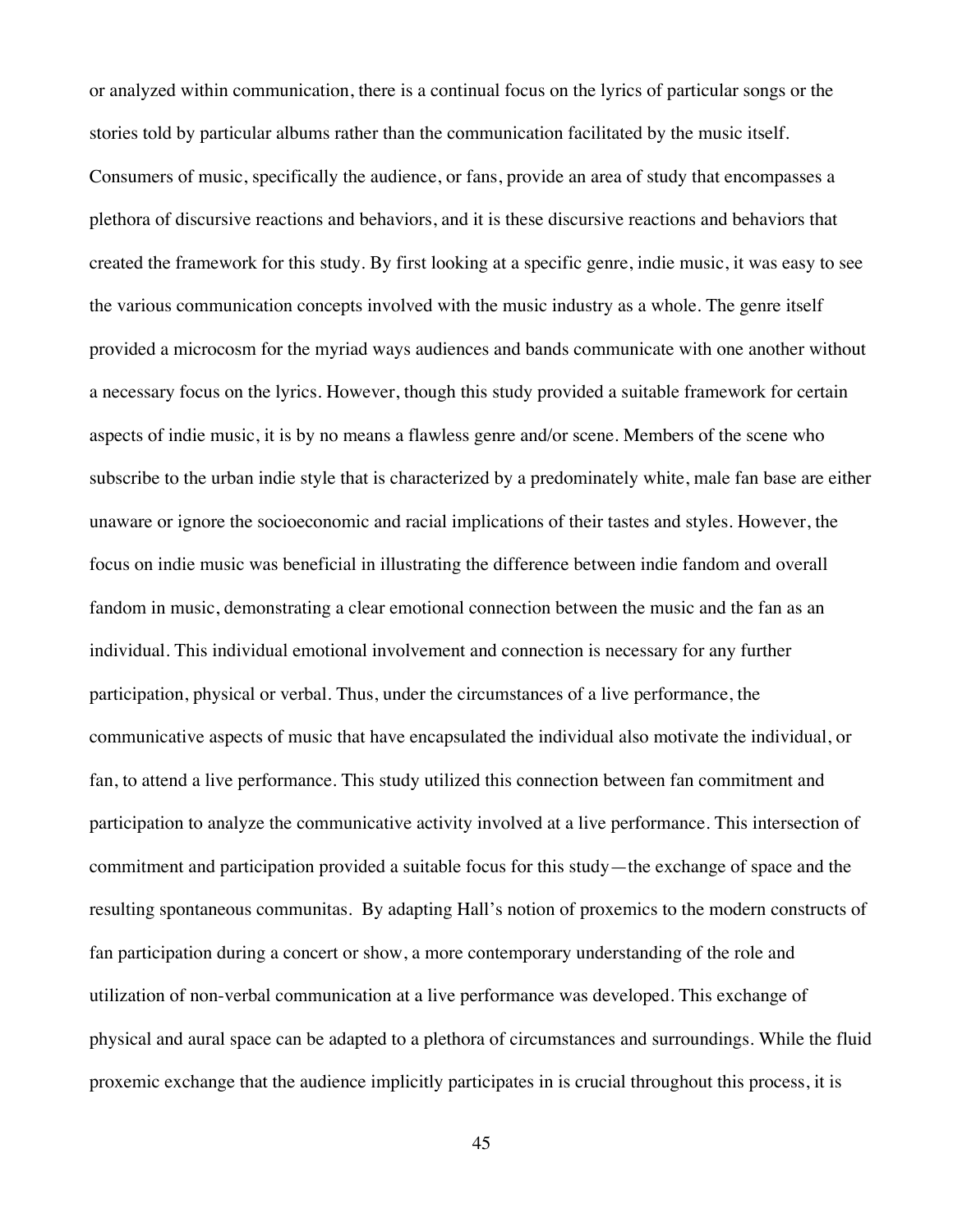or analyzed within communication, there is a continual focus on the lyrics of particular songs or the stories told by particular albums rather than the communication facilitated by the music itself. Consumers of music, specifically the audience, or fans, provide an area of study that encompasses a plethora of discursive reactions and behaviors, and it is these discursive reactions and behaviors that created the framework for this study. By first looking at a specific genre, indie music, it was easy to see the various communication concepts involved with the music industry as a whole. The genre itself provided a microcosm for the myriad ways audiences and bands communicate with one another without a necessary focus on the lyrics. However, though this study provided a suitable framework for certain aspects of indie music, it is by no means a flawless genre and/or scene. Members of the scene who subscribe to the urban indie style that is characterized by a predominately white, male fan base are either unaware or ignore the socioeconomic and racial implications of their tastes and styles. However, the focus on indie music was beneficial in illustrating the difference between indie fandom and overall fandom in music, demonstrating a clear emotional connection between the music and the fan as an individual. This individual emotional involvement and connection is necessary for any further participation, physical or verbal. Thus, under the circumstances of a live performance, the communicative aspects of music that have encapsulated the individual also motivate the individual, or fan, to attend a live performance. This study utilized this connection between fan commitment and participation to analyze the communicative activity involved at a live performance. This intersection of commitment and participation provided a suitable focus for this study—the exchange of space and the resulting spontaneous communitas. By adapting Hall's notion of proxemics to the modern constructs of fan participation during a concert or show, a more contemporary understanding of the role and utilization of non-verbal communication at a live performance was developed. This exchange of physical and aural space can be adapted to a plethora of circumstances and surroundings. While the fluid proxemic exchange that the audience implicitly participates in is crucial throughout this process, it is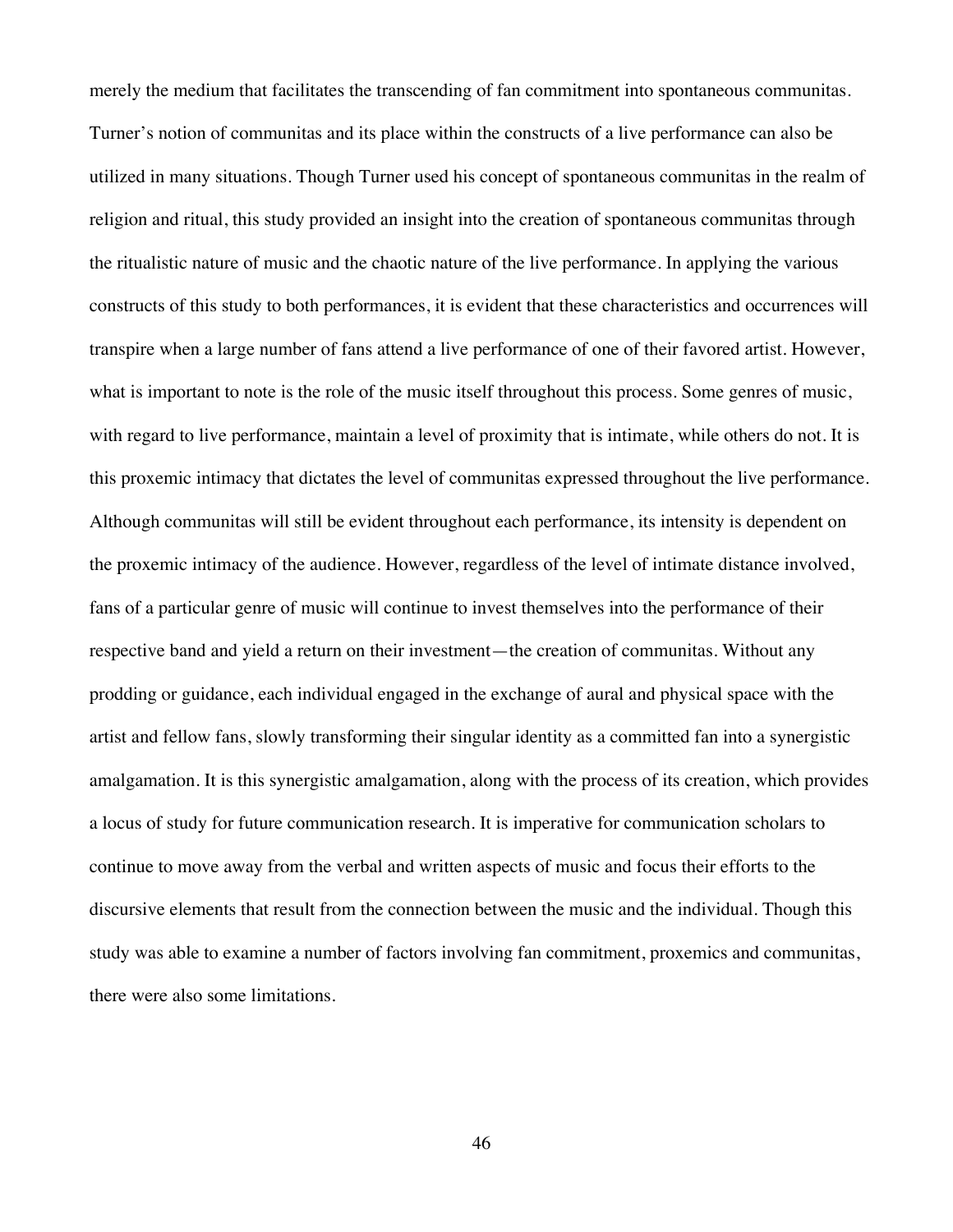merely the medium that facilitates the transcending of fan commitment into spontaneous communitas. Turner's notion of communitas and its place within the constructs of a live performance can also be utilized in many situations. Though Turner used his concept of spontaneous communitas in the realm of religion and ritual, this study provided an insight into the creation of spontaneous communitas through the ritualistic nature of music and the chaotic nature of the live performance. In applying the various constructs of this study to both performances, it is evident that these characteristics and occurrences will transpire when a large number of fans attend a live performance of one of their favored artist. However, what is important to note is the role of the music itself throughout this process. Some genres of music, with regard to live performance, maintain a level of proximity that is intimate, while others do not. It is this proxemic intimacy that dictates the level of communitas expressed throughout the live performance. Although communitas will still be evident throughout each performance, its intensity is dependent on the proxemic intimacy of the audience. However, regardless of the level of intimate distance involved, fans of a particular genre of music will continue to invest themselves into the performance of their respective band and yield a return on their investment—the creation of communitas. Without any prodding or guidance, each individual engaged in the exchange of aural and physical space with the artist and fellow fans, slowly transforming their singular identity as a committed fan into a synergistic amalgamation. It is this synergistic amalgamation, along with the process of its creation, which provides a locus of study for future communication research. It is imperative for communication scholars to continue to move away from the verbal and written aspects of music and focus their efforts to the discursive elements that result from the connection between the music and the individual. Though this study was able to examine a number of factors involving fan commitment, proxemics and communitas, there were also some limitations.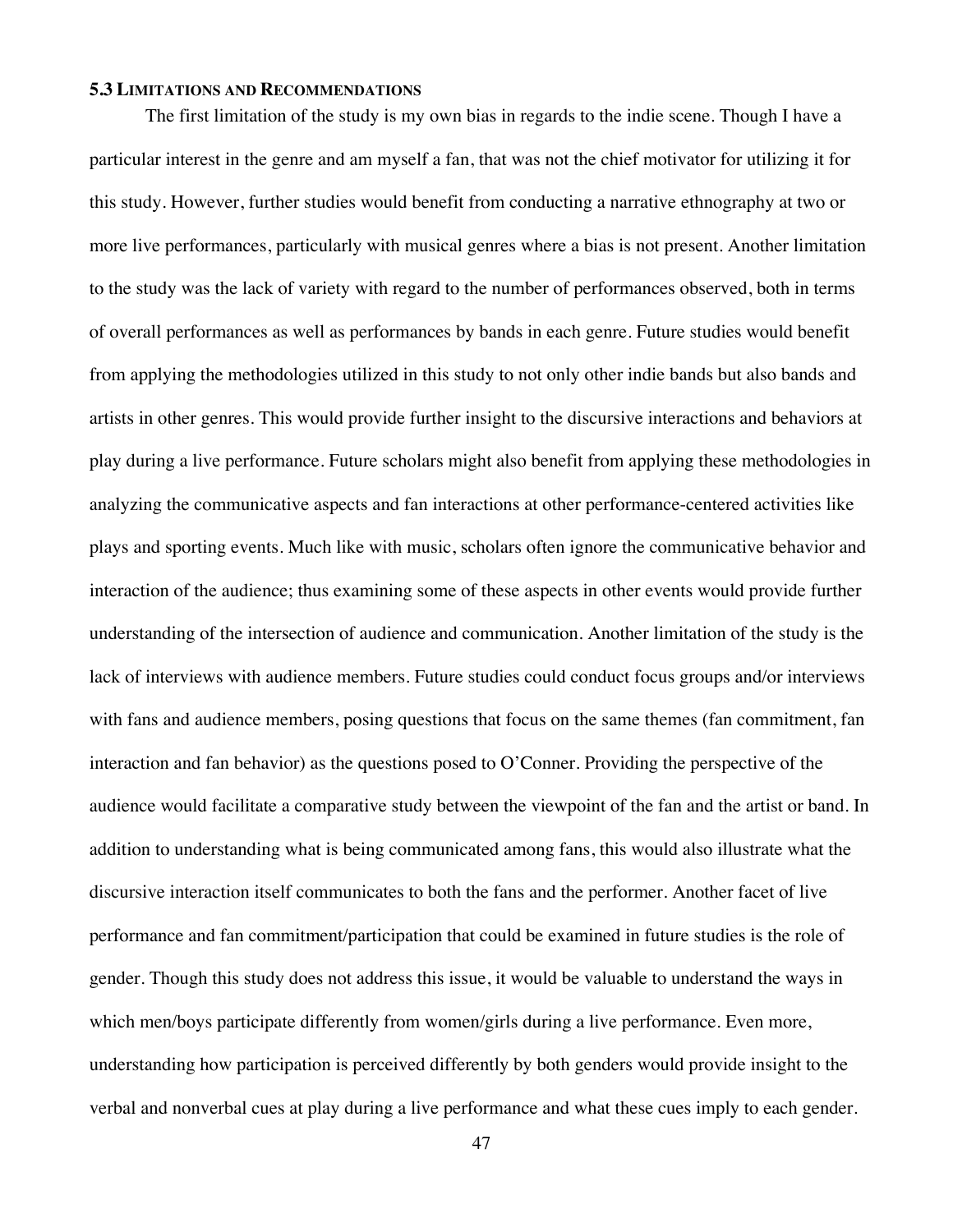## **5.3 LIMITATIONS AND RECOMMENDATIONS**

The first limitation of the study is my own bias in regards to the indie scene. Though I have a particular interest in the genre and am myself a fan, that was not the chief motivator for utilizing it for this study. However, further studies would benefit from conducting a narrative ethnography at two or more live performances, particularly with musical genres where a bias is not present. Another limitation to the study was the lack of variety with regard to the number of performances observed, both in terms of overall performances as well as performances by bands in each genre. Future studies would benefit from applying the methodologies utilized in this study to not only other indie bands but also bands and artists in other genres. This would provide further insight to the discursive interactions and behaviors at play during a live performance. Future scholars might also benefit from applying these methodologies in analyzing the communicative aspects and fan interactions at other performance-centered activities like plays and sporting events. Much like with music, scholars often ignore the communicative behavior and interaction of the audience; thus examining some of these aspects in other events would provide further understanding of the intersection of audience and communication. Another limitation of the study is the lack of interviews with audience members. Future studies could conduct focus groups and/or interviews with fans and audience members, posing questions that focus on the same themes (fan commitment, fan interaction and fan behavior) as the questions posed to O'Conner. Providing the perspective of the audience would facilitate a comparative study between the viewpoint of the fan and the artist or band. In addition to understanding what is being communicated among fans, this would also illustrate what the discursive interaction itself communicates to both the fans and the performer. Another facet of live performance and fan commitment/participation that could be examined in future studies is the role of gender. Though this study does not address this issue, it would be valuable to understand the ways in which men/boys participate differently from women/girls during a live performance. Even more, understanding how participation is perceived differently by both genders would provide insight to the verbal and nonverbal cues at play during a live performance and what these cues imply to each gender.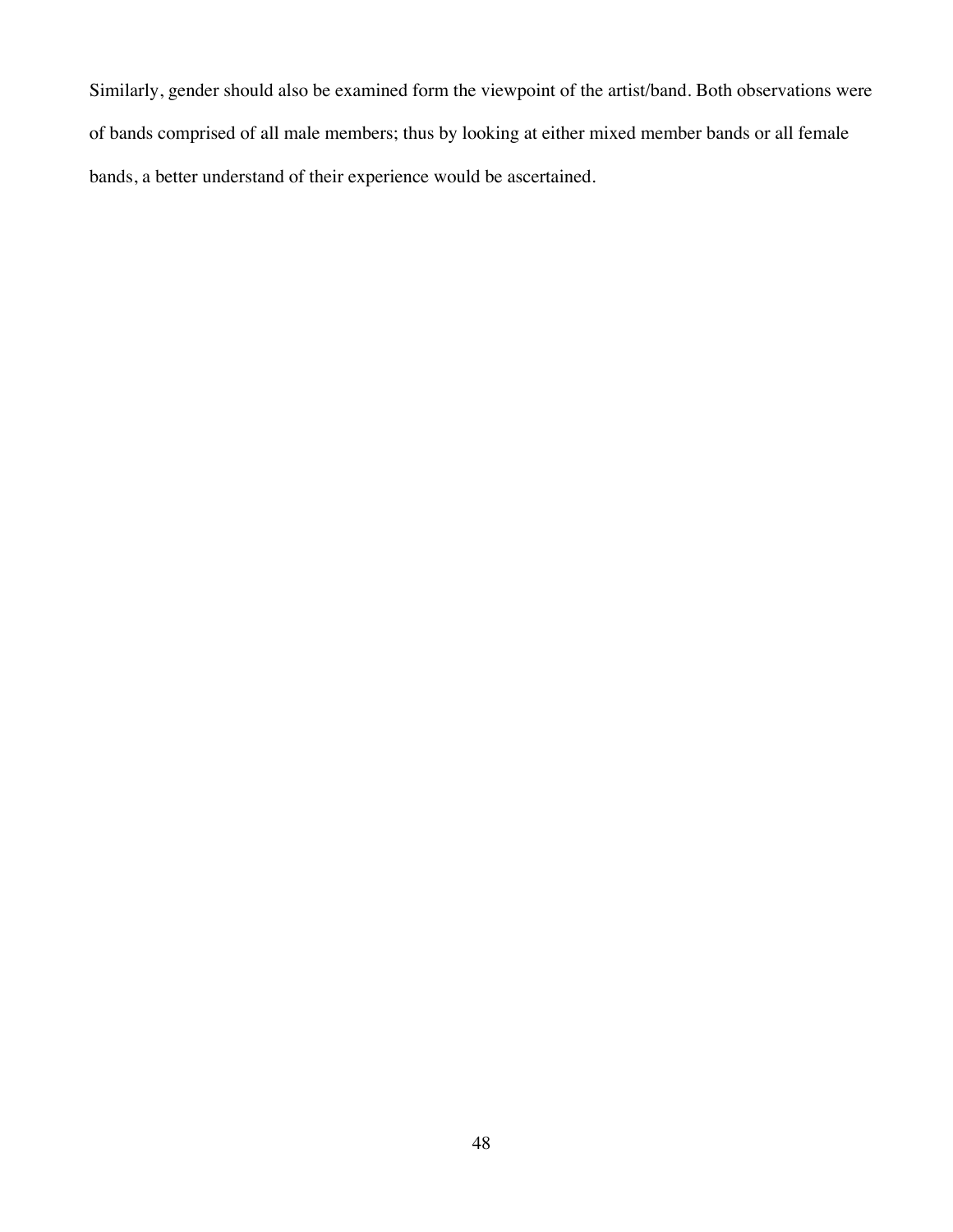Similarly, gender should also be examined form the viewpoint of the artist/band. Both observations were of bands comprised of all male members; thus by looking at either mixed member bands or all female bands, a better understand of their experience would be ascertained.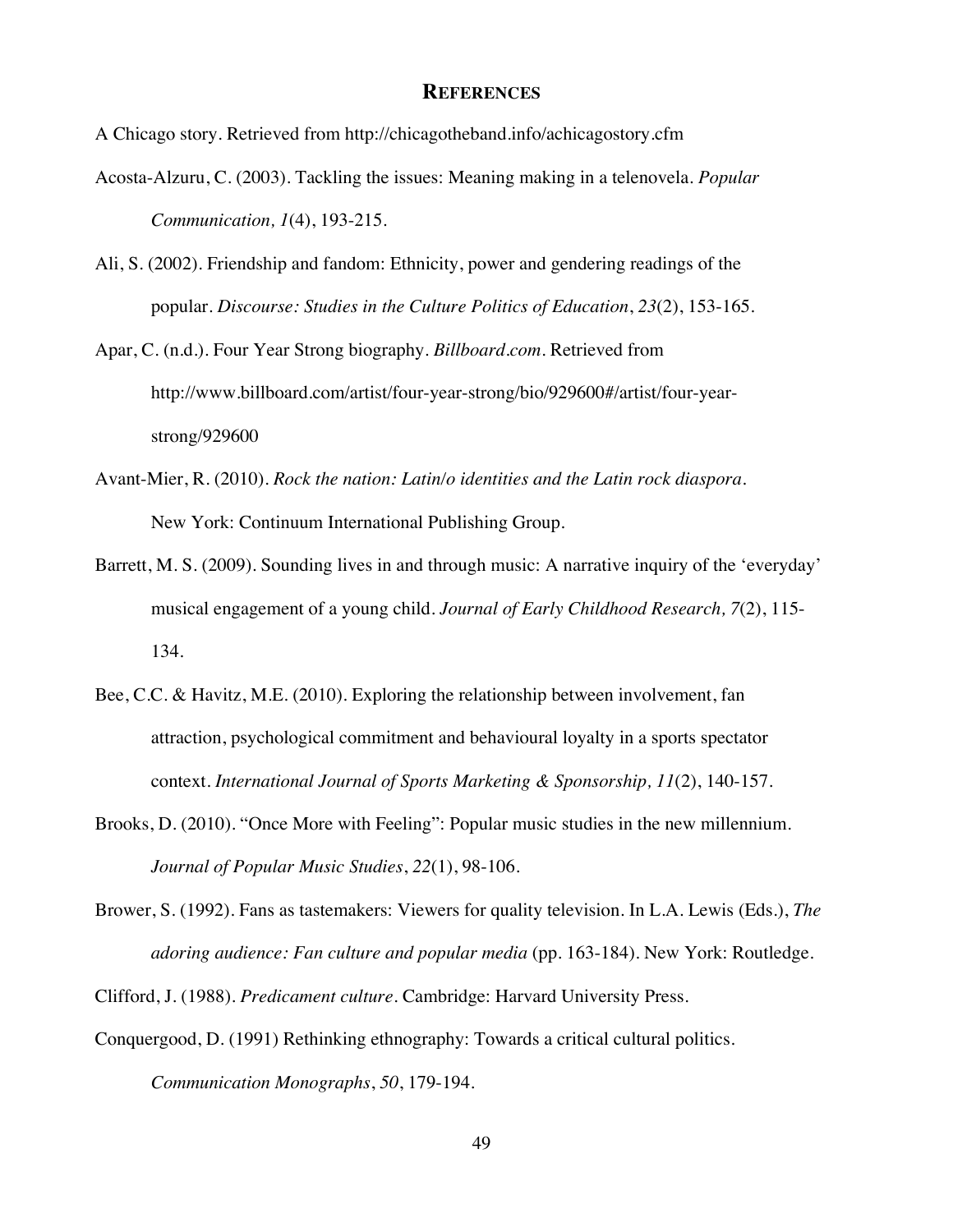#### **REFERENCES**

A Chicago story. Retrieved from http://chicagotheband.info/achicagostory.cfm

- Acosta-Alzuru, C. (2003). Tackling the issues: Meaning making in a telenovela. *Popular Communication, 1*(4), 193-215.
- Ali, S. (2002). Friendship and fandom: Ethnicity, power and gendering readings of the popular. *Discourse: Studies in the Culture Politics of Education*, *23*(2), 153-165.
- Apar, C. (n.d.). Four Year Strong biography. *Billboard.com*. Retrieved from http://www.billboard.com/artist/four-year-strong/bio/929600#/artist/four-yearstrong/929600
- Avant-Mier, R. (2010). *Rock the nation: Latin/o identities and the Latin rock diaspora*. New York: Continuum International Publishing Group.
- Barrett, M. S. (2009). Sounding lives in and through music: A narrative inquiry of the 'everyday' musical engagement of a young child. *Journal of Early Childhood Research, 7*(2), 115- 134.
- Bee, C.C. & Havitz, M.E. (2010). Exploring the relationship between involvement, fan attraction, psychological commitment and behavioural loyalty in a sports spectator context. *International Journal of Sports Marketing & Sponsorship, 11*(2), 140-157.
- Brooks, D. (2010). "Once More with Feeling": Popular music studies in the new millennium. *Journal of Popular Music Studies*, *22*(1), 98-106.
- Brower, S. (1992). Fans as tastemakers: Viewers for quality television. In L.A. Lewis (Eds.), *The adoring audience: Fan culture and popular media* (pp. 163-184). New York: Routledge.
- Clifford, J. (1988). *Predicament culture*. Cambridge: Harvard University Press.
- Conquergood, D. (1991) Rethinking ethnography: Towards a critical cultural politics. *Communication Monographs*, *50*, 179-194.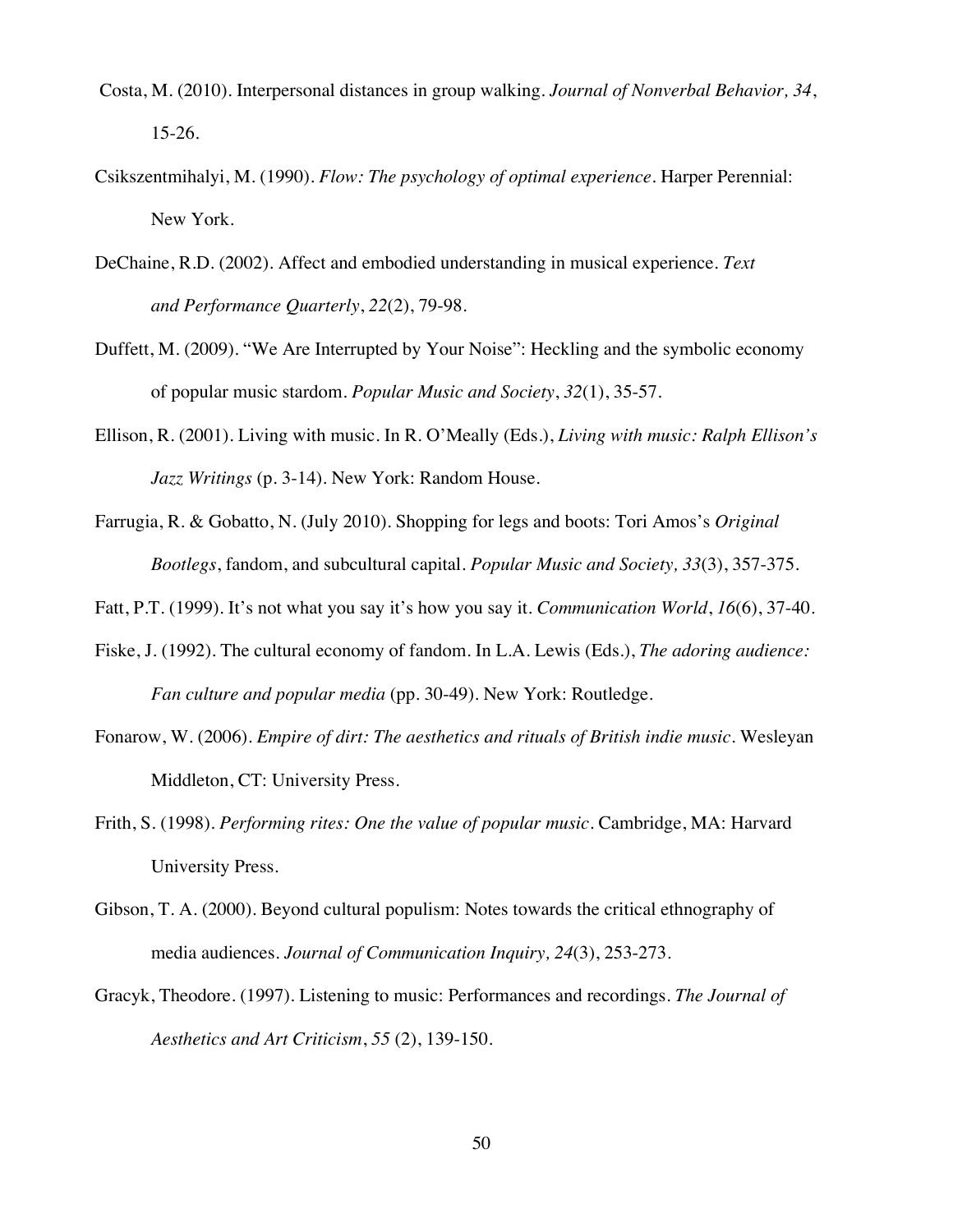- Costa, M. (2010). Interpersonal distances in group walking. *Journal of Nonverbal Behavior, 34*, 15-26.
- Csikszentmihalyi, M. (1990). *Flow: The psychology of optimal experience*. Harper Perennial: New York.
- DeChaine, R.D. (2002). Affect and embodied understanding in musical experience. *Text and Performance Quarterly*, *22*(2), 79-98.
- Duffett, M. (2009). "We Are Interrupted by Your Noise": Heckling and the symbolic economy of popular music stardom. *Popular Music and Society*, *32*(1), 35-57.
- Ellison, R. (2001). Living with music. In R. O'Meally (Eds.), *Living with music: Ralph Ellison's Jazz Writings* (p. 3-14). New York: Random House.
- Farrugia, R. & Gobatto, N. (July 2010). Shopping for legs and boots: Tori Amos's *Original Bootlegs*, fandom, and subcultural capital. *Popular Music and Society, 33*(3), 357-375.
- Fatt, P.T. (1999). It's not what you say it's how you say it. *Communication World*, *16*(6), 37-40.
- Fiske, J. (1992). The cultural economy of fandom. In L.A. Lewis (Eds.), *The adoring audience: Fan culture and popular media* (pp. 30-49). New York: Routledge.
- Fonarow, W. (2006). *Empire of dirt: The aesthetics and rituals of British indie music*. Wesleyan Middleton, CT: University Press.
- Frith, S. (1998). *Performing rites: One the value of popular music*. Cambridge, MA: Harvard University Press.
- Gibson, T. A. (2000). Beyond cultural populism: Notes towards the critical ethnography of media audiences. *Journal of Communication Inquiry, 24*(3), 253-273.
- Gracyk, Theodore. (1997). Listening to music: Performances and recordings. *The Journal of Aesthetics and Art Criticism*, *55* (2), 139-150.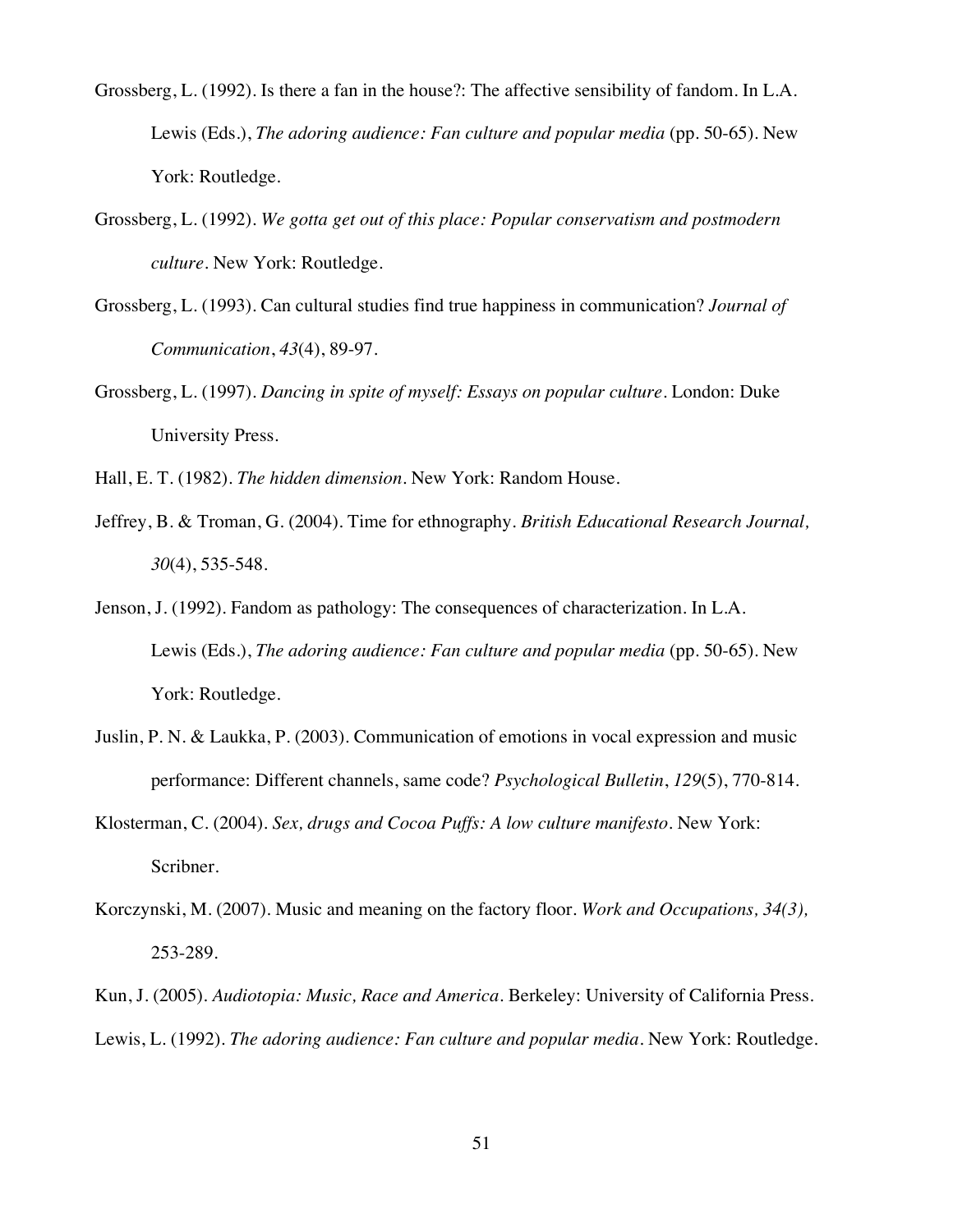- Grossberg, L. (1992). Is there a fan in the house?: The affective sensibility of fandom. In L.A. Lewis (Eds.), *The adoring audience: Fan culture and popular media* (pp. 50-65). New York: Routledge.
- Grossberg, L. (1992). *We gotta get out of this place: Popular conservatism and postmodern culture*. New York: Routledge.
- Grossberg, L. (1993). Can cultural studies find true happiness in communication? *Journal of Communication*, *43*(4), 89-97.
- Grossberg, L. (1997). *Dancing in spite of myself: Essays on popular culture*. London: Duke University Press.
- Hall, E. T. (1982). *The hidden dimension*. New York: Random House.
- Jeffrey, B. & Troman, G. (2004). Time for ethnography. *British Educational Research Journal, 30*(4), 535-548.
- Jenson, J. (1992). Fandom as pathology: The consequences of characterization. In L.A. Lewis (Eds.), *The adoring audience: Fan culture and popular media* (pp. 50-65). New York: Routledge.
- Juslin, P. N. & Laukka, P. (2003). Communication of emotions in vocal expression and music performance: Different channels, same code? *Psychological Bulletin*, *129*(5), 770-814.
- Klosterman, C. (2004). *Sex, drugs and Cocoa Puffs: A low culture manifesto*. New York: Scribner.
- Korczynski, M. (2007). Music and meaning on the factory floor. *Work and Occupations, 34(3),* 253-289.
- Kun, J. (2005). *Audiotopia: Music, Race and America.* Berkeley: University of California Press. Lewis, L. (1992). *The adoring audience: Fan culture and popular media*. New York: Routledge.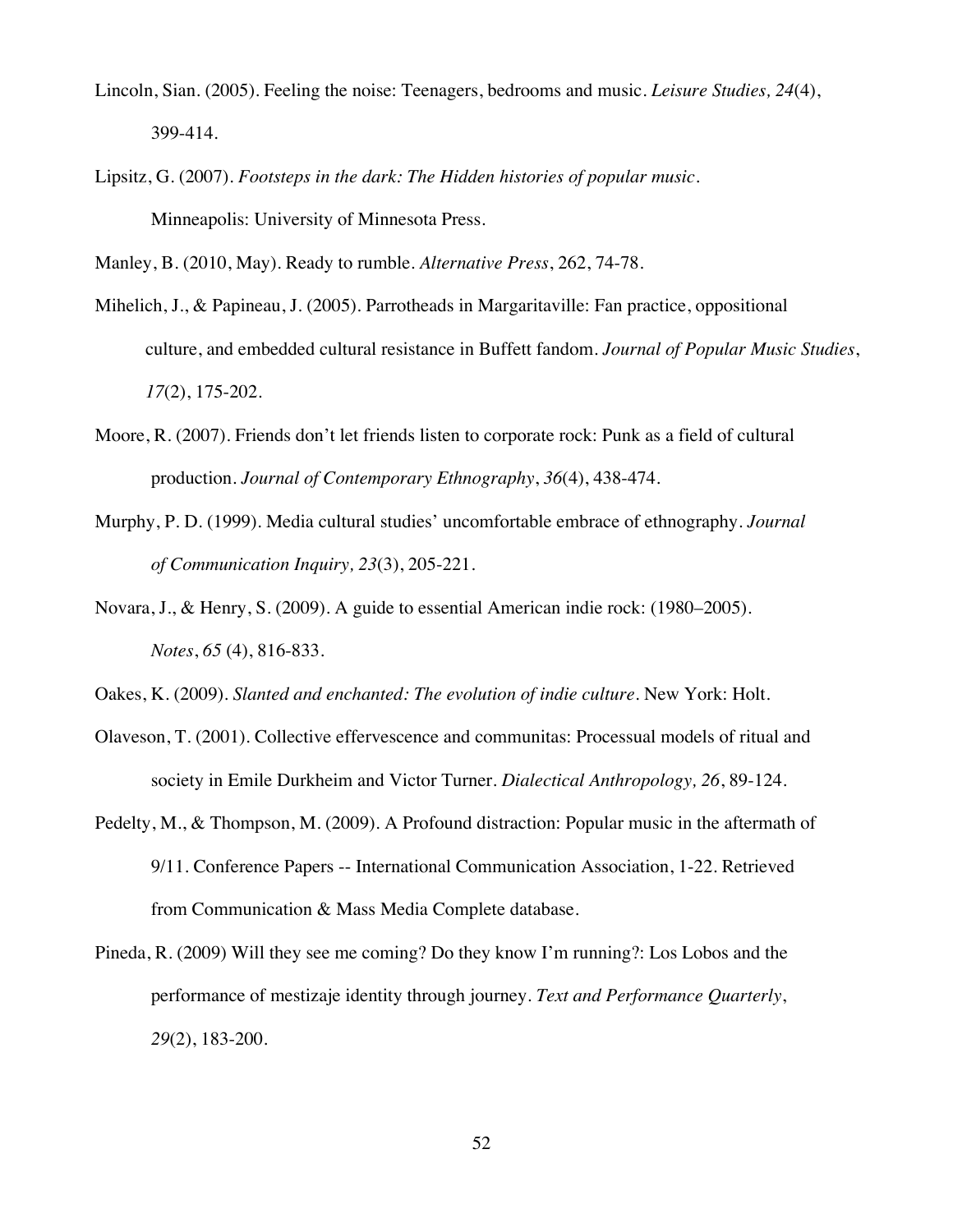- Lincoln, Sian. (2005). Feeling the noise: Teenagers, bedrooms and music. *Leisure Studies, 24*(4), 399-414.
- Lipsitz, G. (2007). *Footsteps in the dark: The Hidden histories of popular music*. Minneapolis: University of Minnesota Press.

Manley, B. (2010, May). Ready to rumble. *Alternative Press*, 262, 74-78.

- Mihelich, J., & Papineau, J. (2005). Parrotheads in Margaritaville: Fan practice, oppositional culture, and embedded cultural resistance in Buffett fandom. *Journal of Popular Music Studies*, *17*(2), 175-202.
- Moore, R. (2007). Friends don't let friends listen to corporate rock: Punk as a field of cultural production. *Journal of Contemporary Ethnography*, *36*(4), 438-474.
- Murphy, P. D. (1999). Media cultural studies' uncomfortable embrace of ethnography. *Journal of Communication Inquiry, 23*(3), 205-221.
- Novara, J., & Henry, S. (2009). A guide to essential American indie rock: (1980–2005). *Notes*, *65* (4), 816-833.

Oakes, K. (2009). *Slanted and enchanted: The evolution of indie culture*. New York: Holt.

- Olaveson, T. (2001). Collective effervescence and communitas: Processual models of ritual and society in Emile Durkheim and Victor Turner. *Dialectical Anthropology, 26*, 89-124.
- Pedelty, M., & Thompson, M. (2009). A Profound distraction: Popular music in the aftermath of 9/11. Conference Papers -- International Communication Association, 1-22. Retrieved from Communication & Mass Media Complete database.
- Pineda, R. (2009) Will they see me coming? Do they know I'm running?: Los Lobos and the performance of mestizaje identity through journey. *Text and Performance Quarterly*, *29*(2), 183-200.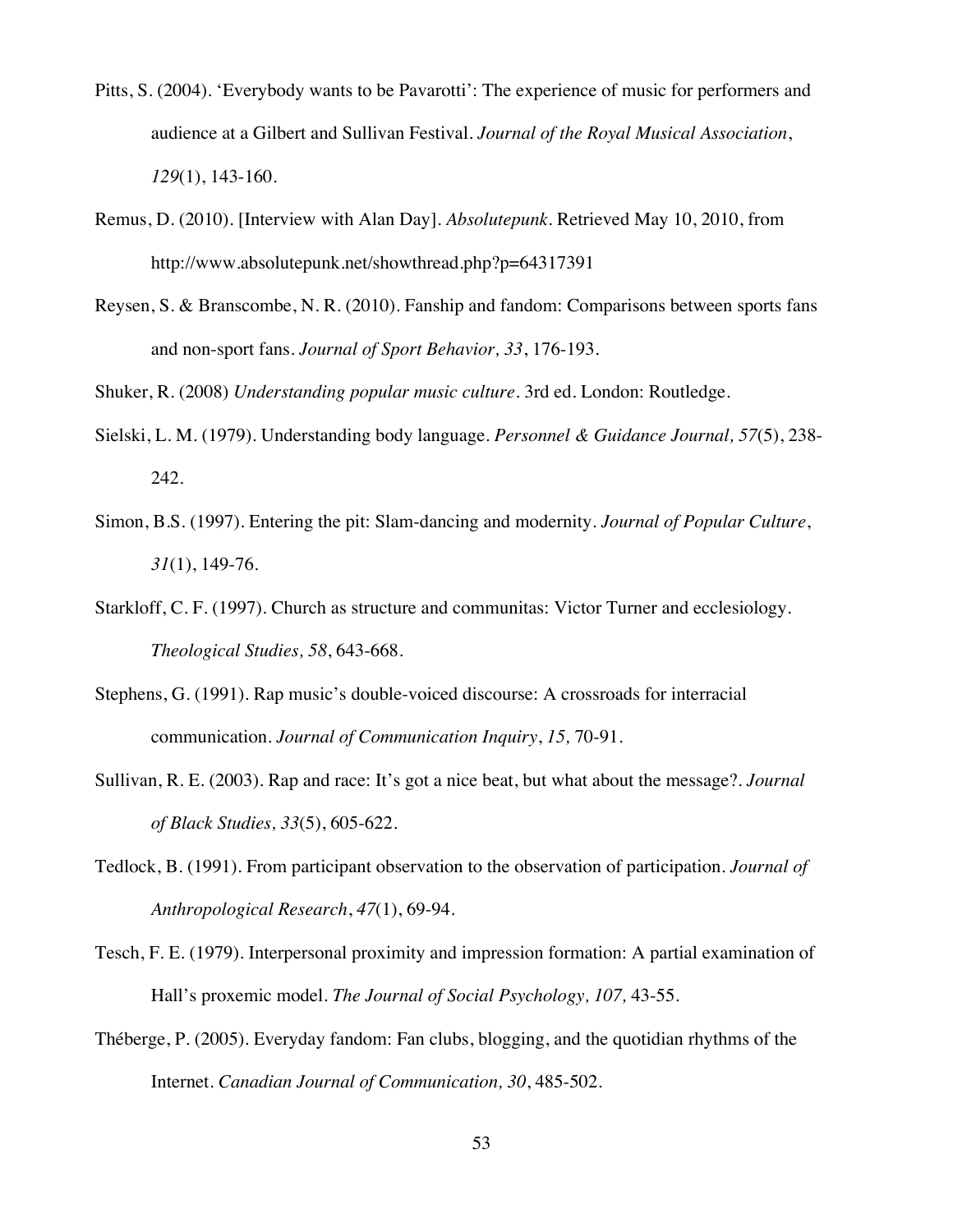- Pitts, S. (2004). 'Everybody wants to be Pavarotti': The experience of music for performers and audience at a Gilbert and Sullivan Festival. *Journal of the Royal Musical Association*, *129*(1), 143-160.
- Remus, D. (2010). [Interview with Alan Day]. *Absolutepunk*. Retrieved May 10, 2010, from http://www.absolutepunk.net/showthread.php?p=64317391
- Reysen, S. & Branscombe, N. R. (2010). Fanship and fandom: Comparisons between sports fans and non-sport fans. *Journal of Sport Behavior, 33*, 176-193.

Shuker, R. (2008) *Understanding popular music culture*. 3rd ed. London: Routledge.

- Sielski, L. M. (1979). Understanding body language. *Personnel & Guidance Journal, 57*(5), 238- 242.
- Simon, B.S. (1997). Entering the pit: Slam-dancing and modernity. *Journal of Popular Culture*, *31*(1), 149-76.
- Starkloff, C. F. (1997). Church as structure and communitas: Victor Turner and ecclesiology. *Theological Studies, 58*, 643-668.
- Stephens, G. (1991). Rap music's double-voiced discourse: A crossroads for interracial communication. *Journal of Communication Inquiry*, *15,* 70-91.
- Sullivan, R. E. (2003). Rap and race: It's got a nice beat, but what about the message?. *Journal of Black Studies, 33*(5), 605-622.
- Tedlock, B. (1991). From participant observation to the observation of participation. *Journal of Anthropological Research*, *47*(1), 69-94.
- Tesch, F. E. (1979). Interpersonal proximity and impression formation: A partial examination of Hall's proxemic model. *The Journal of Social Psychology, 107,* 43-55.
- Théberge, P. (2005). Everyday fandom: Fan clubs, blogging, and the quotidian rhythms of the Internet. *Canadian Journal of Communication, 30*, 485-502.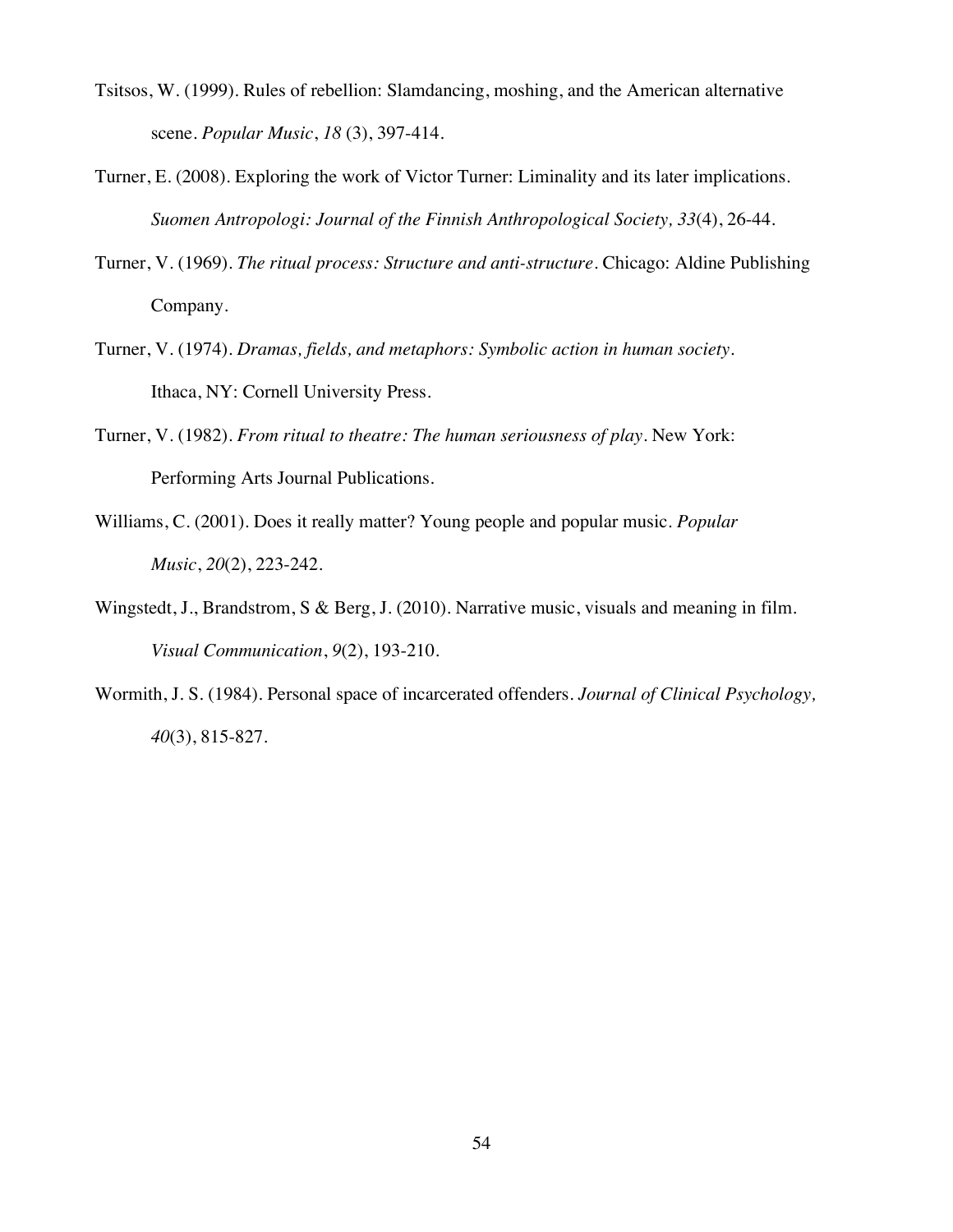- Tsitsos, W. (1999). Rules of rebellion: Slamdancing, moshing, and the American alternative scene. *Popular Music*, *18* (3), 397-414.
- Turner, E. (2008). Exploring the work of Victor Turner: Liminality and its later implications. *Suomen Antropologi: Journal of the Finnish Anthropological Society, 33*(4), 26-44.
- Turner, V. (1969). *The ritual process: Structure and anti-structure*. Chicago: Aldine Publishing Company.
- Turner, V. (1974). *Dramas, fields, and metaphors: Symbolic action in human society*. Ithaca, NY: Cornell University Press.
- Turner, V. (1982). *From ritual to theatre: The human seriousness of play*. New York: Performing Arts Journal Publications.
- Williams, C. (2001). Does it really matter? Young people and popular music. *Popular Music*, *20*(2), 223-242.
- Wingstedt, J., Brandstrom, S & Berg, J. (2010). Narrative music, visuals and meaning in film. *Visual Communication*, *9*(2), 193-210.
- Wormith, J. S. (1984). Personal space of incarcerated offenders. *Journal of Clinical Psychology, 40*(3), 815-827.